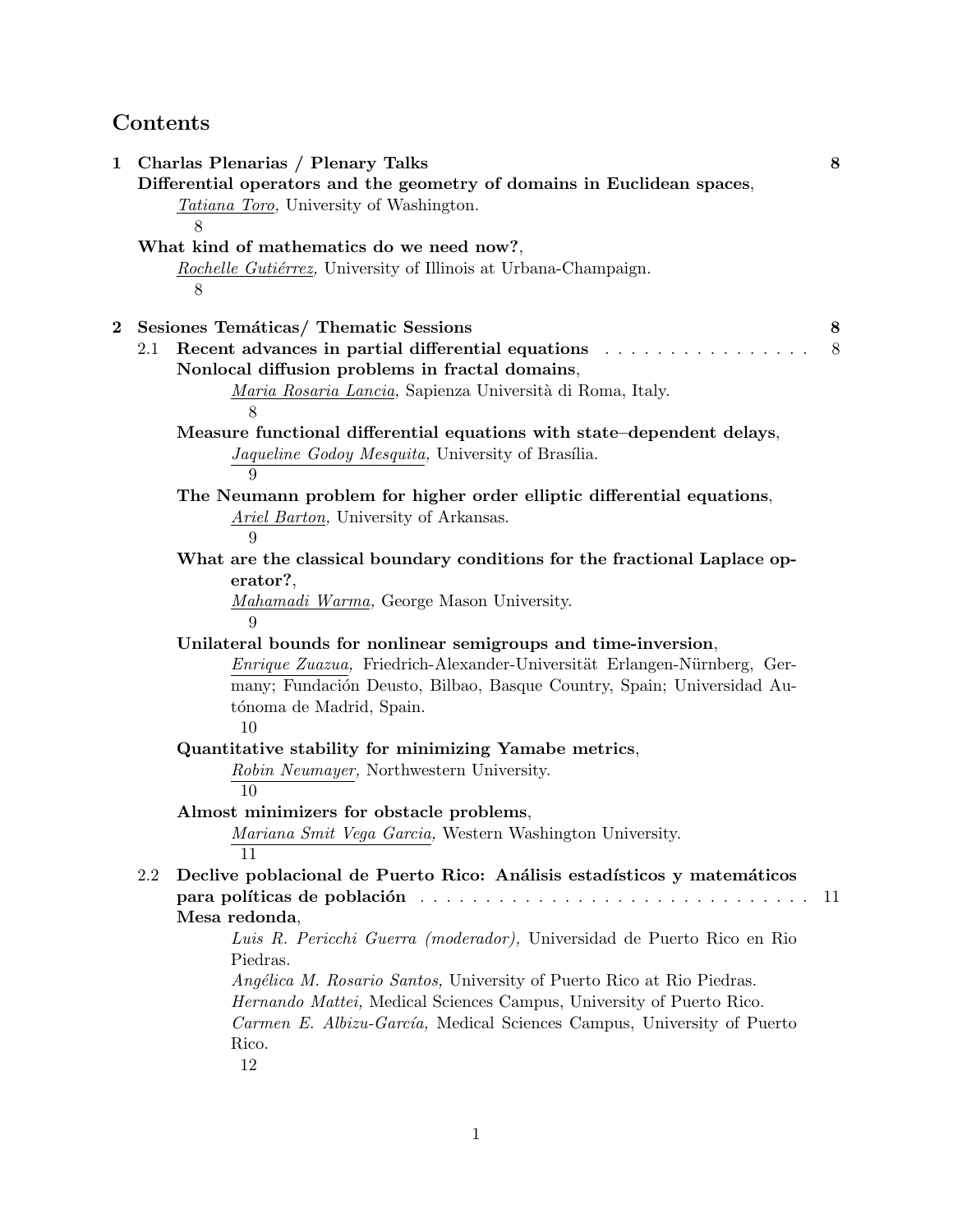# **Contents**

| $\bf{2}$ | <i>Tatiana Toro,</i> University of Washington.                                                                                                                                                                      |    |
|----------|---------------------------------------------------------------------------------------------------------------------------------------------------------------------------------------------------------------------|----|
|          | 8                                                                                                                                                                                                                   |    |
|          | What kind of mathematics do we need now?,                                                                                                                                                                           |    |
|          | Rochelle Gutiérrez, University of Illinois at Urbana-Champaign.<br>8                                                                                                                                                |    |
|          | Sesiones Temáticas/Thematic Sessions                                                                                                                                                                                | 8  |
|          | Recent advances in partial differential equations<br>2.1                                                                                                                                                            | 8  |
|          | Nonlocal diffusion problems in fractal domains,                                                                                                                                                                     |    |
|          | Maria Rosaria Lancia, Sapienza Università di Roma, Italy.                                                                                                                                                           |    |
|          | 8                                                                                                                                                                                                                   |    |
|          | Measure functional differential equations with state-dependent delays,                                                                                                                                              |    |
|          | Jaqueline Godoy Mesquita, University of Brasília.                                                                                                                                                                   |    |
|          | 9                                                                                                                                                                                                                   |    |
|          | The Neumann problem for higher order elliptic differential equations,                                                                                                                                               |    |
|          | Ariel Barton, University of Arkansas.                                                                                                                                                                               |    |
|          | 9                                                                                                                                                                                                                   |    |
|          | What are the classical boundary conditions for the fractional Laplace op-                                                                                                                                           |    |
|          | erator?,                                                                                                                                                                                                            |    |
|          | Mahamadi Warma, George Mason University.                                                                                                                                                                            |    |
|          | 9                                                                                                                                                                                                                   |    |
|          | Unilateral bounds for nonlinear semigroups and time-inversion,<br>Enrique Zuazua, Friedrich-Alexander-Universität Erlangen-Nürnberg, Ger-<br>many; Fundación Deusto, Bilbao, Basque Country, Spain; Universidad Au- |    |
|          | tónoma de Madrid, Spain.                                                                                                                                                                                            |    |
|          | 10                                                                                                                                                                                                                  |    |
|          | Quantitative stability for minimizing Yamabe metrics,                                                                                                                                                               |    |
|          | Robin Neumayer, Northwestern University.<br>10                                                                                                                                                                      |    |
|          | Almost minimizers for obstacle problems,                                                                                                                                                                            |    |
|          | Mariana Smit Vega Garcia, Western Washington University.<br>11                                                                                                                                                      |    |
|          | Declive poblacional de Puerto Rico: Análisis estadísticos y matemáticos<br>2.2                                                                                                                                      |    |
|          | para políticas de población en el establecer en el establecer en el establecer en el establecer en el establec                                                                                                      | 11 |
|          | Mesa redonda,                                                                                                                                                                                                       |    |
|          | Luis R. Pericchi Guerra (moderador), Universidad de Puerto Rico en Rio                                                                                                                                              |    |
|          | Piedras.                                                                                                                                                                                                            |    |
|          | <i>Angélica M. Rosario Santos, University of Puerto Rico at Rio Piedras.</i>                                                                                                                                        |    |
|          | Hernando Mattei, Medical Sciences Campus, University of Puerto Rico.                                                                                                                                                |    |
|          | Carmen E. Albizu-García, Medical Sciences Campus, University of Puerto                                                                                                                                              |    |
|          | Rico.                                                                                                                                                                                                               |    |
|          | 12                                                                                                                                                                                                                  |    |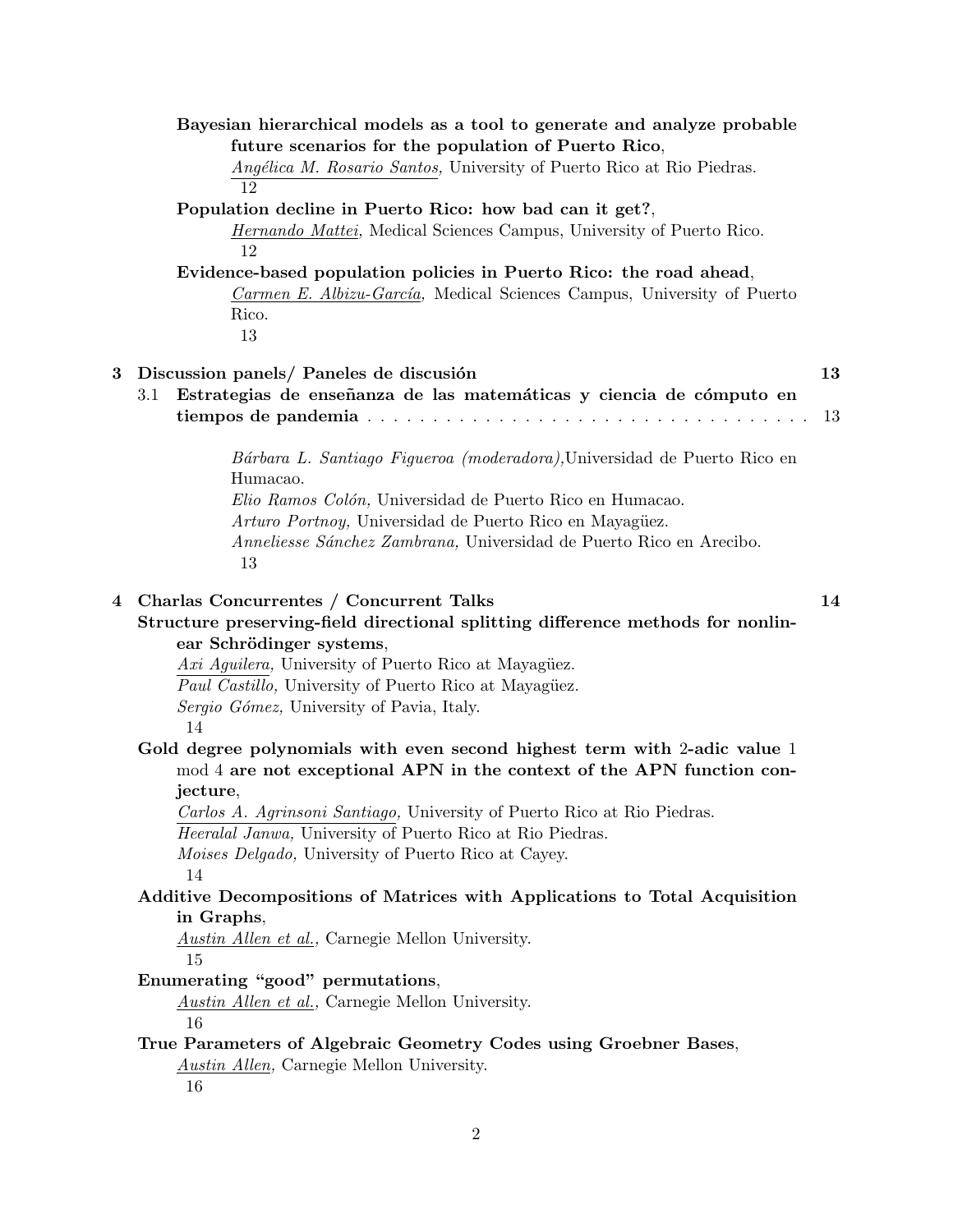|   | Bayesian hierarchical models as a tool to generate and analyze probable                                                                      |    |
|---|----------------------------------------------------------------------------------------------------------------------------------------------|----|
|   | future scenarios for the population of Puerto Rico,                                                                                          |    |
|   | Angélica M. Rosario Santos, University of Puerto Rico at Rio Piedras.                                                                        |    |
|   | 12                                                                                                                                           |    |
|   | Population decline in Puerto Rico: how bad can it get?,                                                                                      |    |
|   | <i>Hernando Mattei</i> , Medical Sciences Campus, University of Puerto Rico.<br>12                                                           |    |
|   | Evidence-based population policies in Puerto Rico: the road ahead,                                                                           |    |
|   | Carmen E. Albizu-García, Medical Sciences Campus, University of Puerto                                                                       |    |
|   | Rico.                                                                                                                                        |    |
|   | 13                                                                                                                                           |    |
|   |                                                                                                                                              |    |
| 3 | Discussion panels/ Paneles de discusión                                                                                                      | 13 |
|   | Estrategias de enseñanza de las matemáticas y ciencia de cómputo en<br>3.1                                                                   |    |
|   |                                                                                                                                              | 13 |
|   | Bárbara L. Santiago Figueroa (moderadora), Universidad de Puerto Rico en                                                                     |    |
|   | Humacao.                                                                                                                                     |    |
|   | Elio Ramos Colón, Universidad de Puerto Rico en Humacao.                                                                                     |    |
|   | Arturo Portnoy, Universidad de Puerto Rico en Mayagüez.                                                                                      |    |
|   | Anneliesse Sánchez Zambrana, Universidad de Puerto Rico en Arecibo.                                                                          |    |
|   | 13                                                                                                                                           |    |
| 4 | Charlas Concurrentes / Concurrent Talks                                                                                                      | 14 |
|   | Structure preserving-field directional splitting difference methods for nonlin-                                                              |    |
|   | ear Schrödinger systems,                                                                                                                     |    |
|   | Axi Aguilera, University of Puerto Rico at Mayagüez.                                                                                         |    |
|   | <i>Paul Castillo</i> , University of Puerto Rico at Mayagüez.                                                                                |    |
|   | Sergio Gómez, University of Pavia, Italy.                                                                                                    |    |
|   | 14                                                                                                                                           |    |
|   | Gold degree polynomials with even second highest term with 2-adic value 1                                                                    |    |
|   | mod 4 are not exceptional APN in the context of the APN function con-                                                                        |    |
|   | jecture,                                                                                                                                     |    |
|   | Carlos A. Agrinsoni Santiago, University of Puerto Rico at Rio Piedras.<br><i>Heeralal Janwa</i> , University of Puerto Rico at Rio Piedras. |    |
|   | Moises Delgado, University of Puerto Rico at Cayey.                                                                                          |    |
|   | 14                                                                                                                                           |    |
|   | Additive Decompositions of Matrices with Applications to Total Acquisition                                                                   |    |
|   | in Graphs,                                                                                                                                   |    |
|   | <i>Austin Allen et al.</i> , Carnegie Mellon University.                                                                                     |    |
|   | 15                                                                                                                                           |    |
|   | Enumerating "good" permutations,                                                                                                             |    |
|   | <i>Austin Allen et al.</i> , Carnegie Mellon University.<br>16                                                                               |    |
|   | True Parameters of Algebraic Geometry Codes using Groebner Bases,                                                                            |    |
|   | <b>Austin Allen, Carnegie Mellon University.</b>                                                                                             |    |
|   | 16                                                                                                                                           |    |
|   |                                                                                                                                              |    |
|   |                                                                                                                                              |    |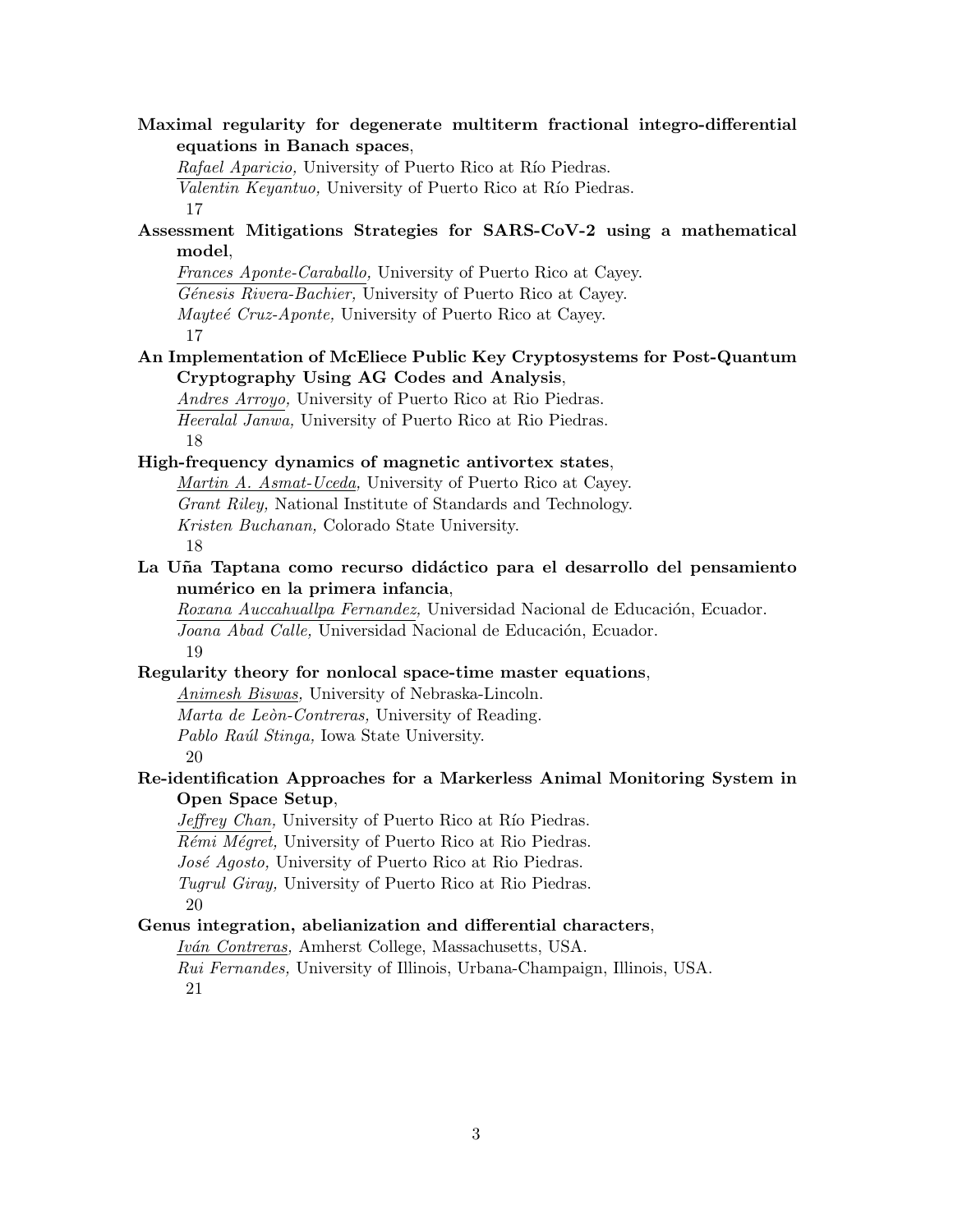**Maximal regularity for degenerate multiterm fractional integro-differential equations in Banach spaces**, *Rafael Aparicio,* University of Puerto Rico at Río Piedras. *Valentin Keyantuo*, University of Puerto Rico at Río Piedras. 17 **Assessment Mitigations Strategies for SARS-CoV-2 using a mathematical model**, *Frances Aponte-Caraballo,* University of Puerto Rico at Cayey. *G´enesis Rivera-Bachier,* University of Puerto Rico at Cayey. *Mayteé Cruz-Aponte,* University of Puerto Rico at Cayey. 17 **An Implementation of McEliece Public Key Cryptosystems for Post-Quantum Cryptography Using AG Codes and Analysis**, *Andres Arroyo,* University of Puerto Rico at Rio Piedras. *Heeralal Janwa,* University of Puerto Rico at Rio Piedras. 18 **High-frequency dynamics of magnetic antivortex states**, *Martin A. Asmat-Uceda,* University of Puerto Rico at Cayey. *Grant Riley,* National Institute of Standards and Technology. *Kristen Buchanan,* Colorado State University. 18 **La U˜na Taptana como recurso did´actico para el desarrollo del pensamiento num´erico en la primera infancia**, *Roxana Auccahuallpa Fernandez*, Universidad Nacional de Educación, Ecuador. Joana Abad Calle, Universidad Nacional de Educación, Ecuador. 19 **Regularity theory for nonlocal space-time master equations**, *Animesh Biswas,* University of Nebraska-Lincoln. *Marta de Le`on-Contreras,* University of Reading. *Pablo Ra´ul Stinga,* Iowa State University. 20 **Re-identification Approaches for a Markerless Animal Monitoring System in Open Space Setup**, *Jeffrey Chan*, University of Puerto Rico at Río Piedras. *Rémi Mégret,* University of Puerto Rico at Rio Piedras. *Jos´e Agosto,* University of Puerto Rico at Rio Piedras. *Tugrul Giray,* University of Puerto Rico at Rio Piedras. 20 **Genus integration, abelianization and differential characters**, *Iv´an Contreras,* Amherst College, Massachusetts, USA. *Rui Fernandes,* University of Illinois, Urbana-Champaign, Illinois, USA. 21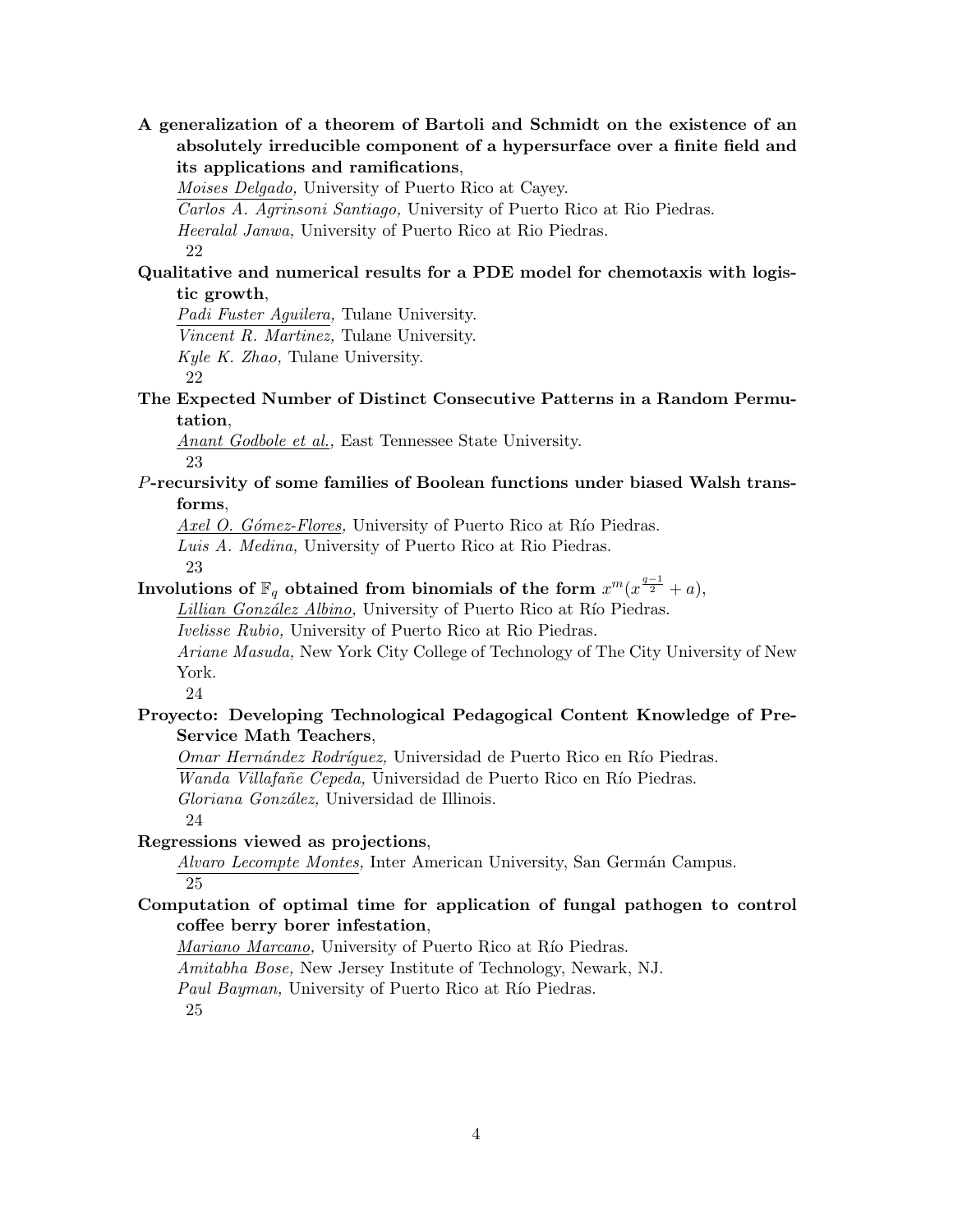**A generalization of a theorem of Bartoli and Schmidt on the existence of an absolutely irreducible component of a hypersurface over a finite field and its applications and ramifications**,

*Moises Delgado,* University of Puerto Rico at Cayey.

*Carlos A. Agrinsoni Santiago,* University of Puerto Rico at Rio Piedras.

*Heeralal Janwa,* University of Puerto Rico at Rio Piedras.

22

## **Qualitative and numerical results for a PDE model for chemotaxis with logistic growth**,

*Padi Fuster Aguilera,* Tulane University.

*Vincent R. Martinez,* Tulane University.

*Kyle K. Zhao,* Tulane University.

22

## **The Expected Number of Distinct Consecutive Patterns in a Random Permutation**,

*Anant Godbole et al.,* East Tennessee State University. 23

## *P***-recursivity of some families of Boolean functions under biased Walsh transforms**,

*Axel O. Gómez-Flores,* University of Puerto Rico at Río Piedras.

*Luis A. Medina,* University of Puerto Rico at Rio Piedras.

23

# ${\bf Involutions~of~}\mathbb{F}_q$   $\bf{obtained~from~binom}$   $\bf{binom}$  and  $\bf{sf~the~form}~$   $x^m(x^{\frac{q-1}{2}}+a),$

*Lillian González Albino,* University of Puerto Rico at Río Piedras.

*Ivelisse Rubio,* University of Puerto Rico at Rio Piedras.

*Ariane Masuda,* New York City College of Technology of The City University of New York.

24

## **Proyecto: Developing Technological Pedagogical Content Knowledge of Pre-Service Math Teachers**,

*Omar Hernández Rodríguez,* Universidad de Puerto Rico en Río Piedras. *Wanda Villafañe Cepeda, Universidad de Puerto Rico en Río Piedras.* 

*Gloriana Gonz´alez,* Universidad de Illinois.

#### 24 **Regressions viewed as projections**,

*Alvaro Lecompte Montes, Inter American University, San Germán Campus.* 25

## **Computation of optimal time for application of fungal pathogen to control coffee berry borer infestation**,

*Mariano Marcano,* University of Puerto Rico at Río Piedras. *Amitabha Bose,* New Jersey Institute of Technology, Newark, NJ. *Paul Bayman,* University of Puerto Rico at Río Piedras. 25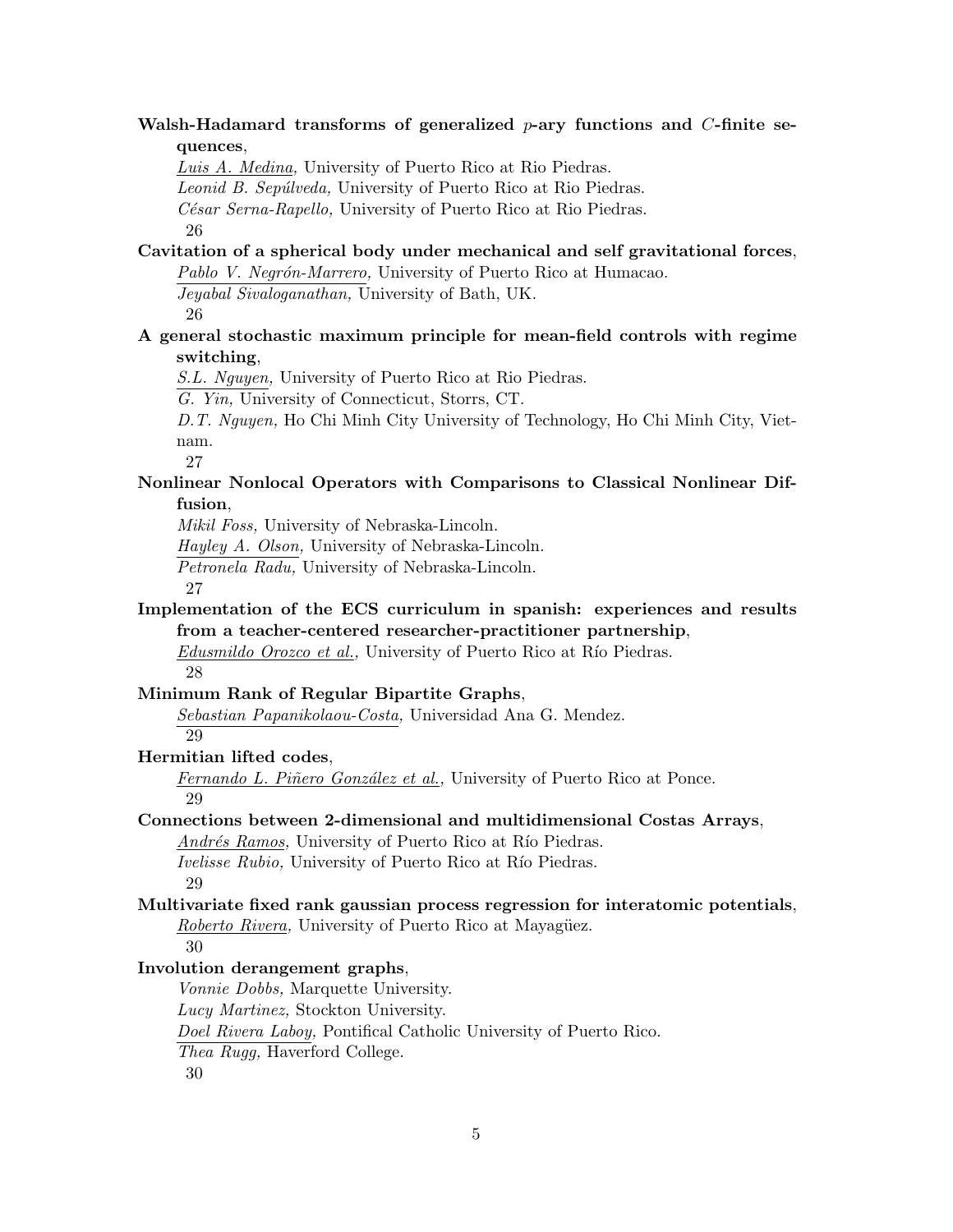## **Walsh-Hadamard transforms of generalized** *p***-ary functions and** *C***-finite sequences**,

*Luis A. Medina,* University of Puerto Rico at Rio Piedras.

*Leonid B. Sep´ulveda,* University of Puerto Rico at Rio Piedras.

*C´esar Serna-Rapello,* University of Puerto Rico at Rio Piedras.

26

# **Cavitation of a spherical body under mechanical and self gravitational forces**,

Pablo V. Negrón-Marrero, University of Puerto Rico at Humacao.

*Jeyabal Sivaloganathan,* University of Bath, UK.

26

## **A general stochastic maximum principle for mean-field controls with regime switching**,

*S.L. Nguyen,* University of Puerto Rico at Rio Piedras.

*G. Yin,* University of Connecticut, Storrs, CT.

*D.T. Nguyen,* Ho Chi Minh City University of Technology, Ho Chi Minh City, Vietnam.

27

## **Nonlinear Nonlocal Operators with Comparisons to Classical Nonlinear Diffusion**,

*Mikil Foss,* University of Nebraska-Lincoln.

*Hayley A. Olson,* University of Nebraska-Lincoln.

*Petronela Radu,* University of Nebraska-Lincoln.

27

## **Implementation of the ECS curriculum in spanish: experiences and results from a teacher-centered researcher-practitioner partnership**,

*Edusmildo Orozco et al.,* University of Puerto Rico at Río Piedras. 28

## **Minimum Rank of Regular Bipartite Graphs**,

*Sebastian Papanikolaou-Costa,* Universidad Ana G. Mendez. 29

## **Hermitian lifted codes**,

*Fernando L. Piñero González et al.*, University of Puerto Rico at Ponce. 29

## **Connections between 2-dimensional and multidimensional Costas Arrays**,

*Andrés Ramos,* University of Puerto Rico at Río Piedras. *Ivelisse Rubio,* University of Puerto Rico at Río Piedras.

29

## **Multivariate fixed rank gaussian process regression for interatomic potentials**, *Roberto Rivera,* University of Puerto Rico at Mayagüez.

30

## **Involution derangement graphs**,

*Vonnie Dobbs,* Marquette University.

*Lucy Martinez,* Stockton University.

*Doel Rivera Laboy,* Pontifical Catholic University of Puerto Rico.

*Thea Rugg,* Haverford College.

30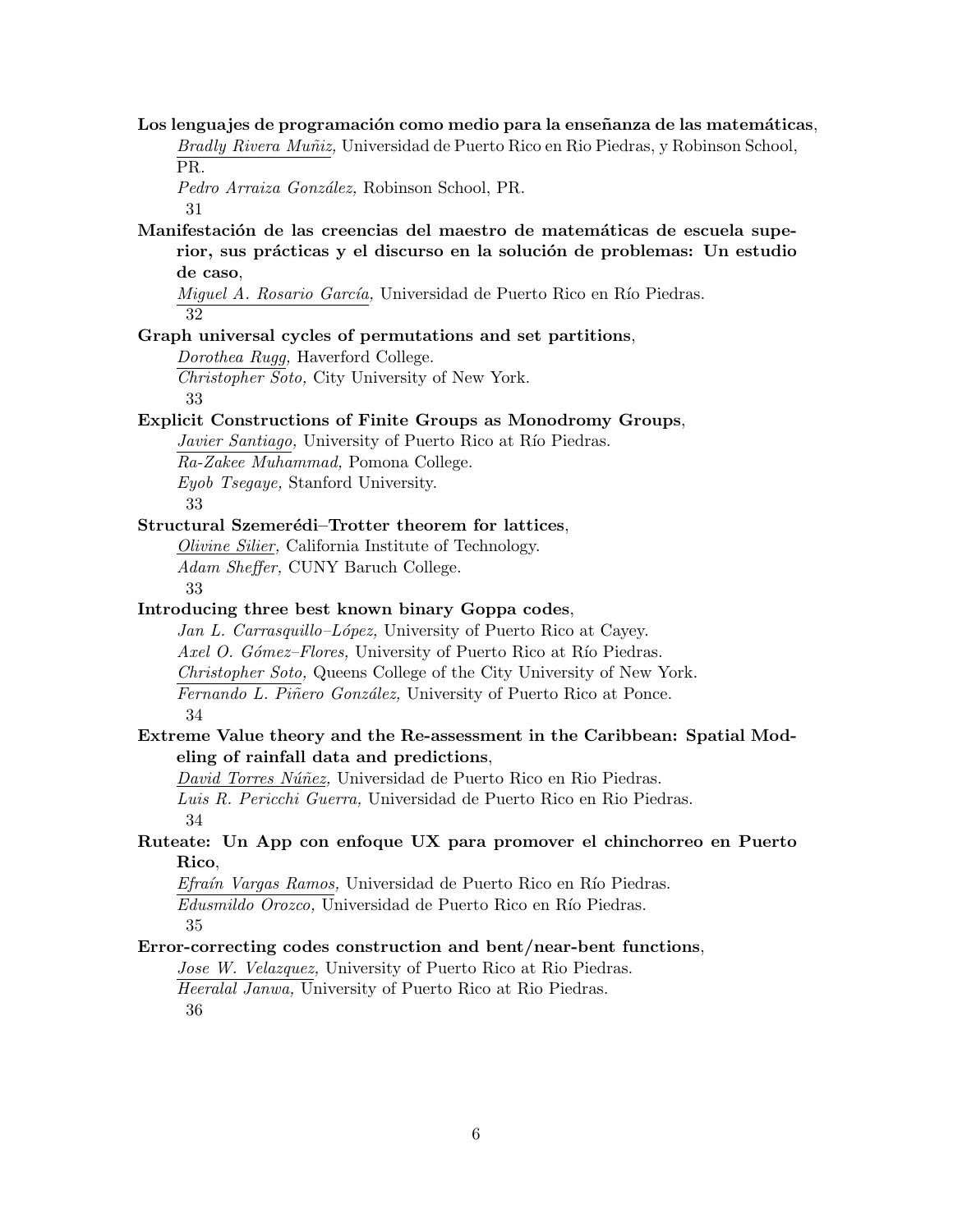Los lenguajes de programación como medio para la enseñanza de las matemáticas, *Bradly Rivera Mu˜niz,* Universidad de Puerto Rico en Rio Piedras, y Robinson School, PR.

*Pedro Arraiza Gonz´alez,* Robinson School, PR.

31

Manifestación de las creencias del maestro de matemáticas de escuela superior, sus prácticas y el discurso en la solución de problemas: Un estudio **de caso**,

*Miguel A. Rosario García*, Universidad de Puerto Rico en Río Piedras. 32

#### **Graph universal cycles of permutations and set partitions**,

*Dorothea Rugg,* Haverford College.

*Christopher Soto,* City University of New York. 33

#### **Explicit Constructions of Finite Groups as Monodromy Groups**,

*Javier Santiago*, University of Puerto Rico at Río Piedras. *Ra-Zakee Muhammad,* Pomona College. *Eyob Tsegaye,* Stanford University.

33

#### **Structural Szemerédi–Trotter theorem for lattices,**

*Olivine Silier,* California Institute of Technology. *Adam Sheffer,* CUNY Baruch College.

33

#### **Introducing three best known binary Goppa codes**,

*Jan L. Carrasquillo–L´opez,* University of Puerto Rico at Cayey. *Axel O. Gómez–Flores,* University of Puerto Rico at Río Piedras. *Christopher Soto,* Queens College of the City University of New York. *Fernando L. Piñero González, University of Puerto Rico at Ponce.* 34

## **Extreme Value theory and the Re-assessment in the Caribbean: Spatial Modeling of rainfall data and predictions**,

*David Torres Núñez*, Universidad de Puerto Rico en Rio Piedras. *Luis R. Pericchi Guerra,* Universidad de Puerto Rico en Rio Piedras. 34

#### **Ruteate: Un App con enfoque UX para promover el chinchorreo en Puerto Rico**,

*Efraín Vargas Ramos,* Universidad de Puerto Rico en Río Piedras. *Edusmildo Orozco*, Universidad de Puerto Rico en Río Piedras. 35

#### **Error-correcting codes construction and bent/near-bent functions**,

*Jose W. Velazquez,* University of Puerto Rico at Rio Piedras. *Heeralal Janwa,* University of Puerto Rico at Rio Piedras.

36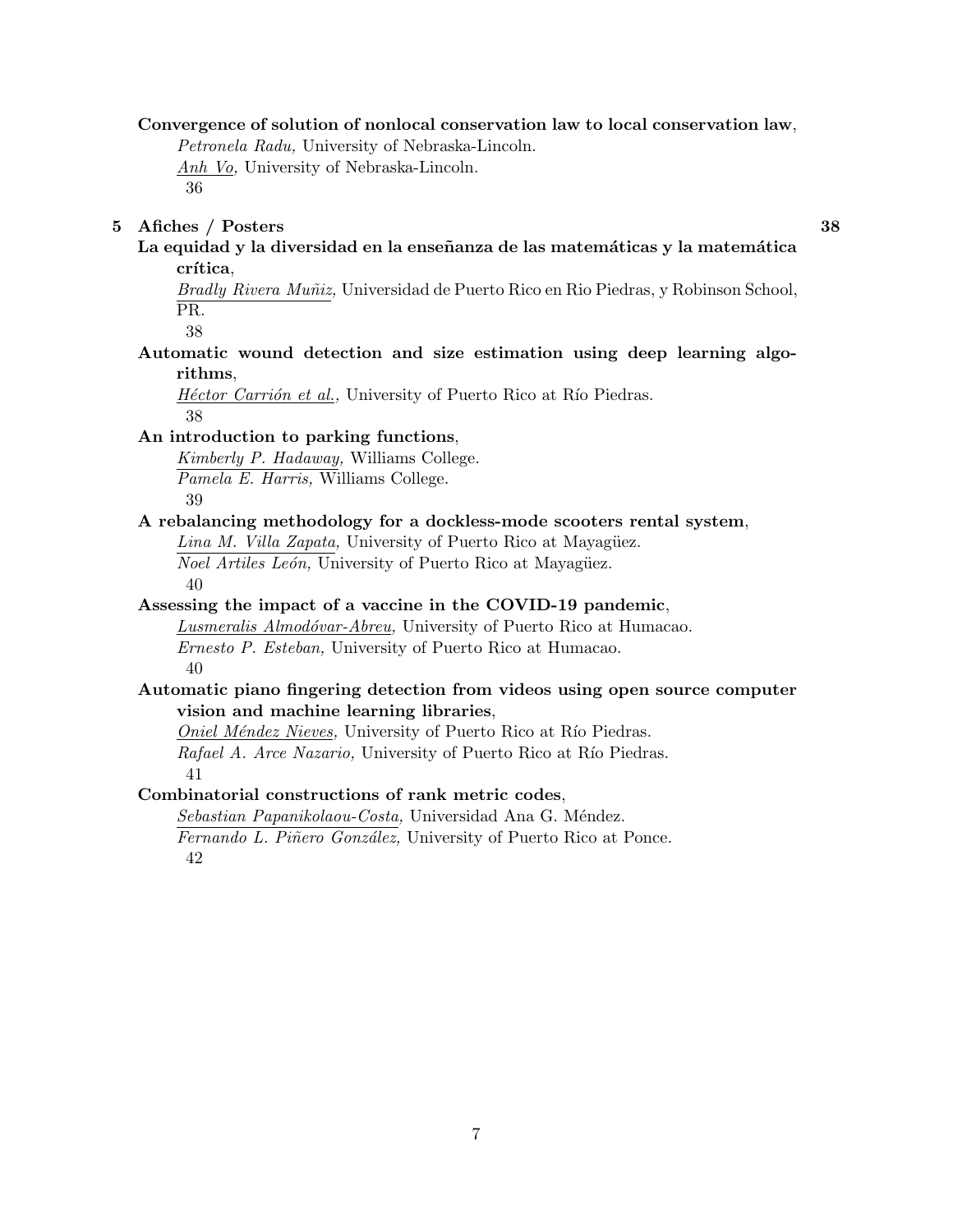#### **Convergence of solution of nonlocal conservation law to local conservation law**,

*Petronela Radu,* University of Nebraska-Lincoln. *Anh Vo,* University of Nebraska-Lincoln. 36

#### **5 Afiches / Posters 38**

#### La equidad y la diversidad en la enseñanza de las matemáticas y la matemática crítica,

*Bradly Rivera Mu˜niz,* Universidad de Puerto Rico en Rio Piedras, y Robinson School, PR.

38

### **Automatic wound detection and size estimation using deep learning algorithms**,

*Héctor Carrión et al.*, University of Puerto Rico at Río Piedras. 38

#### **An introduction to parking functions**,

*Kimberly P. Hadaway,* Williams College. *Pamela E. Harris,* Williams College. 39

#### **A rebalancing methodology for a dockless-mode scooters rental system**,

*Lina M. Villa Zapata,* University of Puerto Rico at Mayagüez. *Noel Artiles León*, University of Puerto Rico at Mayagüez. 40

#### **Assessing the impact of a vaccine in the COVID-19 pandemic**,

*Lusmeralis Almod´ovar-Abreu,* University of Puerto Rico at Humacao. *Ernesto P. Esteban,* University of Puerto Rico at Humacao. 40

#### **Automatic piano fingering detection from videos using open source computer vision and machine learning libraries**,

*Oniel Méndez Nieves,* University of Puerto Rico at Río Piedras. *Rafael A. Arce Nazario,* University of Puerto Rico at Río Piedras. 41

**Combinatorial constructions of rank metric codes**,

 $Sebastian$  Papanikolaou-Costa, Universidad Ana G. Méndez.

*Fernando L. Piñero González, University of Puerto Rico at Ponce.* 42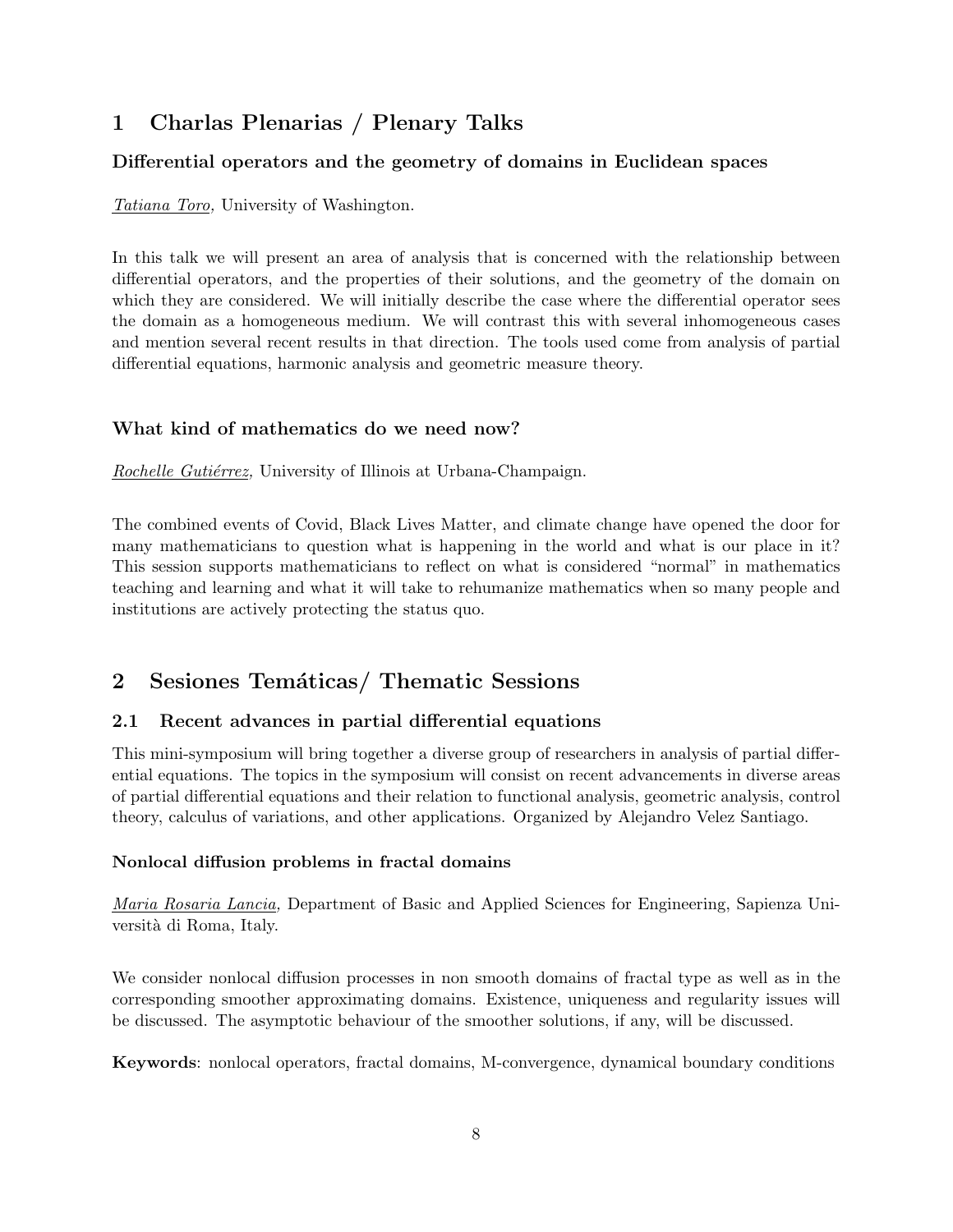# **1 Charlas Plenarias / Plenary Talks**

## **Differential operators and the geometry of domains in Euclidean spaces**

*Tatiana Toro,* University of Washington.

In this talk we will present an area of analysis that is concerned with the relationship between differential operators, and the properties of their solutions, and the geometry of the domain on which they are considered. We will initially describe the case where the differential operator sees the domain as a homogeneous medium. We will contrast this with several inhomogeneous cases and mention several recent results in that direction. The tools used come from analysis of partial differential equations, harmonic analysis and geometric measure theory.

## **What kind of mathematics do we need now?**

*Rochelle Gutiérrez*, University of Illinois at Urbana-Champaign.

The combined events of Covid, Black Lives Matter, and climate change have opened the door for many mathematicians to question what is happening in the world and what is our place in it? This session supports mathematicians to reflect on what is considered "normal" in mathematics teaching and learning and what it will take to rehumanize mathematics when so many people and institutions are actively protecting the status quo.

# 2 Sesiones Temáticas/ Thematic Sessions

## **2.1 Recent advances in partial differential equations**

This mini-symposium will bring together a diverse group of researchers in analysis of partial differential equations. The topics in the symposium will consist on recent advancements in diverse areas of partial differential equations and their relation to functional analysis, geometric analysis, control theory, calculus of variations, and other applications. Organized by Alejandro Velez Santiago.

## **Nonlocal diffusion problems in fractal domains**

*Maria Rosaria Lancia,* Department of Basic and Applied Sciences for Engineering, Sapienza Università di Roma, Italy.

We consider nonlocal diffusion processes in non smooth domains of fractal type as well as in the corresponding smoother approximating domains. Existence, uniqueness and regularity issues will be discussed. The asymptotic behaviour of the smoother solutions, if any, will be discussed.

**Keywords**: nonlocal operators, fractal domains, M-convergence, dynamical boundary conditions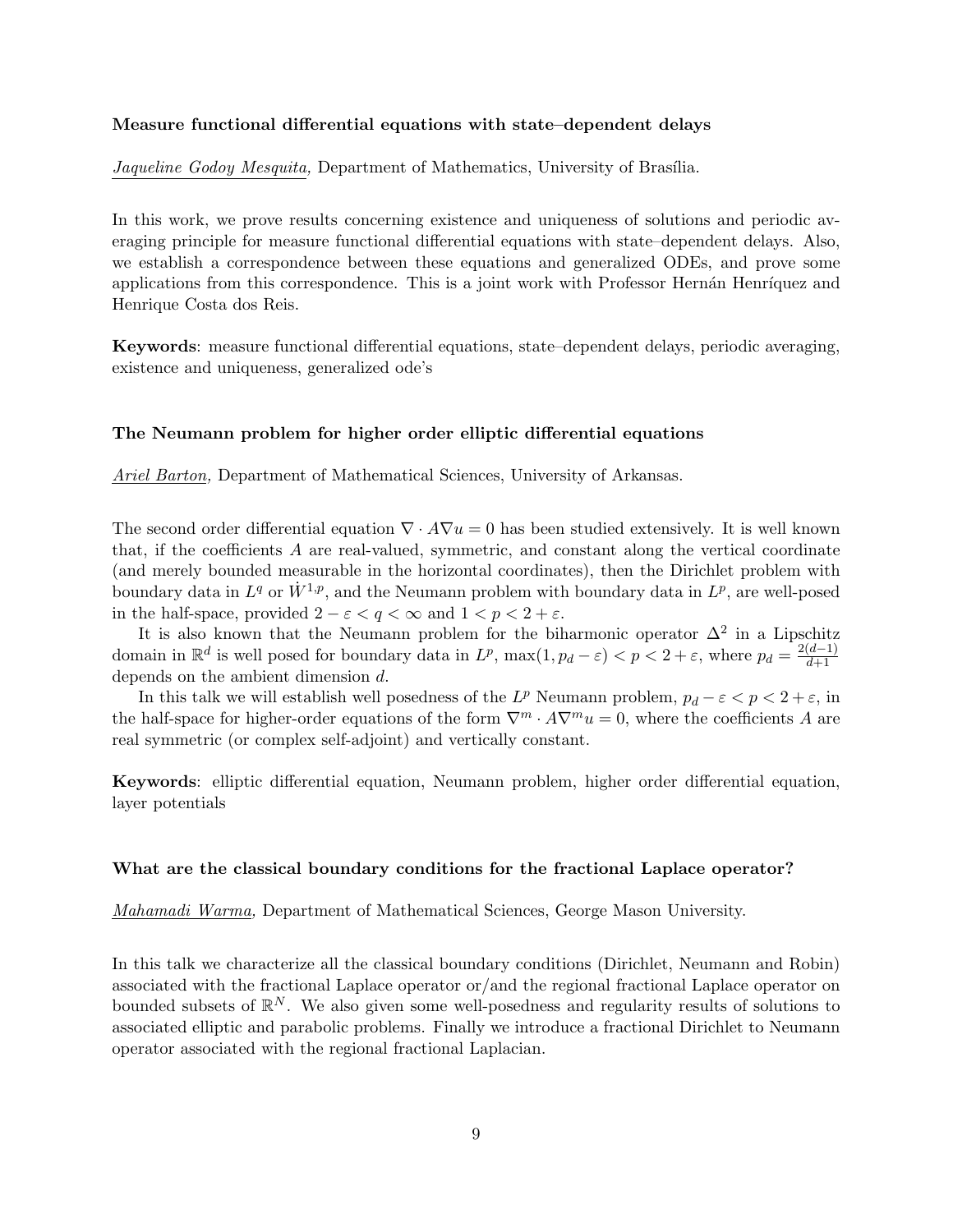#### **Measure functional differential equations with state–dependent delays**

*Jaqueline Godoy Mesquita, Department of Mathematics, University of Brasília.* 

In this work, we prove results concerning existence and uniqueness of solutions and periodic averaging principle for measure functional differential equations with state–dependent delays. Also, we establish a correspondence between these equations and generalized ODEs, and prove some applications from this correspondence. This is a joint work with Professor Hernán Henríquez and Henrique Costa dos Reis.

**Keywords**: measure functional differential equations, state–dependent delays, periodic averaging, existence and uniqueness, generalized ode's

#### **The Neumann problem for higher order elliptic differential equations**

*Ariel Barton,* Department of Mathematical Sciences, University of Arkansas.

The second order differential equation  $\nabla \cdot A\nabla u = 0$  has been studied extensively. It is well known that, if the coefficients *A* are real-valued, symmetric, and constant along the vertical coordinate (and merely bounded measurable in the horizontal coordinates), then the Dirichlet problem with boundary data in  $L^q$  or  $\dot{W}^{1,p}$ , and the Neumann problem with boundary data in  $L^p$ , are well-posed in the half-space, provided  $2 - \varepsilon < q < \infty$  and  $1 < p < 2 + \varepsilon$ .

It is also known that the Neumann problem for the biharmonic operator  $\Delta^2$  in a Lipschitz domain in  $\mathbb{R}^d$  is well posed for boundary data in  $L^p$ ,  $\max(1, p_d - \varepsilon) < p < 2 + \varepsilon$ , where  $p_d = \frac{2(d-1)}{d+1}$ depends on the ambient dimension *d*.

In this talk we will establish well posedness of the  $L^p$  Neumann problem,  $p_d - \varepsilon < p < 2 + \varepsilon$ , in the half-space for higher-order equations of the form  $\nabla^m \cdot A \nabla^m u = 0$ , where the coefficients *A* are real symmetric (or complex self-adjoint) and vertically constant.

**Keywords**: elliptic differential equation, Neumann problem, higher order differential equation, layer potentials

#### **What are the classical boundary conditions for the fractional Laplace operator?**

*Mahamadi Warma,* Department of Mathematical Sciences, George Mason University.

In this talk we characterize all the classical boundary conditions (Dirichlet, Neumann and Robin) associated with the fractional Laplace operator or/and the regional fractional Laplace operator on bounded subsets of  $\mathbb{R}^N$ . We also given some well-posedness and regularity results of solutions to associated elliptic and parabolic problems. Finally we introduce a fractional Dirichlet to Neumann operator associated with the regional fractional Laplacian.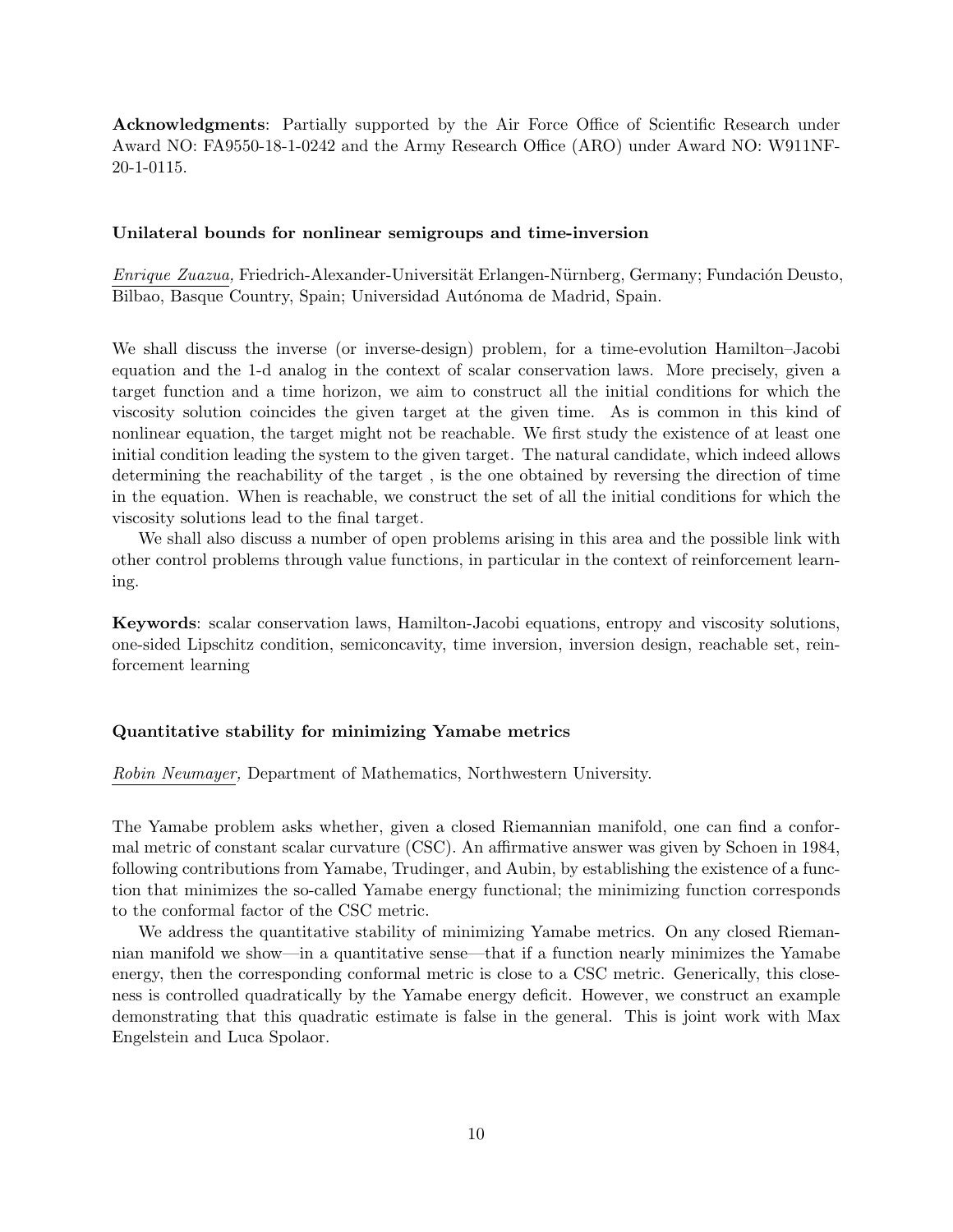**Acknowledgments**: Partially supported by the Air Force Office of Scientific Research under Award NO: FA9550-18-1-0242 and the Army Research Office (ARO) under Award NO: W911NF-20-1-0115.

#### **Unilateral bounds for nonlinear semigroups and time-inversion**

*Enrique Zuazua,* Friedrich-Alexander-Universität Erlangen-Nürnberg, Germany; Fundación Deusto, Bilbao, Basque Country, Spain; Universidad Autónoma de Madrid, Spain.

We shall discuss the inverse (or inverse-design) problem, for a time-evolution Hamilton–Jacobi equation and the 1-d analog in the context of scalar conservation laws. More precisely, given a target function and a time horizon, we aim to construct all the initial conditions for which the viscosity solution coincides the given target at the given time. As is common in this kind of nonlinear equation, the target might not be reachable. We first study the existence of at least one initial condition leading the system to the given target. The natural candidate, which indeed allows determining the reachability of the target , is the one obtained by reversing the direction of time in the equation. When is reachable, we construct the set of all the initial conditions for which the viscosity solutions lead to the final target.

We shall also discuss a number of open problems arising in this area and the possible link with other control problems through value functions, in particular in the context of reinforcement learning.

**Keywords**: scalar conservation laws, Hamilton-Jacobi equations, entropy and viscosity solutions, one-sided Lipschitz condition, semiconcavity, time inversion, inversion design, reachable set, reinforcement learning

#### **Quantitative stability for minimizing Yamabe metrics**

*Robin Neumayer,* Department of Mathematics, Northwestern University.

The Yamabe problem asks whether, given a closed Riemannian manifold, one can find a conformal metric of constant scalar curvature (CSC). An affirmative answer was given by Schoen in 1984, following contributions from Yamabe, Trudinger, and Aubin, by establishing the existence of a function that minimizes the so-called Yamabe energy functional; the minimizing function corresponds to the conformal factor of the CSC metric.

We address the quantitative stability of minimizing Yamabe metrics. On any closed Riemannian manifold we show—in a quantitative sense—that if a function nearly minimizes the Yamabe energy, then the corresponding conformal metric is close to a CSC metric. Generically, this closeness is controlled quadratically by the Yamabe energy deficit. However, we construct an example demonstrating that this quadratic estimate is false in the general. This is joint work with Max Engelstein and Luca Spolaor.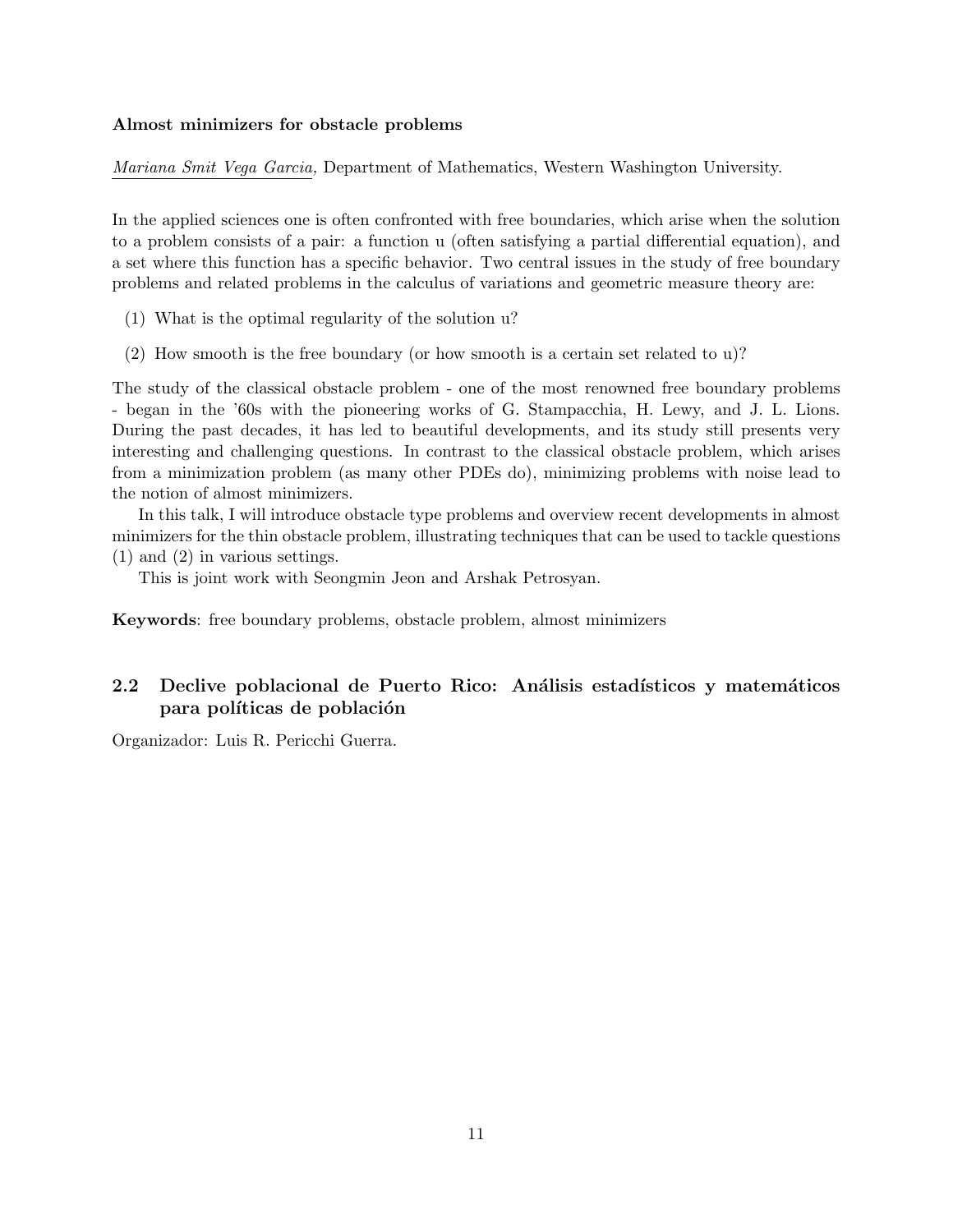#### **Almost minimizers for obstacle problems**

*Mariana Smit Vega Garcia,* Department of Mathematics, Western Washington University.

In the applied sciences one is often confronted with free boundaries, which arise when the solution to a problem consists of a pair: a function u (often satisfying a partial differential equation), and a set where this function has a specific behavior. Two central issues in the study of free boundary problems and related problems in the calculus of variations and geometric measure theory are:

- (1) What is the optimal regularity of the solution u?
- (2) How smooth is the free boundary (or how smooth is a certain set related to u)?

The study of the classical obstacle problem - one of the most renowned free boundary problems - began in the '60s with the pioneering works of G. Stampacchia, H. Lewy, and J. L. Lions. During the past decades, it has led to beautiful developments, and its study still presents very interesting and challenging questions. In contrast to the classical obstacle problem, which arises from a minimization problem (as many other PDEs do), minimizing problems with noise lead to the notion of almost minimizers.

In this talk, I will introduce obstacle type problems and overview recent developments in almost minimizers for the thin obstacle problem, illustrating techniques that can be used to tackle questions (1) and (2) in various settings.

This is joint work with Seongmin Jeon and Arshak Petrosyan.

**Keywords**: free boundary problems, obstacle problem, almost minimizers

## **2.2 Declive poblacional de Puerto Rico: Análisis estadísticos y matemáticos** para políticas de población

Organizador: Luis R. Pericchi Guerra.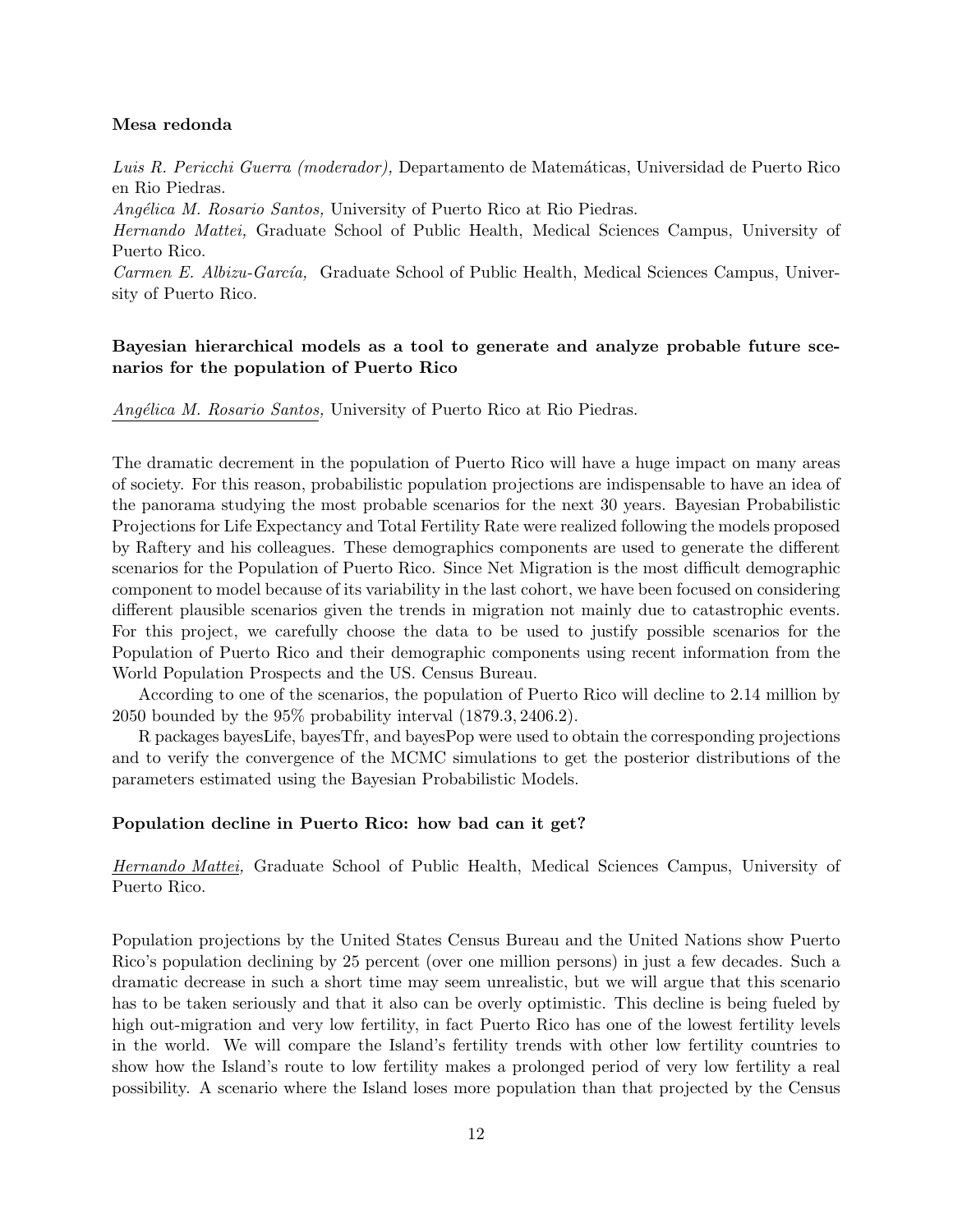#### **Mesa redonda**

*Luis R. Pericchi Guerra (moderador),* Departamento de Matem´aticas, Universidad de Puerto Rico en Rio Piedras.

*Ang´elica M. Rosario Santos,* University of Puerto Rico at Rio Piedras.

*Hernando Mattei,* Graduate School of Public Health, Medical Sciences Campus, University of Puerto Rico.

*Carmen E. Albizu-Garc´ıa,* Graduate School of Public Health, Medical Sciences Campus, University of Puerto Rico.

#### **Bayesian hierarchical models as a tool to generate and analyze probable future scenarios for the population of Puerto Rico**

*Ang´elica M. Rosario Santos,* University of Puerto Rico at Rio Piedras.

The dramatic decrement in the population of Puerto Rico will have a huge impact on many areas of society. For this reason, probabilistic population projections are indispensable to have an idea of the panorama studying the most probable scenarios for the next 30 years. Bayesian Probabilistic Projections for Life Expectancy and Total Fertility Rate were realized following the models proposed by Raftery and his colleagues. These demographics components are used to generate the different scenarios for the Population of Puerto Rico. Since Net Migration is the most difficult demographic component to model because of its variability in the last cohort, we have been focused on considering different plausible scenarios given the trends in migration not mainly due to catastrophic events. For this project, we carefully choose the data to be used to justify possible scenarios for the Population of Puerto Rico and their demographic components using recent information from the World Population Prospects and the US. Census Bureau.

According to one of the scenarios, the population of Puerto Rico will decline to 2.14 million by 2050 bounded by the 95% probability interval (1879*.*3*,* 2406*.*2).

R packages bayesLife, bayesTfr, and bayesPop were used to obtain the corresponding projections and to verify the convergence of the MCMC simulations to get the posterior distributions of the parameters estimated using the Bayesian Probabilistic Models.

#### **Population decline in Puerto Rico: how bad can it get?**

*Hernando Mattei,* Graduate School of Public Health, Medical Sciences Campus, University of Puerto Rico.

Population projections by the United States Census Bureau and the United Nations show Puerto Rico's population declining by 25 percent (over one million persons) in just a few decades. Such a dramatic decrease in such a short time may seem unrealistic, but we will argue that this scenario has to be taken seriously and that it also can be overly optimistic. This decline is being fueled by high out-migration and very low fertility, in fact Puerto Rico has one of the lowest fertility levels in the world. We will compare the Island's fertility trends with other low fertility countries to show how the Island's route to low fertility makes a prolonged period of very low fertility a real possibility. A scenario where the Island loses more population than that projected by the Census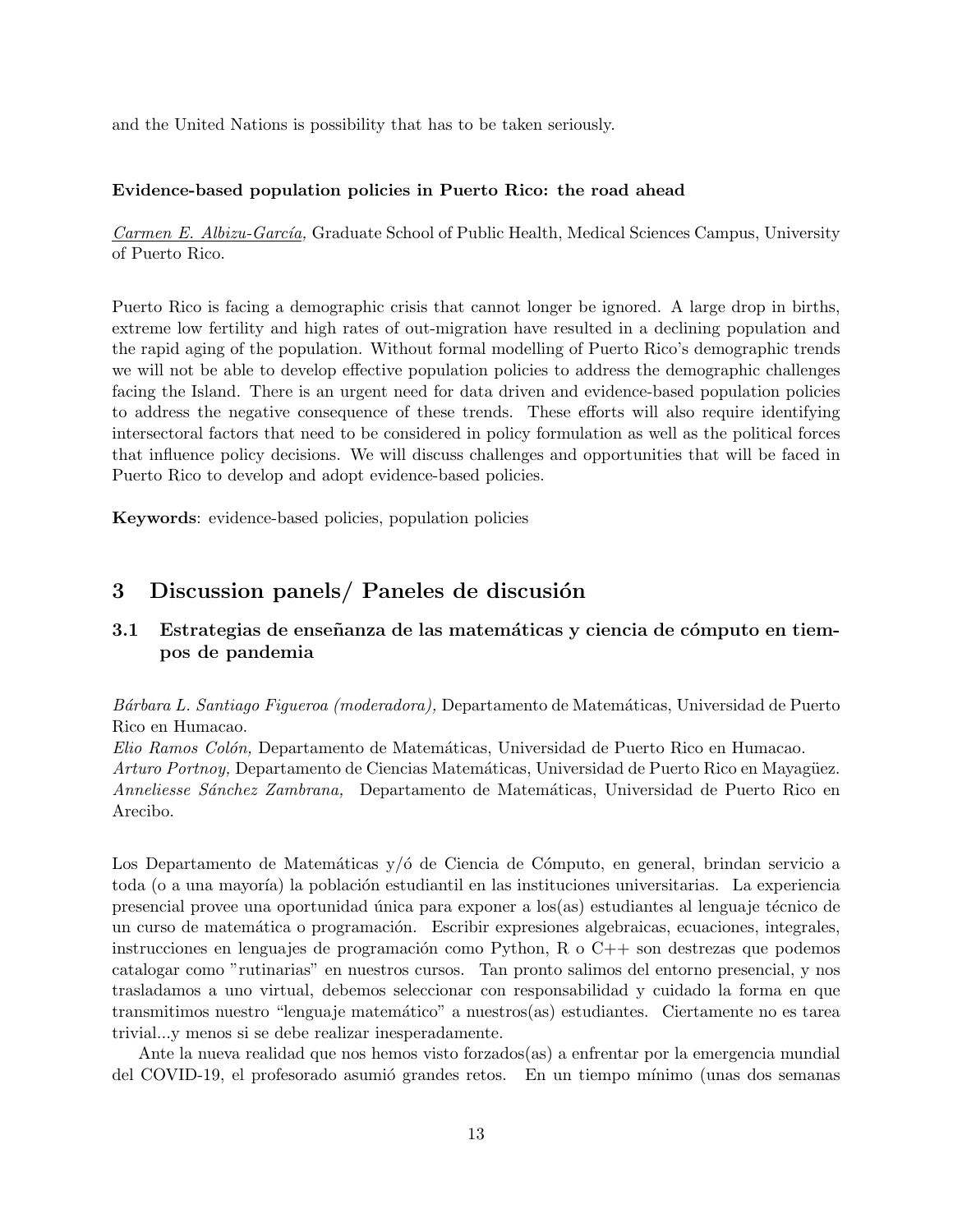and the United Nations is possibility that has to be taken seriously.

#### **Evidence-based population policies in Puerto Rico: the road ahead**

*Carmen E. Albizu-Garc´ıa,* Graduate School of Public Health, Medical Sciences Campus, University of Puerto Rico.

Puerto Rico is facing a demographic crisis that cannot longer be ignored. A large drop in births, extreme low fertility and high rates of out-migration have resulted in a declining population and the rapid aging of the population. Without formal modelling of Puerto Rico's demographic trends we will not be able to develop effective population policies to address the demographic challenges facing the Island. There is an urgent need for data driven and evidence-based population policies to address the negative consequence of these trends. These efforts will also require identifying intersectoral factors that need to be considered in policy formulation as well as the political forces that influence policy decisions. We will discuss challenges and opportunities that will be faced in Puerto Rico to develop and adopt evidence-based policies.

**Keywords**: evidence-based policies, population policies

## **3** Discussion panels/ Paneles de discusión

## **3.1** Estrategias de enseñanza de las matemáticas y ciencia de cómputo en tiem**pos de pandemia**

*B´arbara L. Santiago Figueroa (moderadora),* Departamento de Matem´aticas, Universidad de Puerto Rico en Humacao.

*Elio Ramos Col´on,* Departamento de Matem´aticas, Universidad de Puerto Rico en Humacao. Arturo Portnoy, Departamento de Ciencias Matemáticas, Universidad de Puerto Rico en Mayagüez. *Anneliesse S´anchez Zambrana,* Departamento de Matem´aticas, Universidad de Puerto Rico en Arecibo.

Los Departamento de Matemáticas y/ó de Ciencia de Cómputo, en general, brindan servicio a toda (o a una mayoría) la población estudiantil en las instituciones universitarias. La experiencia presencial provee una oportunidad única para exponer a  $\log(\text{as})$  estudiantes al lenguaje técnico de un curso de matemática o programación. Escribir expresiones algebraicas, ecuaciones, integrales, instrucciones en lenguajes de programación como Python, R o  $C++$  son destrezas que podemos catalogar como "rutinarias" en nuestros cursos. Tan pronto salimos del entorno presencial, y nos trasladamos a uno virtual, debemos seleccionar con responsabilidad y cuidado la forma en que transmitimos nuestro "lenguaje matem´atico" a nuestros(as) estudiantes. Ciertamente no es tarea trivial...y menos si se debe realizar inesperadamente.

Ante la nueva realidad que nos hemos visto forzados(as) a enfrentar por la emergencia mundial del COVID-19, el profesorado asumió grandes retos. En un tiempo mínimo (unas dos semanas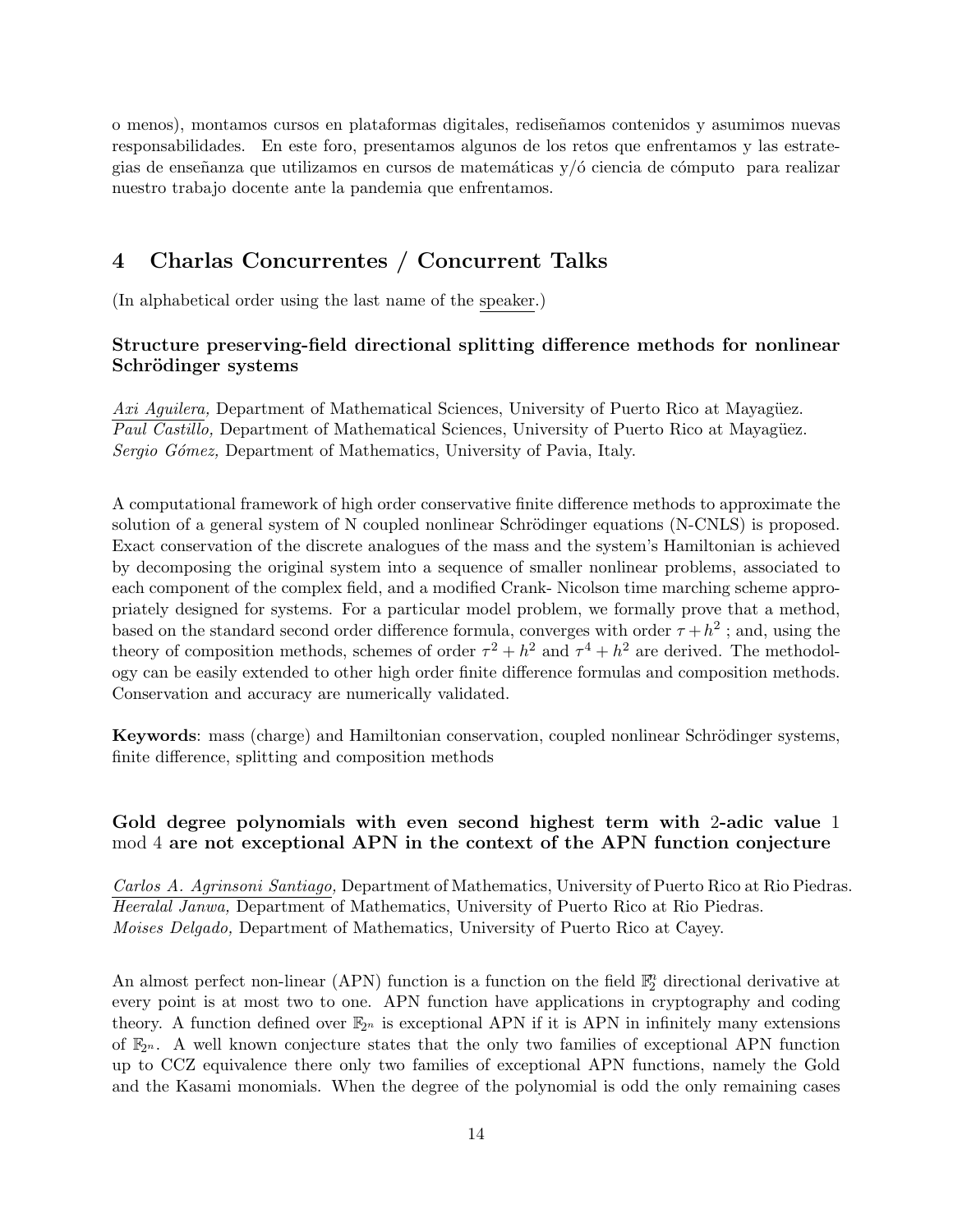o menos), montamos cursos en plataformas digitales, redise˜namos contenidos y asumimos nuevas responsabilidades. En este foro, presentamos algunos de los retos que enfrentamos y las estrategias de enseñanza que utilizamos en cursos de matemáticas  $y/6$  ciencia de cómputo para realizar nuestro trabajo docente ante la pandemia que enfrentamos.

# **4 Charlas Concurrentes / Concurrent Talks**

(In alphabetical order using the last name of the speaker.)

## **Structure preserving-field directional splitting difference methods for nonlinear Schr¨odinger systems**

Axi Aguilera, Department of Mathematical Sciences, University of Puerto Rico at Mayagüez. *Paul Castillo,* Department of Mathematical Sciences, University of Puerto Rico at Mayagüez. *Sergio G´omez,* Department of Mathematics, University of Pavia, Italy.

A computational framework of high order conservative finite difference methods to approximate the solution of a general system of N coupled nonlinear Schrödinger equations (N-CNLS) is proposed. Exact conservation of the discrete analogues of the mass and the system's Hamiltonian is achieved by decomposing the original system into a sequence of smaller nonlinear problems, associated to each component of the complex field, and a modified Crank- Nicolson time marching scheme appropriately designed for systems. For a particular model problem, we formally prove that a method, based on the standard second order difference formula, converges with order  $\tau + h^2$ ; and, using the theory of composition methods, schemes of order  $\tau^2 + h^2$  and  $\tau^4 + h^2$  are derived. The methodology can be easily extended to other high order finite difference formulas and composition methods. Conservation and accuracy are numerically validated.

**Keywords**: mass (charge) and Hamiltonian conservation, coupled nonlinear Schrödinger systems, finite difference, splitting and composition methods

## **Gold degree polynomials with even second highest term with** 2**-adic value** 1 mod 4 **are not exceptional APN in the context of the APN function conjecture**

*Carlos A. Agrinsoni Santiago,* Department of Mathematics, University of Puerto Rico at Rio Piedras. *Heeralal Janwa,* Department of Mathematics, University of Puerto Rico at Rio Piedras. *Moises Delgado,* Department of Mathematics, University of Puerto Rico at Cayey.

An almost perfect non-linear (APN) function is a function on the field  $\mathbb{F}_2^n$  directional derivative at every point is at most two to one. APN function have applications in cryptography and coding theory. A function defined over  $\mathbb{F}_{2^n}$  is exceptional APN if it is APN in infinitely many extensions of F2*<sup>n</sup>* . A well known conjecture states that the only two families of exceptional APN function up to CCZ equivalence there only two families of exceptional APN functions, namely the Gold and the Kasami monomials. When the degree of the polynomial is odd the only remaining cases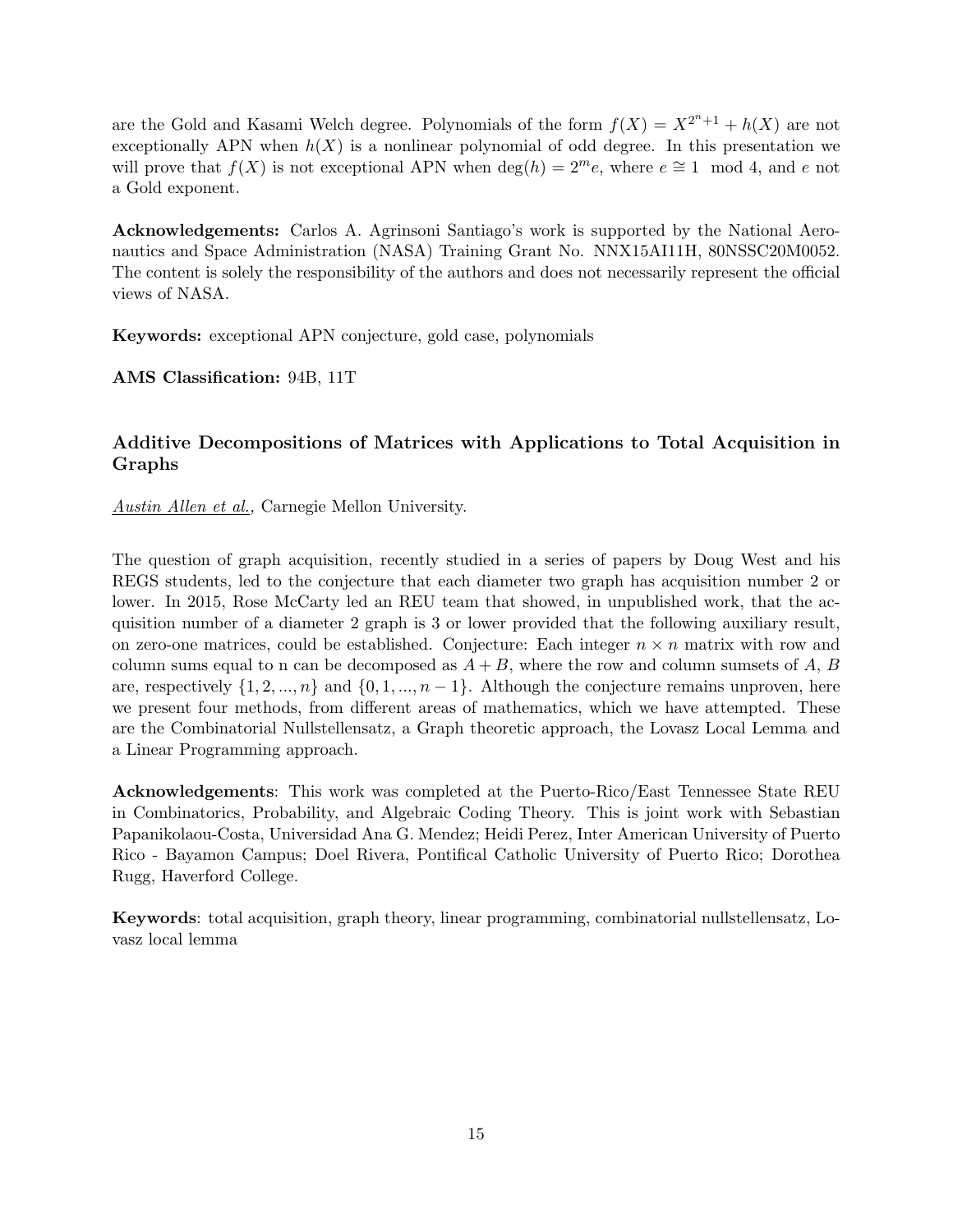are the Gold and Kasami Welch degree. Polynomials of the form  $f(X) = X^{2^n+1} + h(X)$  are not exceptionally APN when  $h(X)$  is a nonlinear polynomial of odd degree. In this presentation we will prove that  $f(X)$  is not exceptional APN when  $deg(h) = 2^m e$ , where  $e \approx 1 \mod 4$ , and *e* not a Gold exponent.

**Acknowledgements:** Carlos A. Agrinsoni Santiago's work is supported by the National Aeronautics and Space Administration (NASA) Training Grant No. NNX15AI11H, 80NSSC20M0052. The content is solely the responsibility of the authors and does not necessarily represent the official views of NASA.

**Keywords:** exceptional APN conjecture, gold case, polynomials

**AMS Classification:** 94B, 11T

### **Additive Decompositions of Matrices with Applications to Total Acquisition in Graphs**

*Austin Allen et al.,* Carnegie Mellon University.

The question of graph acquisition, recently studied in a series of papers by Doug West and his REGS students, led to the conjecture that each diameter two graph has acquisition number 2 or lower. In 2015, Rose McCarty led an REU team that showed, in unpublished work, that the acquisition number of a diameter 2 graph is 3 or lower provided that the following auxiliary result, on zero-one matrices, could be established. Conjecture: Each integer  $n \times n$  matrix with row and column sums equal to n can be decomposed as  $A + B$ , where the row and column sumsets of  $A, B$ are, respectively  $\{1, 2, ..., n\}$  and  $\{0, 1, ..., n-1\}$ . Although the conjecture remains unproven, here we present four methods, from different areas of mathematics, which we have attempted. These are the Combinatorial Nullstellensatz, a Graph theoretic approach, the Lovasz Local Lemma and a Linear Programming approach.

**Acknowledgements**: This work was completed at the Puerto-Rico/East Tennessee State REU in Combinatorics, Probability, and Algebraic Coding Theory. This is joint work with Sebastian Papanikolaou-Costa, Universidad Ana G. Mendez; Heidi Perez, Inter American University of Puerto Rico - Bayamon Campus; Doel Rivera, Pontifical Catholic University of Puerto Rico; Dorothea Rugg, Haverford College.

**Keywords**: total acquisition, graph theory, linear programming, combinatorial nullstellensatz, Lovasz local lemma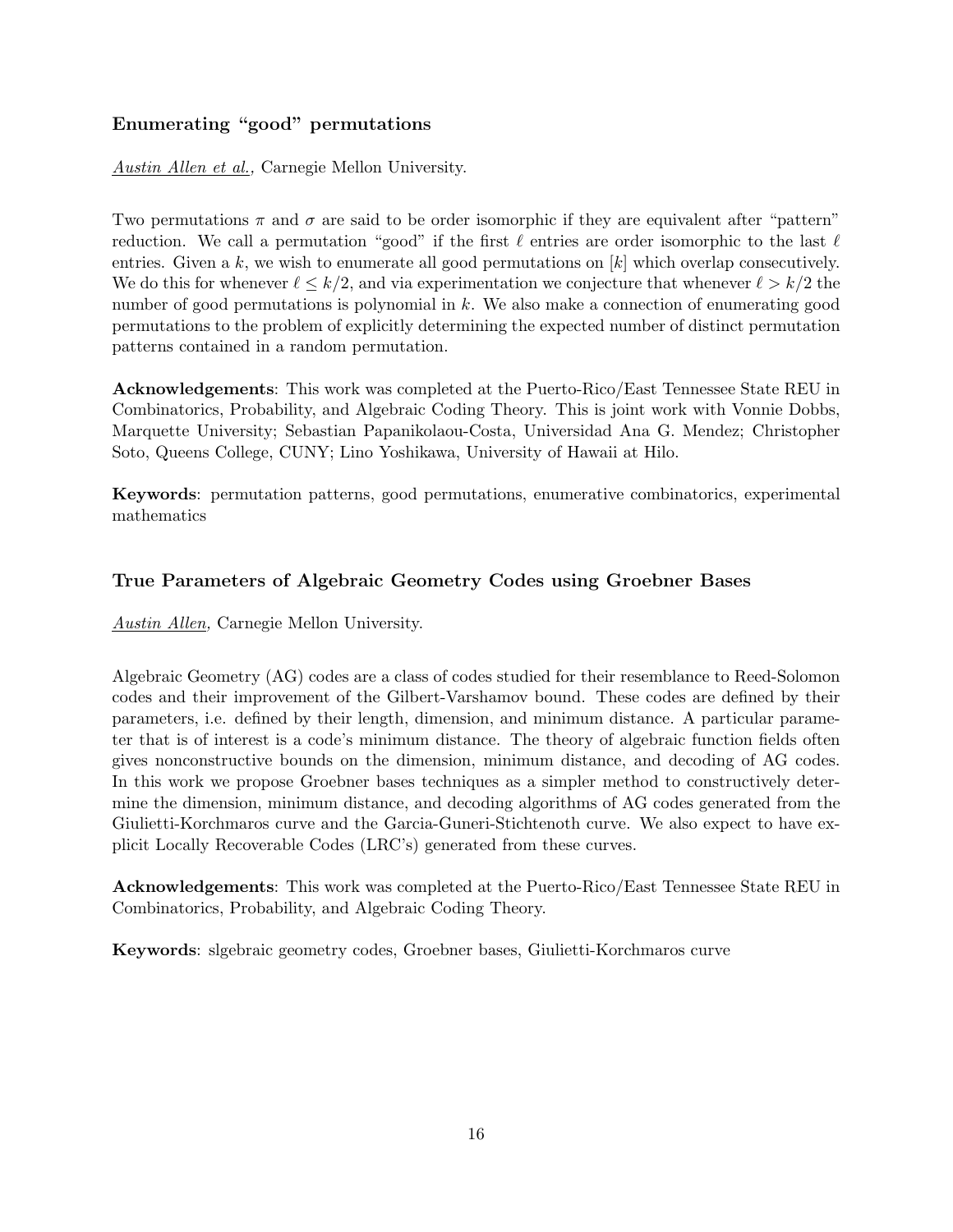## **Enumerating "good" permutations**

## *Austin Allen et al.,* Carnegie Mellon University.

Two permutations  $\pi$  and  $\sigma$  are said to be order isomorphic if they are equivalent after "pattern" reduction. We call a permutation "good" if the first *ℓ* entries are order isomorphic to the last *ℓ* entries. Given a *k*, we wish to enumerate all good permutations on [*k*] which overlap consecutively. We do this for whenever  $\ell \leq k/2$ , and via experimentation we conjecture that whenever  $\ell > k/2$  the number of good permutations is polynomial in *k*. We also make a connection of enumerating good permutations to the problem of explicitly determining the expected number of distinct permutation patterns contained in a random permutation.

**Acknowledgements**: This work was completed at the Puerto-Rico/East Tennessee State REU in Combinatorics, Probability, and Algebraic Coding Theory. This is joint work with Vonnie Dobbs, Marquette University; Sebastian Papanikolaou-Costa, Universidad Ana G. Mendez; Christopher Soto, Queens College, CUNY; Lino Yoshikawa, University of Hawaii at Hilo.

**Keywords**: permutation patterns, good permutations, enumerative combinatorics, experimental mathematics

## **True Parameters of Algebraic Geometry Codes using Groebner Bases**

*Austin Allen,* Carnegie Mellon University.

Algebraic Geometry (AG) codes are a class of codes studied for their resemblance to Reed-Solomon codes and their improvement of the Gilbert-Varshamov bound. These codes are defined by their parameters, i.e. defined by their length, dimension, and minimum distance. A particular parameter that is of interest is a code's minimum distance. The theory of algebraic function fields often gives nonconstructive bounds on the dimension, minimum distance, and decoding of AG codes. In this work we propose Groebner bases techniques as a simpler method to constructively determine the dimension, minimum distance, and decoding algorithms of AG codes generated from the Giulietti-Korchmaros curve and the Garcia-Guneri-Stichtenoth curve. We also expect to have explicit Locally Recoverable Codes (LRC's) generated from these curves.

**Acknowledgements**: This work was completed at the Puerto-Rico/East Tennessee State REU in Combinatorics, Probability, and Algebraic Coding Theory.

**Keywords**: slgebraic geometry codes, Groebner bases, Giulietti-Korchmaros curve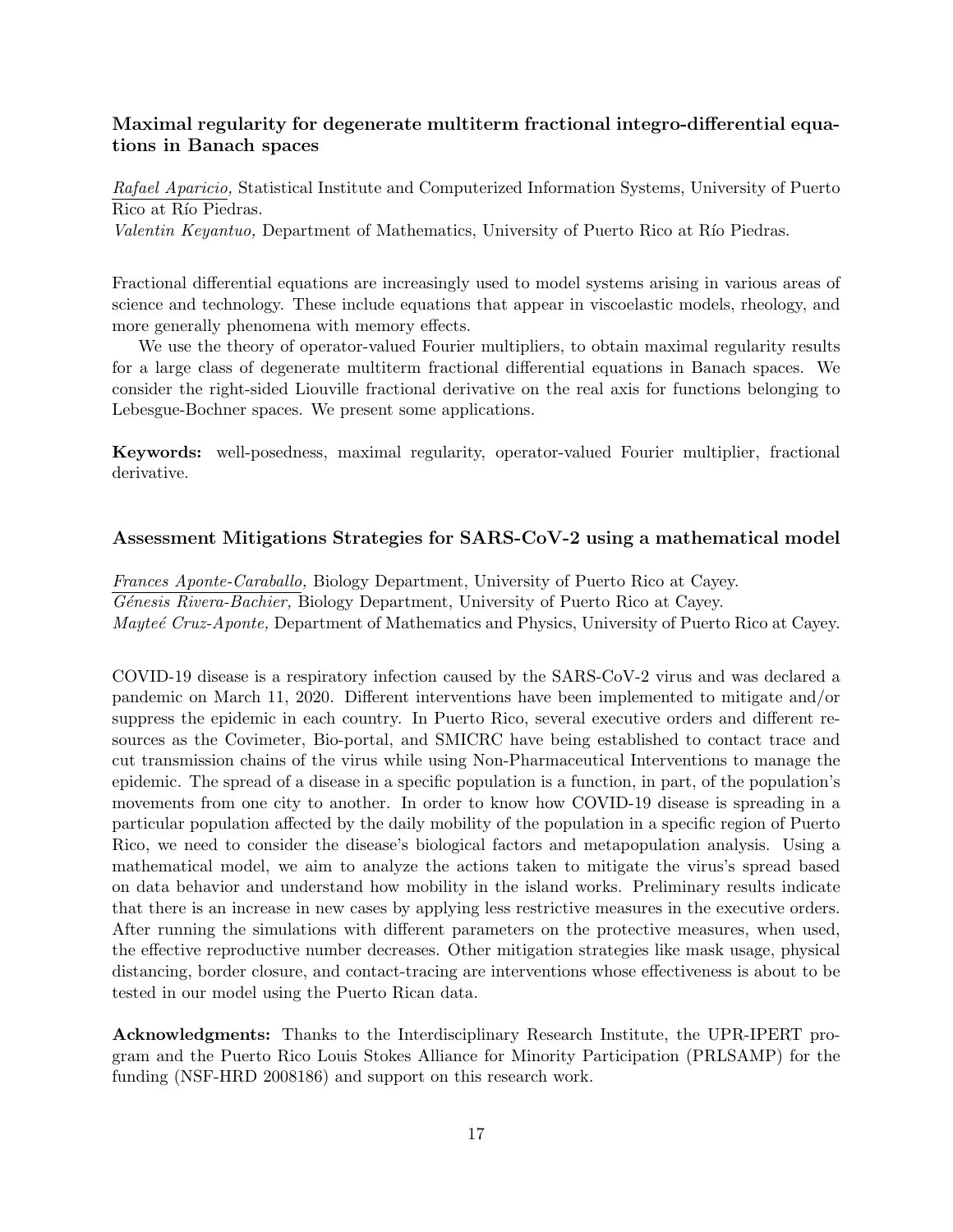## **Maximal regularity for degenerate multiterm fractional integro-differential equations in Banach spaces**

*Rafael Aparicio,* Statistical Institute and Computerized Information Systems, University of Puerto Rico at Río Piedras.

*Valentin Keyantuo*, Department of Mathematics, University of Puerto Rico at Río Piedras.

Fractional differential equations are increasingly used to model systems arising in various areas of science and technology. These include equations that appear in viscoelastic models, rheology, and more generally phenomena with memory effects.

We use the theory of operator-valued Fourier multipliers, to obtain maximal regularity results for a large class of degenerate multiterm fractional differential equations in Banach spaces. We consider the right-sided Liouville fractional derivative on the real axis for functions belonging to Lebesgue-Bochner spaces. We present some applications.

**Keywords:** well-posedness, maximal regularity, operator-valued Fourier multiplier, fractional derivative.

#### **Assessment Mitigations Strategies for SARS-CoV-2 using a mathematical model**

*Frances Aponte-Caraballo,* Biology Department, University of Puerto Rico at Cayey. *G´enesis Rivera-Bachier,* Biology Department, University of Puerto Rico at Cayey. *Mayte´e Cruz-Aponte,* Department of Mathematics and Physics, University of Puerto Rico at Cayey.

COVID-19 disease is a respiratory infection caused by the SARS-CoV-2 virus and was declared a pandemic on March 11, 2020. Different interventions have been implemented to mitigate and/or suppress the epidemic in each country. In Puerto Rico, several executive orders and different resources as the Covimeter, Bio-portal, and SMICRC have being established to contact trace and cut transmission chains of the virus while using Non-Pharmaceutical Interventions to manage the epidemic. The spread of a disease in a specific population is a function, in part, of the population's movements from one city to another. In order to know how COVID-19 disease is spreading in a particular population affected by the daily mobility of the population in a specific region of Puerto Rico, we need to consider the disease's biological factors and metapopulation analysis. Using a mathematical model, we aim to analyze the actions taken to mitigate the virus's spread based on data behavior and understand how mobility in the island works. Preliminary results indicate that there is an increase in new cases by applying less restrictive measures in the executive orders. After running the simulations with different parameters on the protective measures, when used, the effective reproductive number decreases. Other mitigation strategies like mask usage, physical distancing, border closure, and contact-tracing are interventions whose effectiveness is about to be tested in our model using the Puerto Rican data.

**Acknowledgments:** Thanks to the Interdisciplinary Research Institute, the UPR-IPERT program and the Puerto Rico Louis Stokes Alliance for Minority Participation (PRLSAMP) for the funding (NSF-HRD 2008186) and support on this research work.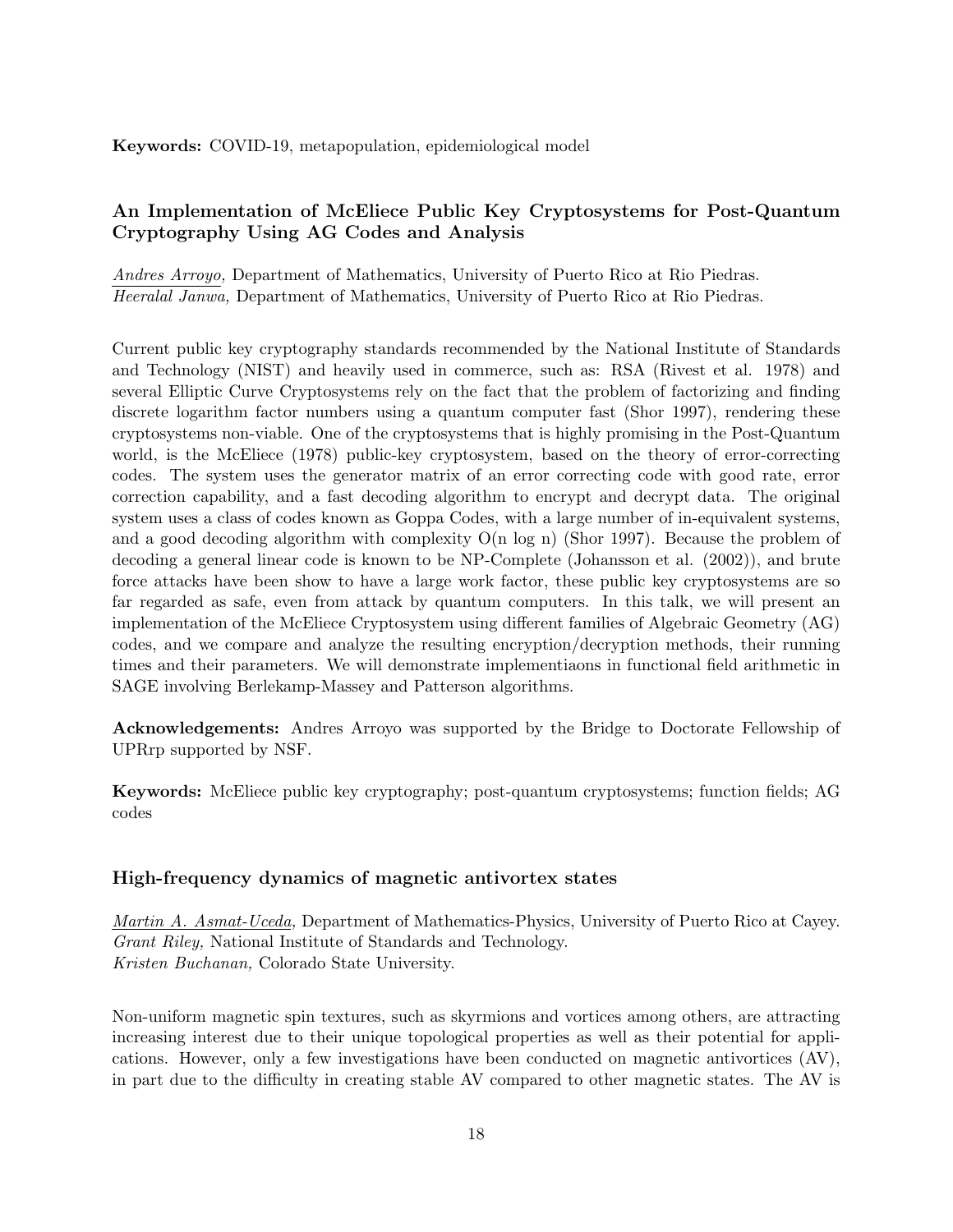## **An Implementation of McEliece Public Key Cryptosystems for Post-Quantum Cryptography Using AG Codes and Analysis**

*Andres Arroyo,* Department of Mathematics, University of Puerto Rico at Rio Piedras. *Heeralal Janwa,* Department of Mathematics, University of Puerto Rico at Rio Piedras.

Current public key cryptography standards recommended by the National Institute of Standards and Technology (NIST) and heavily used in commerce, such as: RSA (Rivest et al. 1978) and several Elliptic Curve Cryptosystems rely on the fact that the problem of factorizing and finding discrete logarithm factor numbers using a quantum computer fast (Shor 1997), rendering these cryptosystems non-viable. One of the cryptosystems that is highly promising in the Post-Quantum world, is the McEliece (1978) public-key cryptosystem, based on the theory of error-correcting codes. The system uses the generator matrix of an error correcting code with good rate, error correction capability, and a fast decoding algorithm to encrypt and decrypt data. The original system uses a class of codes known as Goppa Codes, with a large number of in-equivalent systems, and a good decoding algorithm with complexity  $O(n \log n)$  (Shor 1997). Because the problem of decoding a general linear code is known to be NP-Complete (Johansson et al. (2002)), and brute force attacks have been show to have a large work factor, these public key cryptosystems are so far regarded as safe, even from attack by quantum computers. In this talk, we will present an implementation of the McEliece Cryptosystem using different families of Algebraic Geometry (AG) codes, and we compare and analyze the resulting encryption/decryption methods, their running times and their parameters. We will demonstrate implementiaons in functional field arithmetic in SAGE involving Berlekamp-Massey and Patterson algorithms.

**Acknowledgements:** Andres Arroyo was supported by the Bridge to Doctorate Fellowship of UPRrp supported by NSF.

**Keywords:** McEliece public key cryptography; post-quantum cryptosystems; function fields; AG codes

## **High-frequency dynamics of magnetic antivortex states**

*Martin A. Asmat-Uceda,* Department of Mathematics-Physics, University of Puerto Rico at Cayey. *Grant Riley,* National Institute of Standards and Technology. *Kristen Buchanan,* Colorado State University.

Non-uniform magnetic spin textures, such as skyrmions and vortices among others, are attracting increasing interest due to their unique topological properties as well as their potential for applications. However, only a few investigations have been conducted on magnetic antivortices (AV), in part due to the difficulty in creating stable AV compared to other magnetic states. The AV is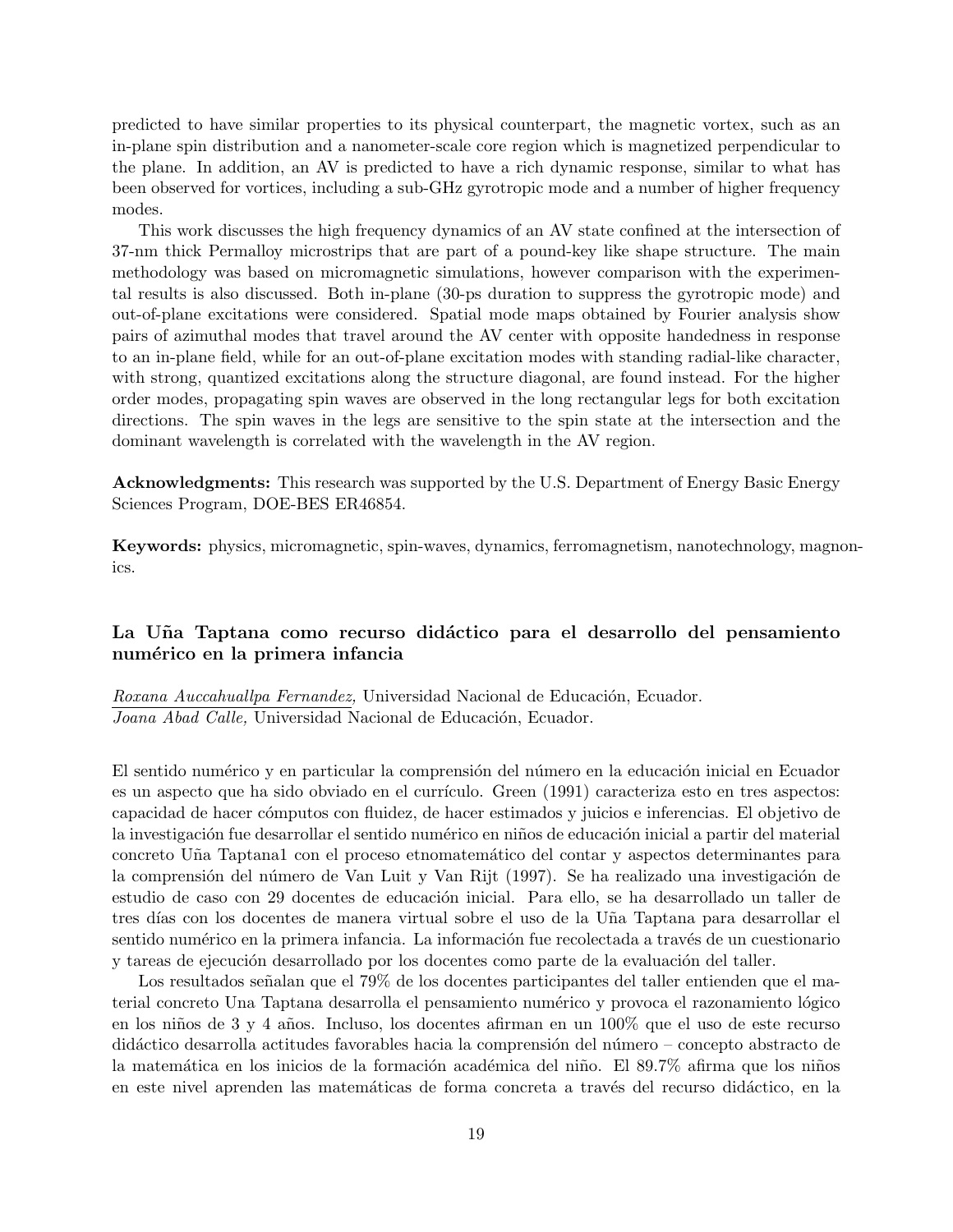predicted to have similar properties to its physical counterpart, the magnetic vortex, such as an in-plane spin distribution and a nanometer-scale core region which is magnetized perpendicular to the plane. In addition, an AV is predicted to have a rich dynamic response, similar to what has been observed for vortices, including a sub-GHz gyrotropic mode and a number of higher frequency modes.

This work discusses the high frequency dynamics of an AV state confined at the intersection of 37-nm thick Permalloy microstrips that are part of a pound-key like shape structure. The main methodology was based on micromagnetic simulations, however comparison with the experimental results is also discussed. Both in-plane (30-ps duration to suppress the gyrotropic mode) and out-of-plane excitations were considered. Spatial mode maps obtained by Fourier analysis show pairs of azimuthal modes that travel around the AV center with opposite handedness in response to an in-plane field, while for an out-of-plane excitation modes with standing radial-like character, with strong, quantized excitations along the structure diagonal, are found instead. For the higher order modes, propagating spin waves are observed in the long rectangular legs for both excitation directions. The spin waves in the legs are sensitive to the spin state at the intersection and the dominant wavelength is correlated with the wavelength in the AV region.

**Acknowledgments:** This research was supported by the U.S. Department of Energy Basic Energy Sciences Program, DOE-BES ER46854.

**Keywords:** physics, micromagnetic, spin-waves, dynamics, ferromagnetism, nanotechnology, magnonics.

## **La U˜na Taptana como recurso did´actico para el desarrollo del pensamiento num´erico en la primera infancia**

*Roxana Auccahuallpa Fernandez,* Universidad Nacional de Educación, Ecuador. *Joana Abad Calle,* Universidad Nacional de Educación, Ecuador.

El sentido numérico y en particular la comprensión del número en la educación inicial en Ecuador es un aspecto que ha sido obviado en el currículo. Green (1991) caracteriza esto en tres aspectos: capacidad de hacer c´omputos con fluidez, de hacer estimados y juicios e inferencias. El objetivo de la investigación fue desarrollar el sentido numérico en niños de educación inicial a partir del material concreto U˜na Taptana1 con el proceso etnomatem´atico del contar y aspectos determinantes para la comprensión del número de Van Luit y Van Rijt (1997). Se ha realizado una investigación de estudio de caso con 29 docentes de educación inicial. Para ello, se ha desarrollado un taller de tres d´ıas con los docentes de manera virtual sobre el uso de la U˜na Taptana para desarrollar el sentido numérico en la primera infancia. La información fue recolectada a través de un cuestionario y tareas de ejecución desarrollado por los docentes como parte de la evaluación del taller.

Los resultados señalan que el 79% de los docentes participantes del taller entienden que el material concreto Una Taptana desarrolla el pensamiento numérico y provoca el razonamiento lógico en los niños de 3 y 4 años. Incluso, los docentes afirman en un 100% que el uso de este recurso didáctico desarrolla actitudes favorables hacia la comprensión del número – concepto abstracto de la matemática en los inicios de la formación académica del niño. El 89.7% afirma que los niños en este nivel aprenden las matemáticas de forma concreta a través del recurso didáctico, en la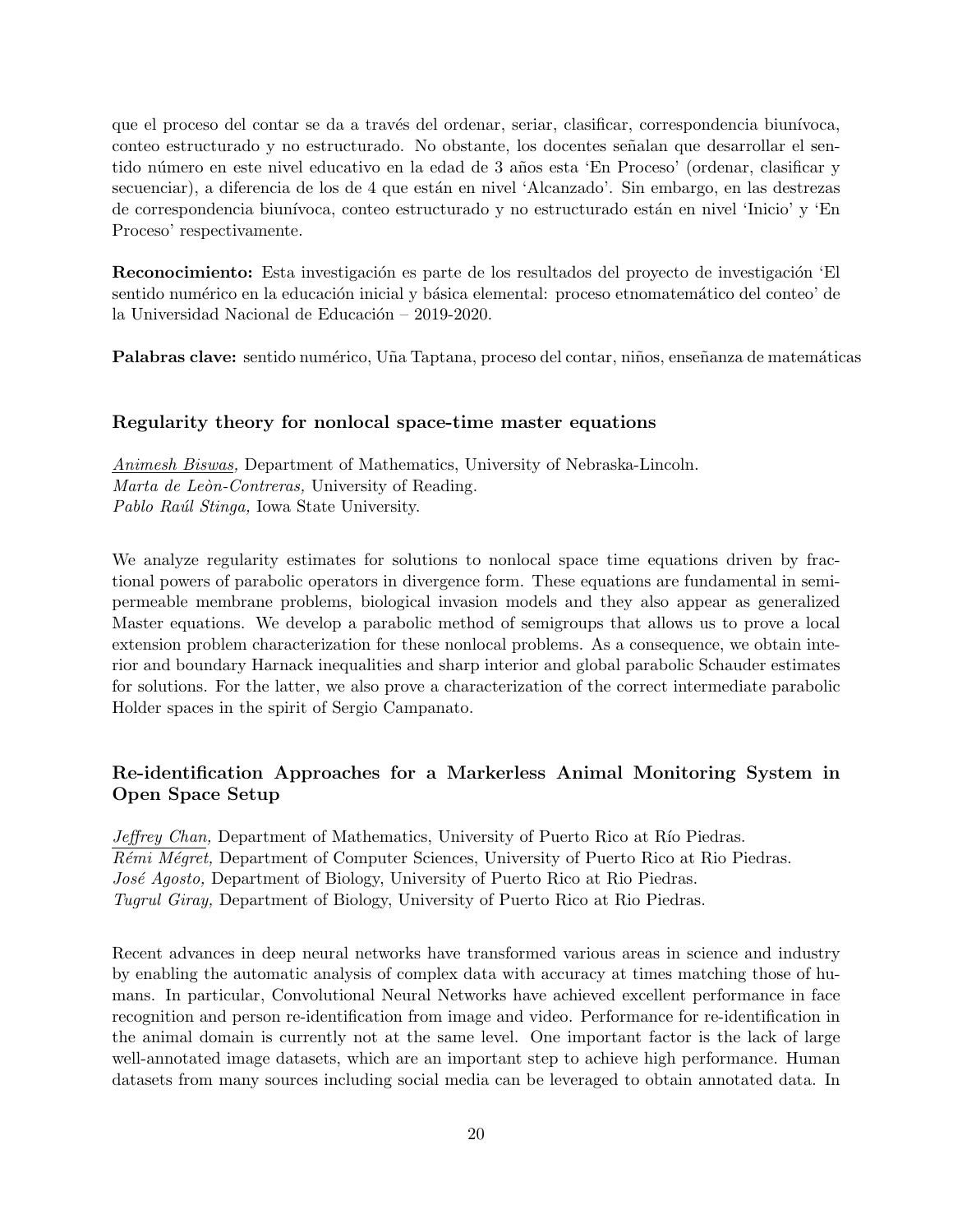que el proceso del contar se da a través del ordenar, seriar, clasificar, correspondencia biunívoca, conteo estructurado y no estructurado. No obstante, los docentes señalan que desarrollar el sentido número en este nivel educativo en la edad de 3 años esta 'En Proceso' (ordenar, clasificar y secuenciar), a diferencia de los de 4 que están en nivel 'Alcanzado'. Sin embargo, en las destrezas de correspondencia biunívoca, conteo estructurado y no estructurado están en nivel 'Inicio' y 'En Proceso' respectivamente.

**Reconocimiento:** Esta investigación es parte de los resultados del proyecto de investigación 'El sentido numérico en la educación inicial y básica elemental: proceso etnomatemático del conteo' de la Universidad Nacional de Educación –  $2019-2020$ .

**Palabras clave:** sentido numérico, Uña Taptana, proceso del contar, niños, enseñanza de matemáticas

#### **Regularity theory for nonlocal space-time master equations**

*Animesh Biswas,* Department of Mathematics, University of Nebraska-Lincoln. *Marta de Le`on-Contreras,* University of Reading. *Pablo Ra´ul Stinga,* Iowa State University.

We analyze regularity estimates for solutions to nonlocal space time equations driven by fractional powers of parabolic operators in divergence form. These equations are fundamental in semipermeable membrane problems, biological invasion models and they also appear as generalized Master equations. We develop a parabolic method of semigroups that allows us to prove a local extension problem characterization for these nonlocal problems. As a consequence, we obtain interior and boundary Harnack inequalities and sharp interior and global parabolic Schauder estimates for solutions. For the latter, we also prove a characterization of the correct intermediate parabolic Holder spaces in the spirit of Sergio Campanato.

## **Re-identification Approaches for a Markerless Animal Monitoring System in Open Space Setup**

*Jeffrey Chan*, Department of Mathematics, University of Puerto Rico at Río Piedras. *R´emi M´egret,* Department of Computer Sciences, University of Puerto Rico at Rio Piedras. *José Agosto,* Department of Biology, University of Puerto Rico at Rio Piedras. *Tugrul Giray,* Department of Biology, University of Puerto Rico at Rio Piedras.

Recent advances in deep neural networks have transformed various areas in science and industry by enabling the automatic analysis of complex data with accuracy at times matching those of humans. In particular, Convolutional Neural Networks have achieved excellent performance in face recognition and person re-identification from image and video. Performance for re-identification in the animal domain is currently not at the same level. One important factor is the lack of large well-annotated image datasets, which are an important step to achieve high performance. Human datasets from many sources including social media can be leveraged to obtain annotated data. In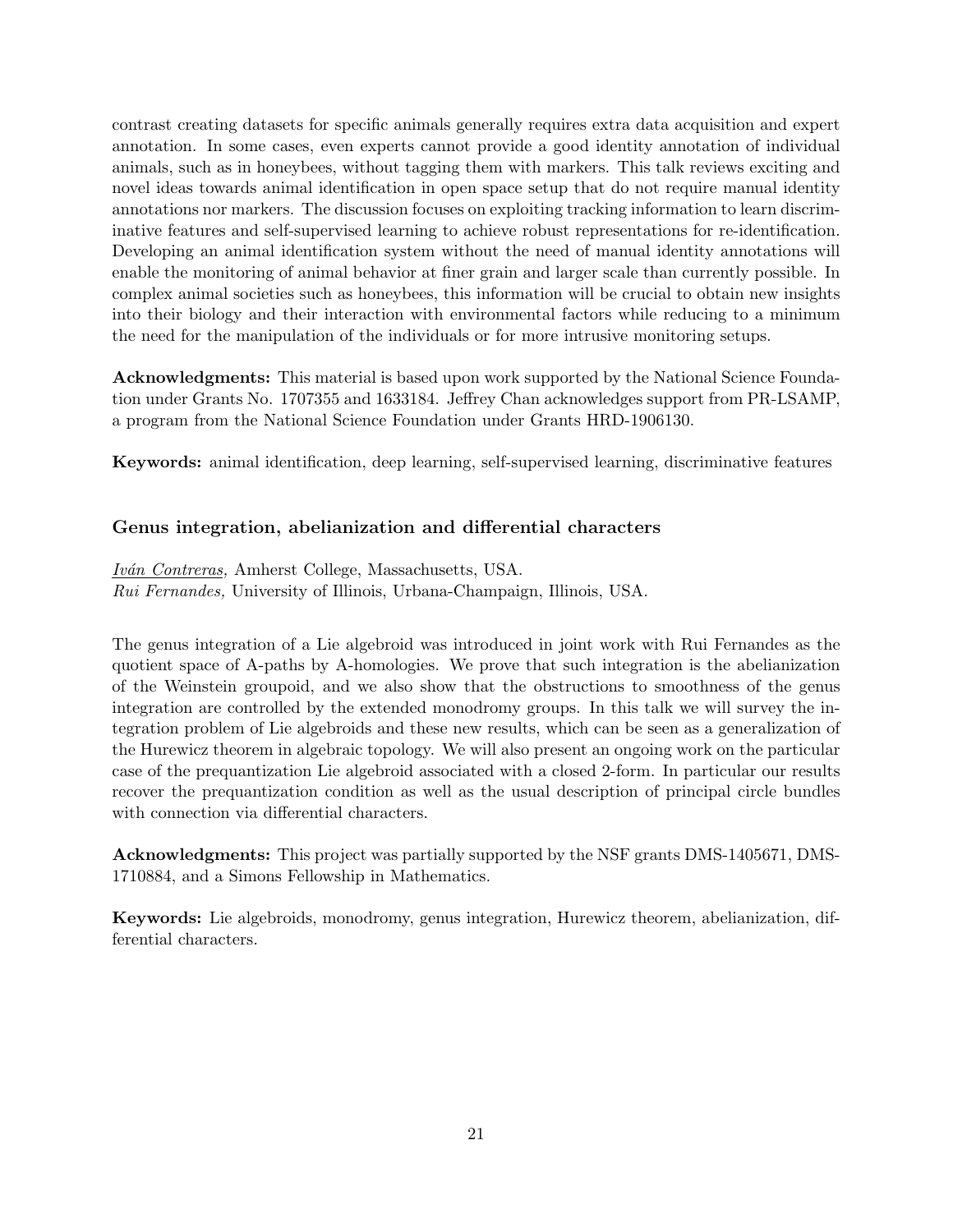contrast creating datasets for specific animals generally requires extra data acquisition and expert annotation. In some cases, even experts cannot provide a good identity annotation of individual animals, such as in honeybees, without tagging them with markers. This talk reviews exciting and novel ideas towards animal identification in open space setup that do not require manual identity annotations nor markers. The discussion focuses on exploiting tracking information to learn discriminative features and self-supervised learning to achieve robust representations for re-identification. Developing an animal identification system without the need of manual identity annotations will enable the monitoring of animal behavior at finer grain and larger scale than currently possible. In complex animal societies such as honeybees, this information will be crucial to obtain new insights into their biology and their interaction with environmental factors while reducing to a minimum the need for the manipulation of the individuals or for more intrusive monitoring setups.

**Acknowledgments:** This material is based upon work supported by the National Science Foundation under Grants No. 1707355 and 1633184. Jeffrey Chan acknowledges support from PR-LSAMP, a program from the National Science Foundation under Grants HRD-1906130.

**Keywords:** animal identification, deep learning, self-supervised learning, discriminative features

#### **Genus integration, abelianization and differential characters**

*Iv´an Contreras,* Amherst College, Massachusetts, USA. *Rui Fernandes,* University of Illinois, Urbana-Champaign, Illinois, USA.

The genus integration of a Lie algebroid was introduced in joint work with Rui Fernandes as the quotient space of A-paths by A-homologies. We prove that such integration is the abelianization of the Weinstein groupoid, and we also show that the obstructions to smoothness of the genus integration are controlled by the extended monodromy groups. In this talk we will survey the integration problem of Lie algebroids and these new results, which can be seen as a generalization of the Hurewicz theorem in algebraic topology. We will also present an ongoing work on the particular case of the prequantization Lie algebroid associated with a closed 2-form. In particular our results recover the prequantization condition as well as the usual description of principal circle bundles with connection via differential characters.

**Acknowledgments:** This project was partially supported by the NSF grants DMS-1405671, DMS-1710884, and a Simons Fellowship in Mathematics.

**Keywords:** Lie algebroids, monodromy, genus integration, Hurewicz theorem, abelianization, differential characters.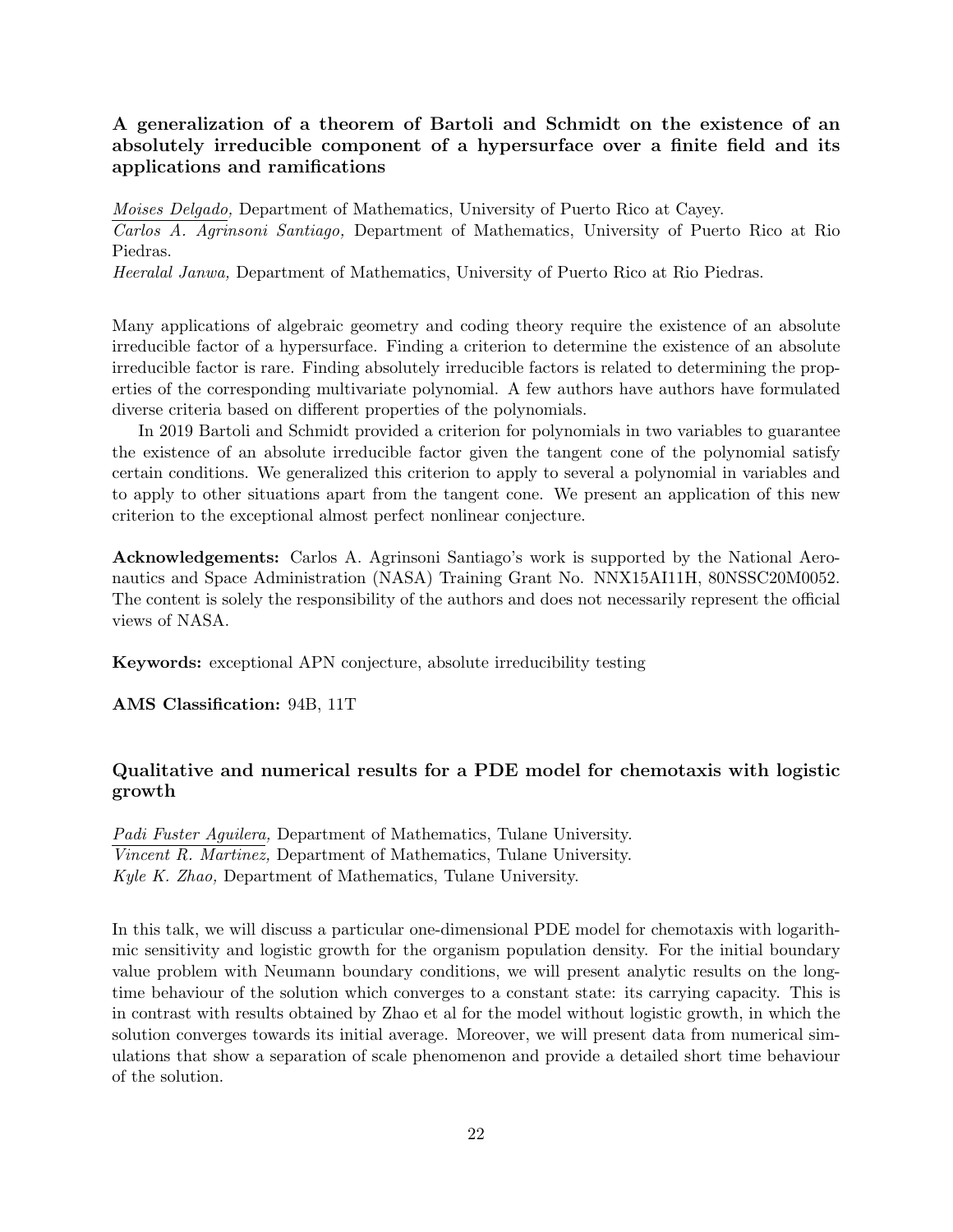## **A generalization of a theorem of Bartoli and Schmidt on the existence of an absolutely irreducible component of a hypersurface over a finite field and its applications and ramifications**

*Moises Delgado,* Department of Mathematics, University of Puerto Rico at Cayey. *Carlos A. Agrinsoni Santiago,* Department of Mathematics, University of Puerto Rico at Rio Piedras.

*Heeralal Janwa,* Department of Mathematics, University of Puerto Rico at Rio Piedras.

Many applications of algebraic geometry and coding theory require the existence of an absolute irreducible factor of a hypersurface. Finding a criterion to determine the existence of an absolute irreducible factor is rare. Finding absolutely irreducible factors is related to determining the properties of the corresponding multivariate polynomial. A few authors have authors have formulated diverse criteria based on different properties of the polynomials.

In 2019 Bartoli and Schmidt provided a criterion for polynomials in two variables to guarantee the existence of an absolute irreducible factor given the tangent cone of the polynomial satisfy certain conditions. We generalized this criterion to apply to several a polynomial in variables and to apply to other situations apart from the tangent cone. We present an application of this new criterion to the exceptional almost perfect nonlinear conjecture.

**Acknowledgements:** Carlos A. Agrinsoni Santiago's work is supported by the National Aeronautics and Space Administration (NASA) Training Grant No. NNX15AI11H, 80NSSC20M0052. The content is solely the responsibility of the authors and does not necessarily represent the official views of NASA.

**Keywords:** exceptional APN conjecture, absolute irreducibility testing

**AMS Classification:** 94B, 11T

## **Qualitative and numerical results for a PDE model for chemotaxis with logistic growth**

*Padi Fuster Aguilera,* Department of Mathematics, Tulane University. *Vincent R. Martinez,* Department of Mathematics, Tulane University. *Kyle K. Zhao,* Department of Mathematics, Tulane University.

In this talk, we will discuss a particular one-dimensional PDE model for chemotaxis with logarithmic sensitivity and logistic growth for the organism population density. For the initial boundary value problem with Neumann boundary conditions, we will present analytic results on the longtime behaviour of the solution which converges to a constant state: its carrying capacity. This is in contrast with results obtained by Zhao et al for the model without logistic growth, in which the solution converges towards its initial average. Moreover, we will present data from numerical simulations that show a separation of scale phenomenon and provide a detailed short time behaviour of the solution.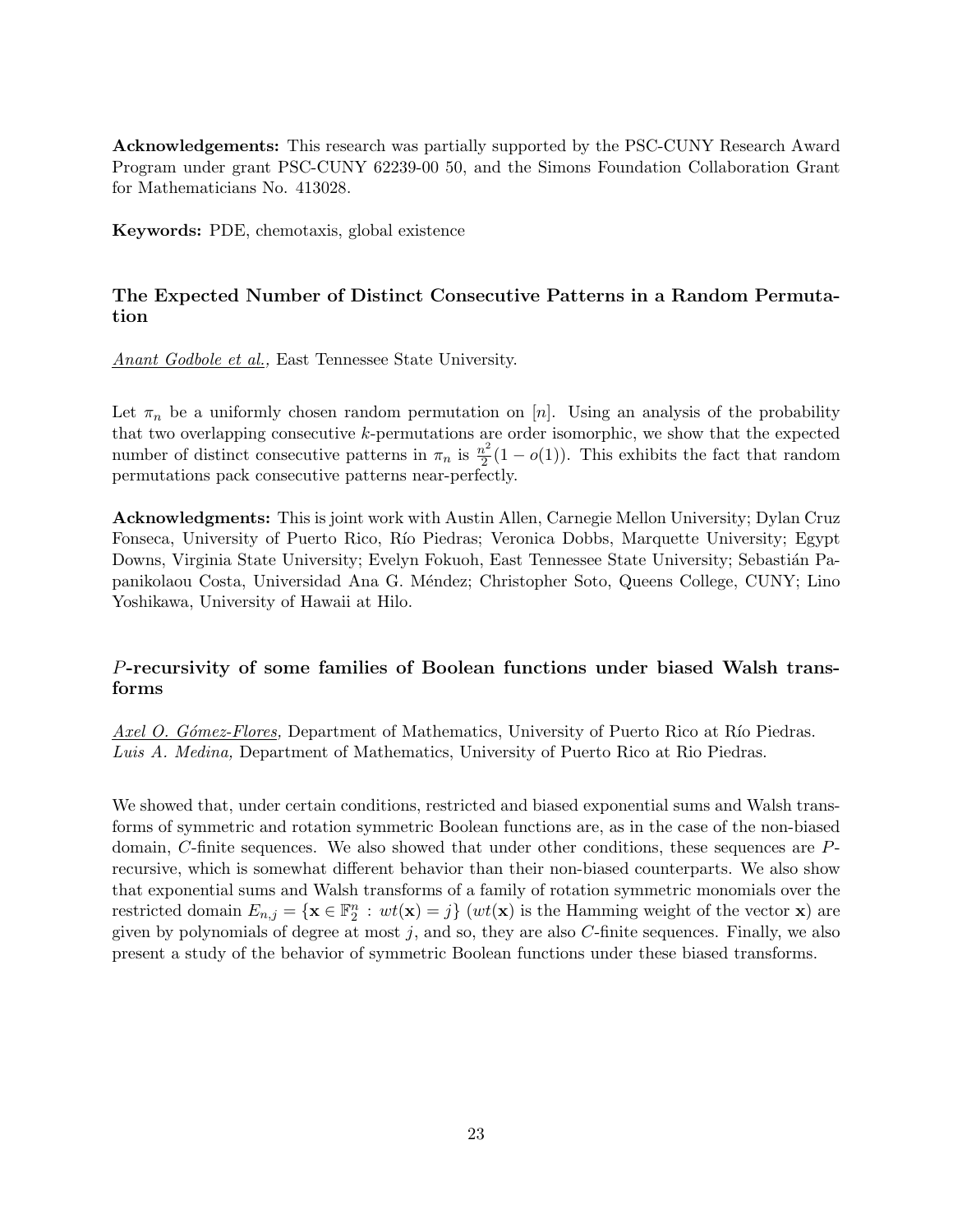**Acknowledgements:** This research was partially supported by the PSC-CUNY Research Award Program under grant PSC-CUNY 62239-00 50, and the Simons Foundation Collaboration Grant for Mathematicians No. 413028.

**Keywords:** PDE, chemotaxis, global existence

## **The Expected Number of Distinct Consecutive Patterns in a Random Permutation**

*Anant Godbole et al.,* East Tennessee State University.

Let  $\pi_n$  be a uniformly chosen random permutation on [*n*]. Using an analysis of the probability that two overlapping consecutive *k*-permutations are order isomorphic, we show that the expected number of distinct consecutive patterns in  $\pi_n$  is  $\frac{n^2}{2}$  $\frac{\partial^2}{\partial^2}(1-o(1))$ . This exhibits the fact that random permutations pack consecutive patterns near-perfectly.

**Acknowledgments:** This is joint work with Austin Allen, Carnegie Mellon University; Dylan Cruz Fonseca, University of Puerto Rico, Río Piedras; Veronica Dobbs, Marquette University; Egypt Downs, Virginia State University; Evelyn Fokuoh, East Tennessee State University; Sebastián Papanikolaou Costa, Universidad Ana G. M´endez; Christopher Soto, Queens College, CUNY; Lino Yoshikawa, University of Hawaii at Hilo.

## *P***-recursivity of some families of Boolean functions under biased Walsh transforms**

*Axel O. Gómez-Flores,* Department of Mathematics, University of Puerto Rico at Río Piedras. *Luis A. Medina,* Department of Mathematics, University of Puerto Rico at Rio Piedras.

We showed that, under certain conditions, restricted and biased exponential sums and Walsh transforms of symmetric and rotation symmetric Boolean functions are, as in the case of the non-biased domain, *C*-finite sequences. We also showed that under other conditions, these sequences are *P*recursive, which is somewhat different behavior than their non-biased counterparts. We also show that exponential sums and Walsh transforms of a family of rotation symmetric monomials over the restricted domain  $E_{n,j} = {\mathbf{x} \in \mathbb{F}_2^n : wt(\mathbf{x}) = j}$  ( $wt(\mathbf{x})$  is the Hamming weight of the vector **x**) are given by polynomials of degree at most *j*, and so, they are also *C*-finite sequences. Finally, we also present a study of the behavior of symmetric Boolean functions under these biased transforms.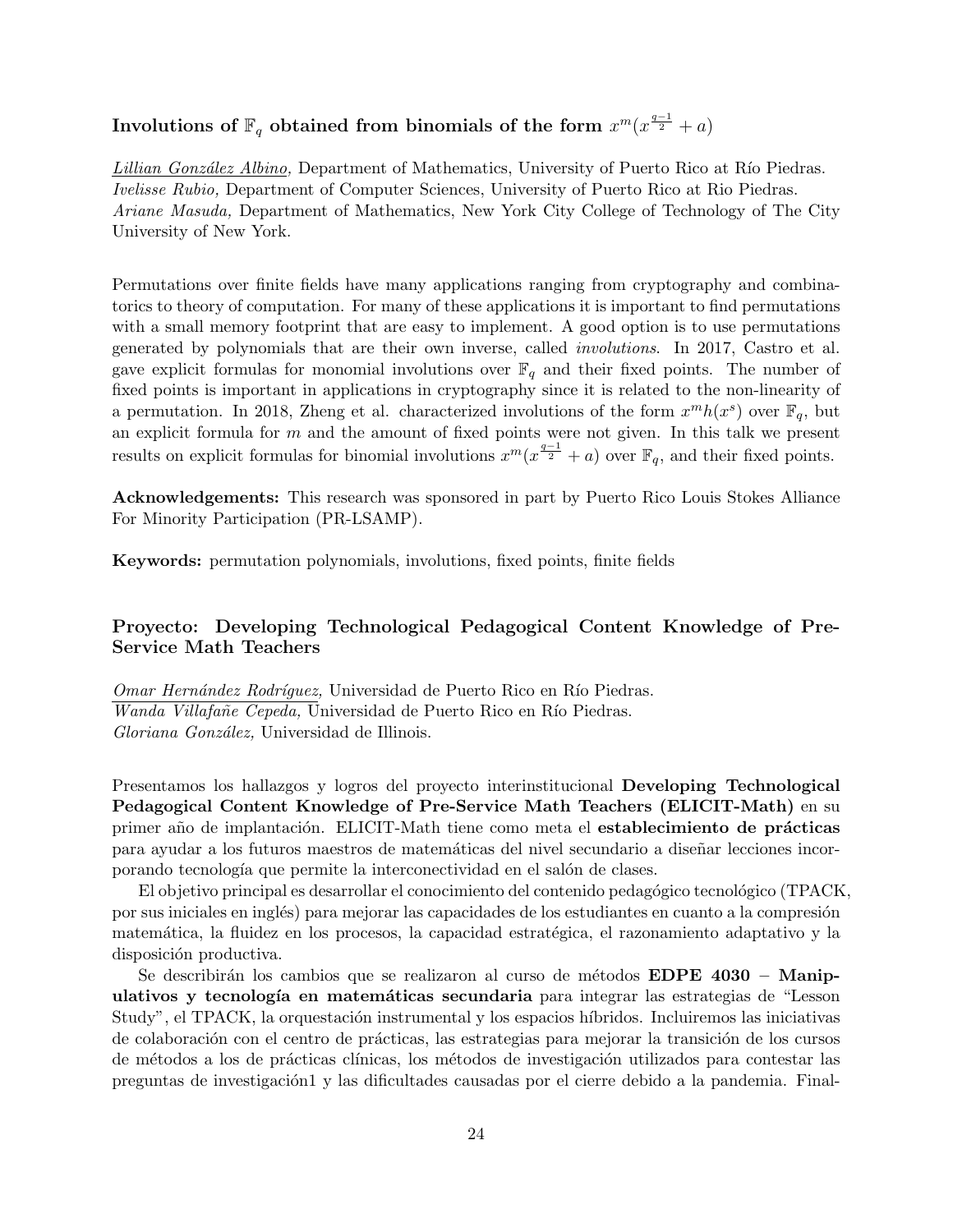# ${\bf Involutions~of~} \mathbb{F}_q$   $\bf{obtained~from~binom}$   $\bf{binom}$  and  $\bf{sf~the~form}~$   $x^m(x^{\frac{q-1}{2}}+a)$

*Lillian González Albino,* Department of Mathematics, University of Puerto Rico at Río Piedras. *Ivelisse Rubio,* Department of Computer Sciences, University of Puerto Rico at Rio Piedras. *Ariane Masuda,* Department of Mathematics, New York City College of Technology of The City University of New York.

Permutations over finite fields have many applications ranging from cryptography and combinatorics to theory of computation. For many of these applications it is important to find permutations with a small memory footprint that are easy to implement. A good option is to use permutations generated by polynomials that are their own inverse, called *involutions*. In 2017, Castro et al. gave explicit formulas for monomial involutions over  $\mathbb{F}_q$  and their fixed points. The number of fixed points is important in applications in cryptography since it is related to the non-linearity of a permutation. In 2018, Zheng et al. characterized involutions of the form  $x^m h(x^s)$  over  $\mathbb{F}_q$ , but an explicit formula for *m* and the amount of fixed points were not given. In this talk we present results on explicit formulas for binomial involutions  $x^m(x^{\frac{q-1}{2}} + a)$  over  $\mathbb{F}_q$ , and their fixed points.

**Acknowledgements:** This research was sponsored in part by Puerto Rico Louis Stokes Alliance For Minority Participation (PR-LSAMP).

**Keywords:** permutation polynomials, involutions, fixed points, finite fields

## **Proyecto: Developing Technological Pedagogical Content Knowledge of Pre-Service Math Teachers**

*Omar Hernández Rodríquez,* Universidad de Puerto Rico en Río Piedras. *Wanda Villafañe Cepeda*, Universidad de Puerto Rico en Río Piedras. *Gloriana Gonz´alez,* Universidad de Illinois.

Presentamos los hallazgos y logros del proyecto interinstitucional **Developing Technological Pedagogical Content Knowledge of Pre-Service Math Teachers (ELICIT-Math)** en su primer año de implantación. ELICIT-Math tiene como meta el **establecimiento de prácticas** para ayudar a los futuros maestros de matemáticas del nivel secundario a diseñar lecciones incorporando tecnología que permite la interconectividad en el salón de clases.

El objetivo principal es desarrollar el conocimiento del contenido pedagógico tecnológico (TPACK, por sus iniciales en inglés) para mejorar las capacidades de los estudiantes en cuanto a la compresión matemática, la fluidez en los procesos, la capacidad estratégica, el razonamiento adaptativo y la disposición productiva.

Se describirán los cambios que se realizaron al curso de métodos **EDPE 4030 – Manipulativos y tecnolog´ıa en matem´aticas secundaria** para integrar las estrategias de "Lesson Study", el TPACK, la orquestación instrumental y los espacios híbridos. Incluiremos las iniciativas de colaboración con el centro de prácticas, las estrategias para mejorar la transición de los cursos de métodos a los de prácticas clínicas, los métodos de investigación utilizados para contestar las preguntas de investigación1 y las dificultades causadas por el cierre debido a la pandemia. Final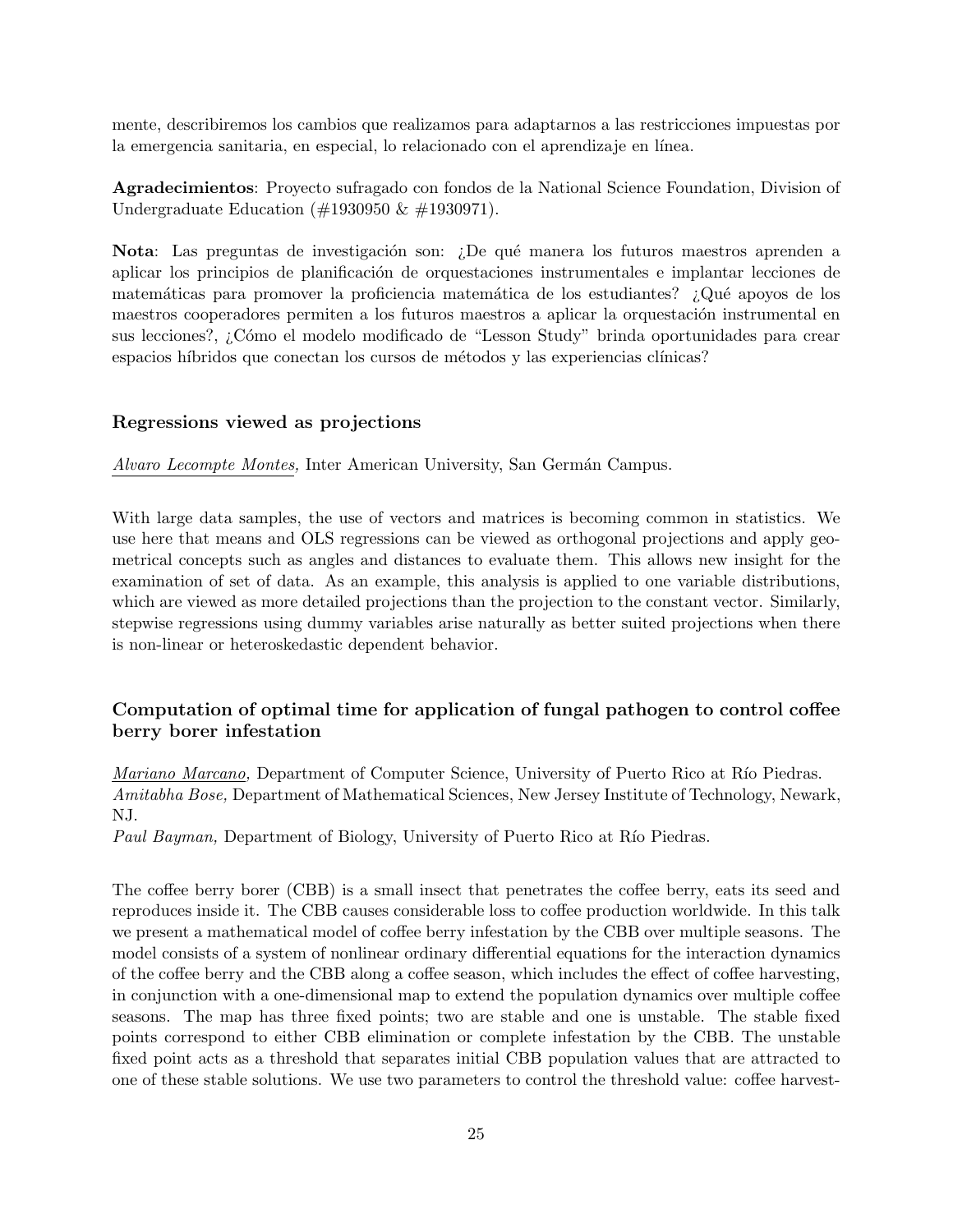mente, describiremos los cambios que realizamos para adaptarnos a las restricciones impuestas por la emergencia sanitaria, en especial, lo relacionado con el aprendizaje en línea.

**Agradecimientos**: Proyecto sufragado con fondos de la National Science Foundation, Division of Undergraduate Education (#1930950 & #1930971).

**Nota**: Las preguntas de investigación son: ¿De qué manera los futuros maestros aprenden a aplicar los principios de planificación de orquestaciones instrumentales e implantar lecciones de matemáticas para promover la proficiencia matemática de los estudiantes? ¿Qué apoyos de los maestros cooperadores permiten a los futuros maestros a aplicar la orquestación instrumental en sus lecciones?, ¿C´omo el modelo modificado de "Lesson Study" brinda oportunidades para crear espacios híbridos que conectan los cursos de métodos y las experiencias clínicas?

#### **Regressions viewed as projections**

*Alvaro Lecompte Montes,* Inter American University, San Germán Campus.

With large data samples, the use of vectors and matrices is becoming common in statistics. We use here that means and OLS regressions can be viewed as orthogonal projections and apply geometrical concepts such as angles and distances to evaluate them. This allows new insight for the examination of set of data. As an example, this analysis is applied to one variable distributions, which are viewed as more detailed projections than the projection to the constant vector. Similarly, stepwise regressions using dummy variables arise naturally as better suited projections when there is non-linear or heteroskedastic dependent behavior.

## **Computation of optimal time for application of fungal pathogen to control coffee berry borer infestation**

*Mariano Marcano,* Department of Computer Science, University of Puerto Rico at Río Piedras. *Amitabha Bose,* Department of Mathematical Sciences, New Jersey Institute of Technology, Newark, NJ.

*Paul Bayman,* Department of Biology, University of Puerto Rico at Río Piedras.

The coffee berry borer (CBB) is a small insect that penetrates the coffee berry, eats its seed and reproduces inside it. The CBB causes considerable loss to coffee production worldwide. In this talk we present a mathematical model of coffee berry infestation by the CBB over multiple seasons. The model consists of a system of nonlinear ordinary differential equations for the interaction dynamics of the coffee berry and the CBB along a coffee season, which includes the effect of coffee harvesting, in conjunction with a one-dimensional map to extend the population dynamics over multiple coffee seasons. The map has three fixed points; two are stable and one is unstable. The stable fixed points correspond to either CBB elimination or complete infestation by the CBB. The unstable fixed point acts as a threshold that separates initial CBB population values that are attracted to one of these stable solutions. We use two parameters to control the threshold value: coffee harvest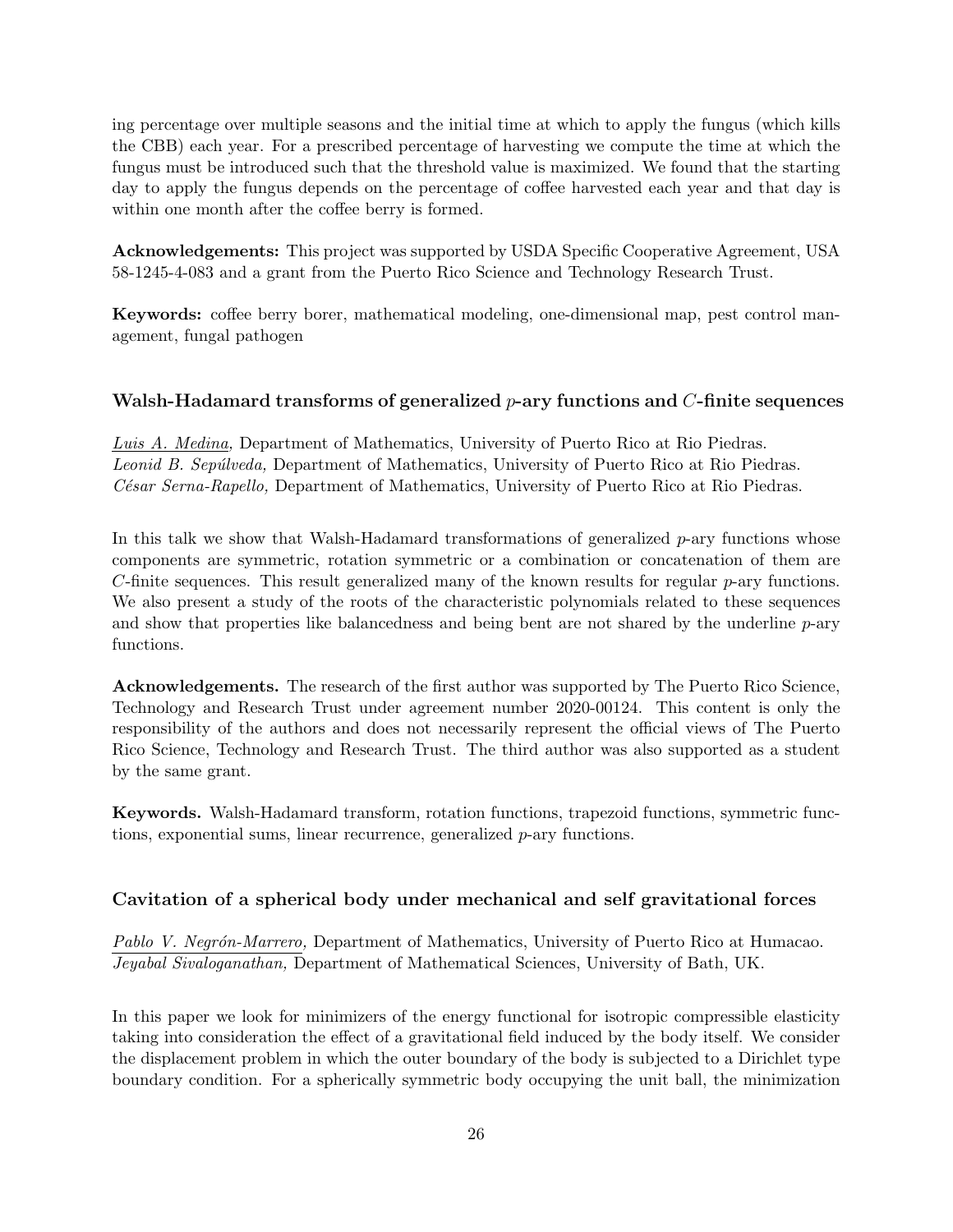ing percentage over multiple seasons and the initial time at which to apply the fungus (which kills the CBB) each year. For a prescribed percentage of harvesting we compute the time at which the fungus must be introduced such that the threshold value is maximized. We found that the starting day to apply the fungus depends on the percentage of coffee harvested each year and that day is within one month after the coffee berry is formed.

**Acknowledgements:** This project was supported by USDA Specific Cooperative Agreement, USA 58-1245-4-083 and a grant from the Puerto Rico Science and Technology Research Trust.

**Keywords:** coffee berry borer, mathematical modeling, one-dimensional map, pest control management, fungal pathogen

## **Walsh-Hadamard transforms of generalized** *p***-ary functions and** *C***-finite sequences**

*Luis A. Medina,* Department of Mathematics, University of Puerto Rico at Rio Piedras. *Leonid B. Sep´ulveda,* Department of Mathematics, University of Puerto Rico at Rio Piedras. *C´esar Serna-Rapello,* Department of Mathematics, University of Puerto Rico at Rio Piedras.

In this talk we show that Walsh-Hadamard transformations of generalized *p*-ary functions whose components are symmetric, rotation symmetric or a combination or concatenation of them are *C*-finite sequences. This result generalized many of the known results for regular *p*-ary functions. We also present a study of the roots of the characteristic polynomials related to these sequences and show that properties like balancedness and being bent are not shared by the underline *p*-ary functions.

**Acknowledgements.** The research of the first author was supported by The Puerto Rico Science, Technology and Research Trust under agreement number 2020-00124. This content is only the responsibility of the authors and does not necessarily represent the official views of The Puerto Rico Science, Technology and Research Trust. The third author was also supported as a student by the same grant.

**Keywords.** Walsh-Hadamard transform, rotation functions, trapezoid functions, symmetric functions, exponential sums, linear recurrence, generalized *p*-ary functions.

## **Cavitation of a spherical body under mechanical and self gravitational forces**

*Pablo V. Negr´on-Marrero,* Department of Mathematics, University of Puerto Rico at Humacao. *Jeyabal Sivaloganathan,* Department of Mathematical Sciences, University of Bath, UK.

In this paper we look for minimizers of the energy functional for isotropic compressible elasticity taking into consideration the effect of a gravitational field induced by the body itself. We consider the displacement problem in which the outer boundary of the body is subjected to a Dirichlet type boundary condition. For a spherically symmetric body occupying the unit ball, the minimization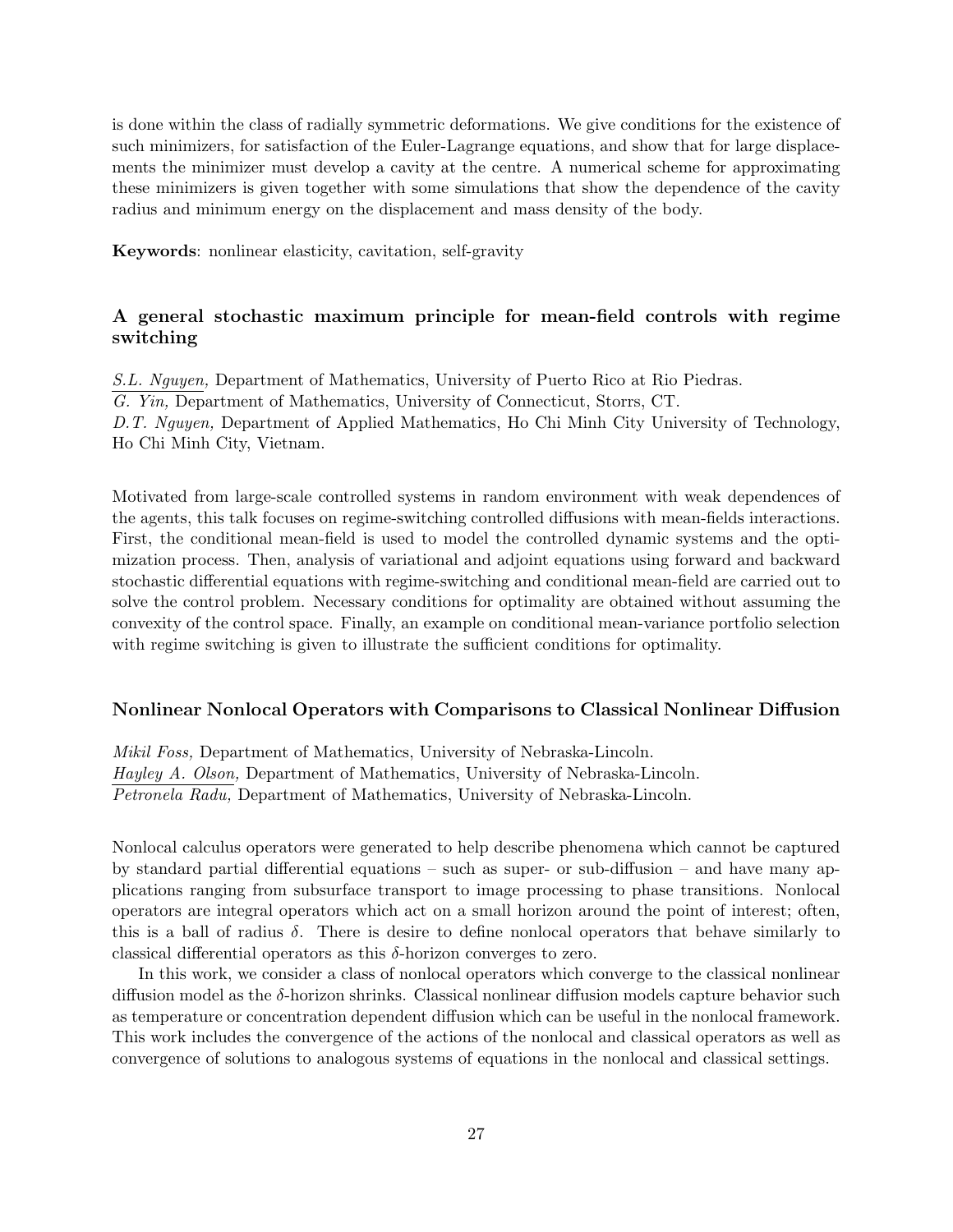is done within the class of radially symmetric deformations. We give conditions for the existence of such minimizers, for satisfaction of the Euler-Lagrange equations, and show that for large displacements the minimizer must develop a cavity at the centre. A numerical scheme for approximating these minimizers is given together with some simulations that show the dependence of the cavity radius and minimum energy on the displacement and mass density of the body.

**Keywords**: nonlinear elasticity, cavitation, self-gravity

## **A general stochastic maximum principle for mean-field controls with regime switching**

*S.L. Nguyen,* Department of Mathematics, University of Puerto Rico at Rio Piedras. *G. Yin,* Department of Mathematics, University of Connecticut, Storrs, CT. *D.T. Nguyen,* Department of Applied Mathematics, Ho Chi Minh City University of Technology, Ho Chi Minh City, Vietnam.

Motivated from large-scale controlled systems in random environment with weak dependences of the agents, this talk focuses on regime-switching controlled diffusions with mean-fields interactions. First, the conditional mean-field is used to model the controlled dynamic systems and the optimization process. Then, analysis of variational and adjoint equations using forward and backward stochastic differential equations with regime-switching and conditional mean-field are carried out to solve the control problem. Necessary conditions for optimality are obtained without assuming the convexity of the control space. Finally, an example on conditional mean-variance portfolio selection with regime switching is given to illustrate the sufficient conditions for optimality.

#### **Nonlinear Nonlocal Operators with Comparisons to Classical Nonlinear Diffusion**

*Mikil Foss,* Department of Mathematics, University of Nebraska-Lincoln. *Hayley A. Olson,* Department of Mathematics, University of Nebraska-Lincoln. *Petronela Radu,* Department of Mathematics, University of Nebraska-Lincoln.

Nonlocal calculus operators were generated to help describe phenomena which cannot be captured by standard partial differential equations – such as super- or sub-diffusion – and have many applications ranging from subsurface transport to image processing to phase transitions. Nonlocal operators are integral operators which act on a small horizon around the point of interest; often, this is a ball of radius  $\delta$ . There is desire to define nonlocal operators that behave similarly to classical differential operators as this *δ*-horizon converges to zero.

In this work, we consider a class of nonlocal operators which converge to the classical nonlinear diffusion model as the *δ*-horizon shrinks. Classical nonlinear diffusion models capture behavior such as temperature or concentration dependent diffusion which can be useful in the nonlocal framework. This work includes the convergence of the actions of the nonlocal and classical operators as well as convergence of solutions to analogous systems of equations in the nonlocal and classical settings.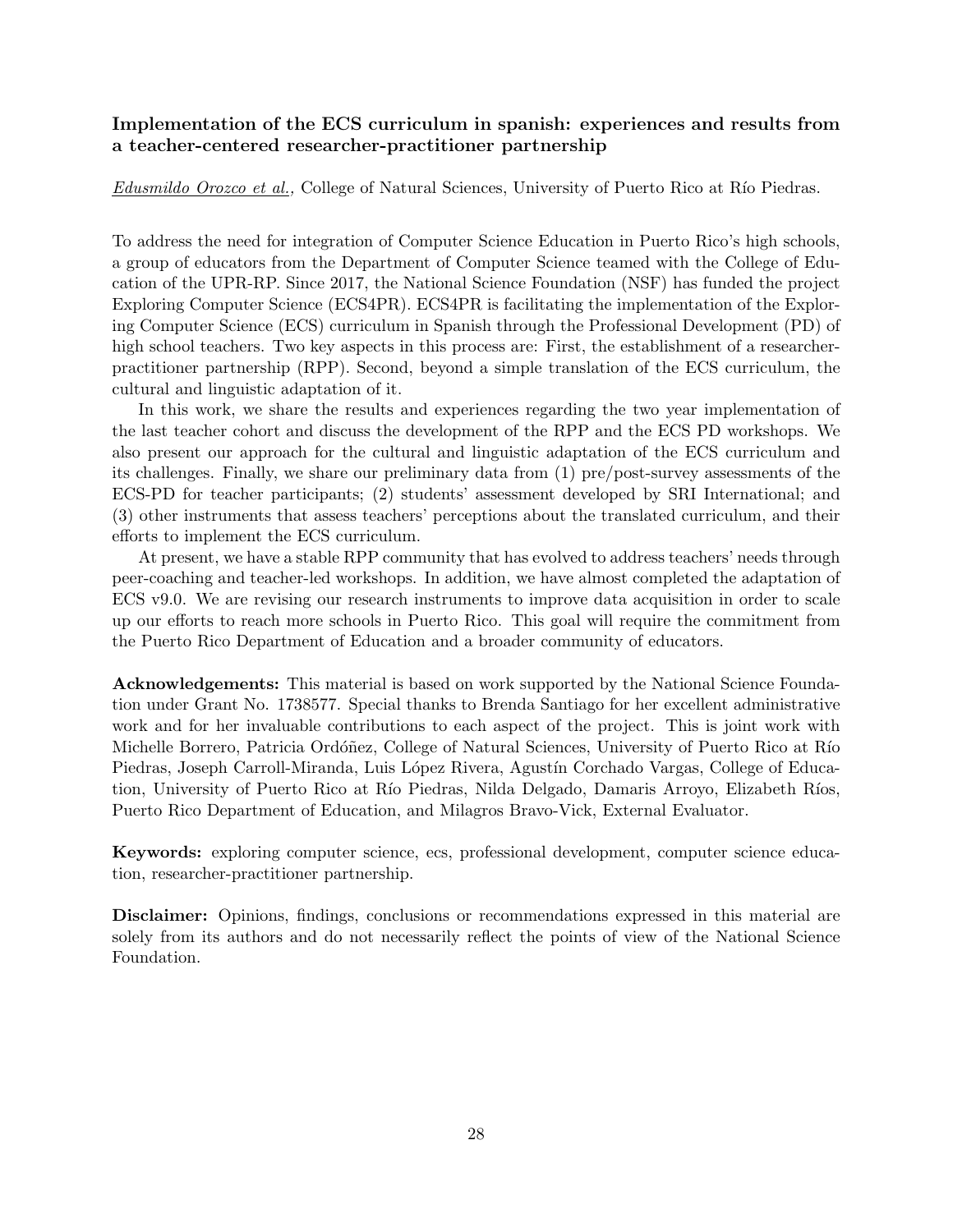## **Implementation of the ECS curriculum in spanish: experiences and results from a teacher-centered researcher-practitioner partnership**

*Edusmildo Orozco et al.,* College of Natural Sciences, University of Puerto Rico at Río Piedras.

To address the need for integration of Computer Science Education in Puerto Rico's high schools, a group of educators from the Department of Computer Science teamed with the College of Education of the UPR-RP. Since 2017, the National Science Foundation (NSF) has funded the project Exploring Computer Science (ECS4PR). ECS4PR is facilitating the implementation of the Exploring Computer Science (ECS) curriculum in Spanish through the Professional Development (PD) of high school teachers. Two key aspects in this process are: First, the establishment of a researcherpractitioner partnership (RPP). Second, beyond a simple translation of the ECS curriculum, the cultural and linguistic adaptation of it.

In this work, we share the results and experiences regarding the two year implementation of the last teacher cohort and discuss the development of the RPP and the ECS PD workshops. We also present our approach for the cultural and linguistic adaptation of the ECS curriculum and its challenges. Finally, we share our preliminary data from (1) pre/post-survey assessments of the ECS-PD for teacher participants; (2) students' assessment developed by SRI International; and (3) other instruments that assess teachers' perceptions about the translated curriculum, and their efforts to implement the ECS curriculum.

At present, we have a stable RPP community that has evolved to address teachers' needs through peer-coaching and teacher-led workshops. In addition, we have almost completed the adaptation of ECS v9.0. We are revising our research instruments to improve data acquisition in order to scale up our efforts to reach more schools in Puerto Rico. This goal will require the commitment from the Puerto Rico Department of Education and a broader community of educators.

**Acknowledgements:** This material is based on work supported by the National Science Foundation under Grant No. 1738577. Special thanks to Brenda Santiago for her excellent administrative work and for her invaluable contributions to each aspect of the project. This is joint work with Michelle Borrero, Patricia Ordóñez, College of Natural Sciences, University of Puerto Rico at Río Piedras, Joseph Carroll-Miranda, Luis López Rivera, Agustín Corchado Vargas, College of Education, University of Puerto Rico at Río Piedras, Nilda Delgado, Damaris Arroyo, Elizabeth Ríos, Puerto Rico Department of Education, and Milagros Bravo-Vick, External Evaluator.

**Keywords:** exploring computer science, ecs, professional development, computer science education, researcher-practitioner partnership.

**Disclaimer:** Opinions, findings, conclusions or recommendations expressed in this material are solely from its authors and do not necessarily reflect the points of view of the National Science Foundation.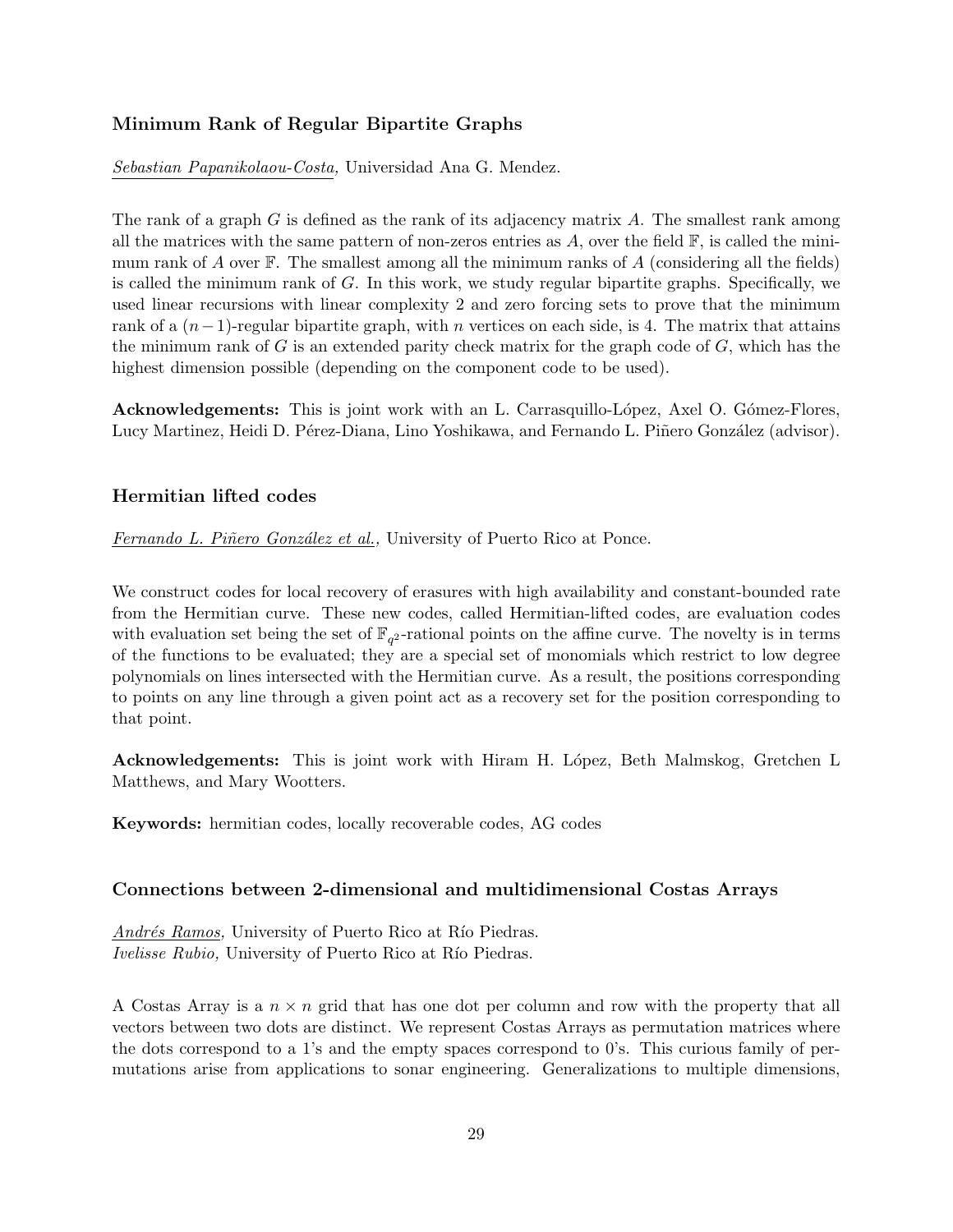## **Minimum Rank of Regular Bipartite Graphs**

*Sebastian Papanikolaou-Costa,* Universidad Ana G. Mendez.

The rank of a graph *G* is defined as the rank of its adjacency matrix *A*. The smallest rank among all the matrices with the same pattern of non-zeros entries as  $A$ , over the field  $\mathbb{F}$ , is called the minimum rank of *A* over F. The smallest among all the minimum ranks of *A* (considering all the fields) is called the minimum rank of *G*. In this work, we study regular bipartite graphs. Specifically, we used linear recursions with linear complexity 2 and zero forcing sets to prove that the minimum rank of a  $(n-1)$ -regular bipartite graph, with *n* vertices on each side, is 4. The matrix that attains the minimum rank of *G* is an extended parity check matrix for the graph code of *G*, which has the highest dimension possible (depending on the component code to be used).

**Acknowledgements:** This is joint work with an L. Carrasquillo-López, Axel O. Gómez-Flores, Lucy Martinez, Heidi D. Pérez-Diana, Lino Yoshikawa, and Fernando L. Piñero González (advisor).

## **Hermitian lifted codes**

*Fernando L. Piñero González et al.*, University of Puerto Rico at Ponce.

We construct codes for local recovery of erasures with high availability and constant-bounded rate from the Hermitian curve. These new codes, called Hermitian-lifted codes, are evaluation codes with evaluation set being the set of  $\mathbb{F}_{q^2}$ -rational points on the affine curve. The novelty is in terms of the functions to be evaluated; they are a special set of monomials which restrict to low degree polynomials on lines intersected with the Hermitian curve. As a result, the positions corresponding to points on any line through a given point act as a recovery set for the position corresponding to that point.

**Acknowledgements:** This is joint work with Hiram H. López, Beth Malmskog, Gretchen L Matthews, and Mary Wootters.

**Keywords:** hermitian codes, locally recoverable codes, AG codes

## **Connections between 2-dimensional and multidimensional Costas Arrays**

*Andrés Ramos,* University of Puerto Rico at Río Piedras. *Ivelisse Rubio,* University of Puerto Rico at Río Piedras.

A Costas Array is a *n × n* grid that has one dot per column and row with the property that all vectors between two dots are distinct. We represent Costas Arrays as permutation matrices where the dots correspond to a 1's and the empty spaces correspond to 0's. This curious family of permutations arise from applications to sonar engineering. Generalizations to multiple dimensions,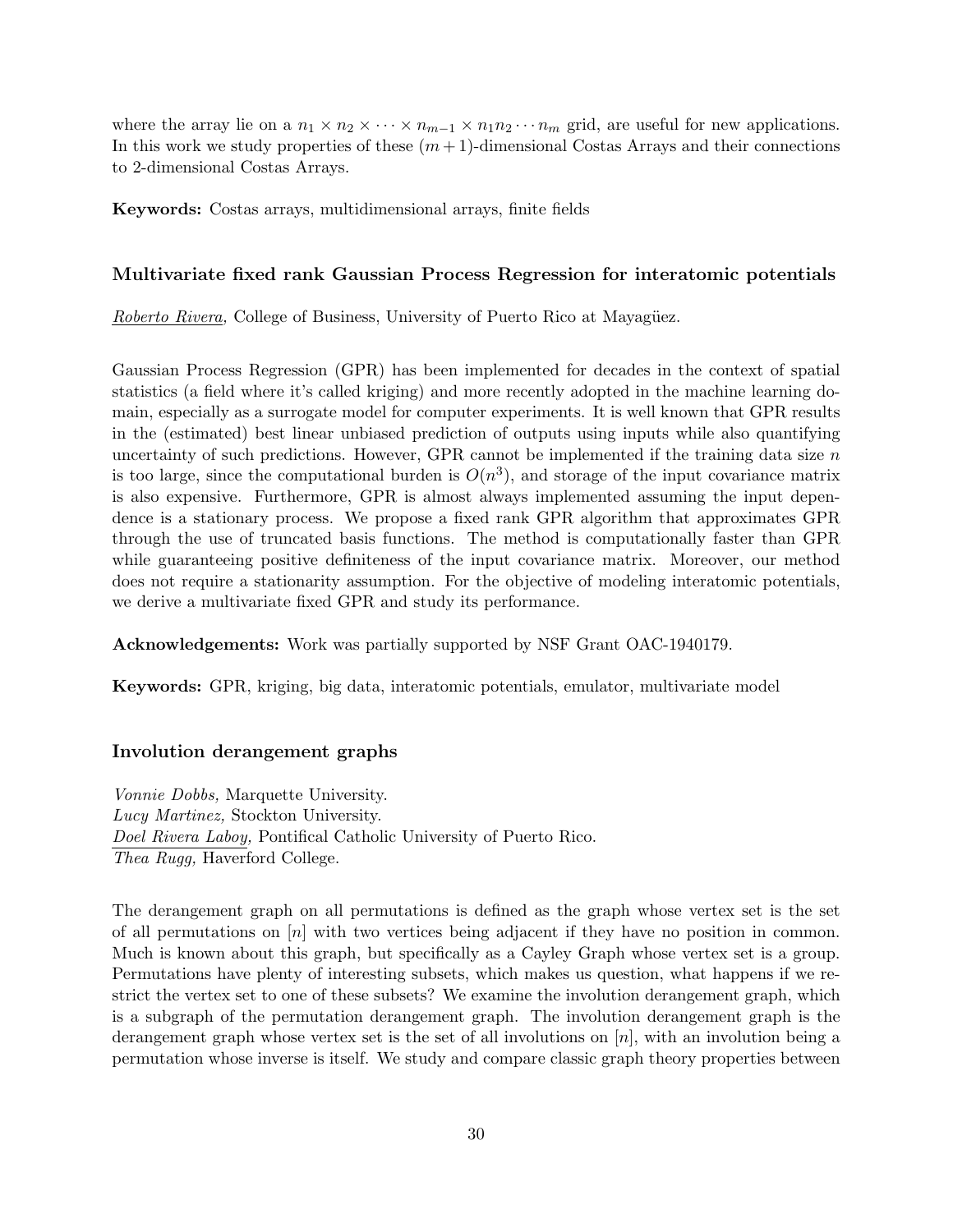where the array lie on a  $n_1 \times n_2 \times \cdots \times n_{m-1} \times n_1 n_2 \cdots n_m$  grid, are useful for new applications. In this work we study properties of these  $(m+1)$ -dimensional Costas Arrays and their connections to 2-dimensional Costas Arrays.

**Keywords:** Costas arrays, multidimensional arrays, finite fields

#### **Multivariate fixed rank Gaussian Process Regression for interatomic potentials**

*Roberto Rivera,* College of Business, University of Puerto Rico at Mayagüez.

Gaussian Process Regression (GPR) has been implemented for decades in the context of spatial statistics (a field where it's called kriging) and more recently adopted in the machine learning domain, especially as a surrogate model for computer experiments. It is well known that GPR results in the (estimated) best linear unbiased prediction of outputs using inputs while also quantifying uncertainty of such predictions. However, GPR cannot be implemented if the training data size *n* is too large, since the computational burden is  $O(n^3)$ , and storage of the input covariance matrix is also expensive. Furthermore, GPR is almost always implemented assuming the input dependence is a stationary process. We propose a fixed rank GPR algorithm that approximates GPR through the use of truncated basis functions. The method is computationally faster than GPR while guaranteeing positive definiteness of the input covariance matrix. Moreover, our method does not require a stationarity assumption. For the objective of modeling interatomic potentials, we derive a multivariate fixed GPR and study its performance.

**Acknowledgements:** Work was partially supported by NSF Grant OAC-1940179.

**Keywords:** GPR, kriging, big data, interatomic potentials, emulator, multivariate model

#### **Involution derangement graphs**

*Vonnie Dobbs,* Marquette University. *Lucy Martinez,* Stockton University. *Doel Rivera Laboy,* Pontifical Catholic University of Puerto Rico. *Thea Rugg,* Haverford College.

The derangement graph on all permutations is defined as the graph whose vertex set is the set of all permutations on [*n*] with two vertices being adjacent if they have no position in common. Much is known about this graph, but specifically as a Cayley Graph whose vertex set is a group. Permutations have plenty of interesting subsets, which makes us question, what happens if we restrict the vertex set to one of these subsets? We examine the involution derangement graph, which is a subgraph of the permutation derangement graph. The involution derangement graph is the derangement graph whose vertex set is the set of all involutions on [*n*], with an involution being a permutation whose inverse is itself. We study and compare classic graph theory properties between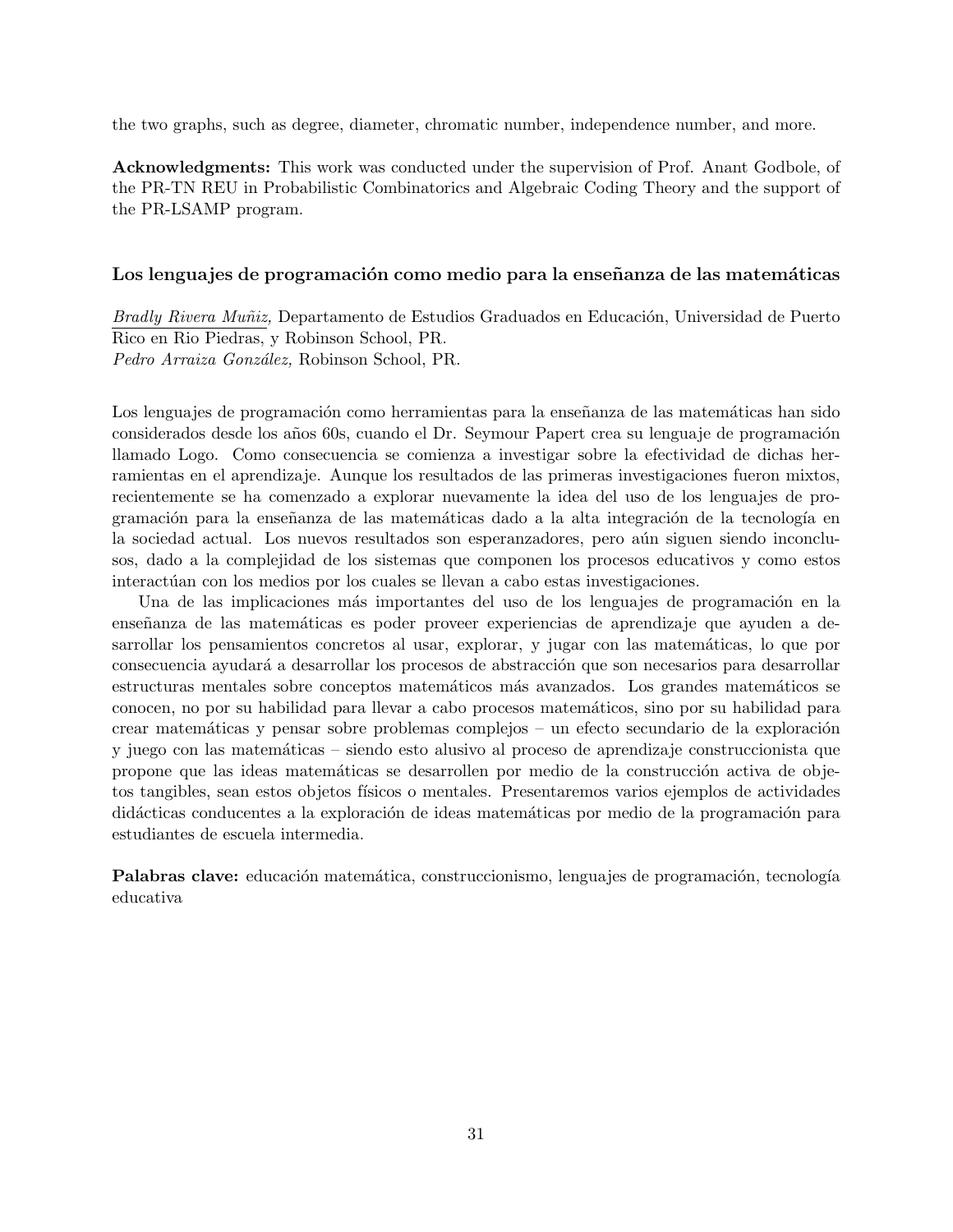the two graphs, such as degree, diameter, chromatic number, independence number, and more.

**Acknowledgments:** This work was conducted under the supervision of Prof. Anant Godbole, of the PR-TN REU in Probabilistic Combinatorics and Algebraic Coding Theory and the support of the PR-LSAMP program.

#### Los lenguajes de programación como medio para la enseñanza de las matemáticas

*Bradly Rivera Muñiz*, Departamento de Estudios Graduados en Educación, Universidad de Puerto Rico en Rio Piedras, y Robinson School, PR. *Pedro Arraiza Gonz´alez,* Robinson School, PR.

Los lenguajes de programación como herramientas para la enseñanza de las matemáticas han sido considerados desde los años 60s, cuando el Dr. Seymour Papert crea su lenguaje de programación llamado Logo. Como consecuencia se comienza a investigar sobre la efectividad de dichas herramientas en el aprendizaje. Aunque los resultados de las primeras investigaciones fueron mixtos, recientemente se ha comenzado a explorar nuevamente la idea del uso de los lenguajes de programación para la enseñanza de las matemáticas dado a la alta integración de la tecnología en la sociedad actual. Los nuevos resultados son esperanzadores, pero aún siguen siendo inconclusos, dado a la complejidad de los sistemas que componen los procesos educativos y como estos interactúan con los medios por los cuales se llevan a cabo estas investigaciones.

Una de las implicaciones más importantes del uso de los lenguajes de programación en la enseñanza de las matemáticas es poder proveer experiencias de aprendizaje que ayuden a desarrollar los pensamientos concretos al usar, explorar, y jugar con las matemáticas, lo que por consecuencia ayudará a desarrollar los procesos de abstracción que son necesarios para desarrollar estructuras mentales sobre conceptos matemáticos más avanzados. Los grandes matemáticos se conocen, no por su habilidad para llevar a cabo procesos matem´aticos, sino por su habilidad para crear matemáticas y pensar sobre problemas complejos – un efecto secundario de la exploración y juego con las matem´aticas – siendo esto alusivo al proceso de aprendizaje construccionista que propone que las ideas matemáticas se desarrollen por medio de la construcción activa de objetos tangibles, sean estos objetos f´ısicos o mentales. Presentaremos varios ejemplos de actividades didácticas conducentes a la exploración de ideas matemáticas por medio de la programación para estudiantes de escuela intermedia.

**Palabras clave:** educación matemática, construccionismo, lenguajes de programación, tecnología educativa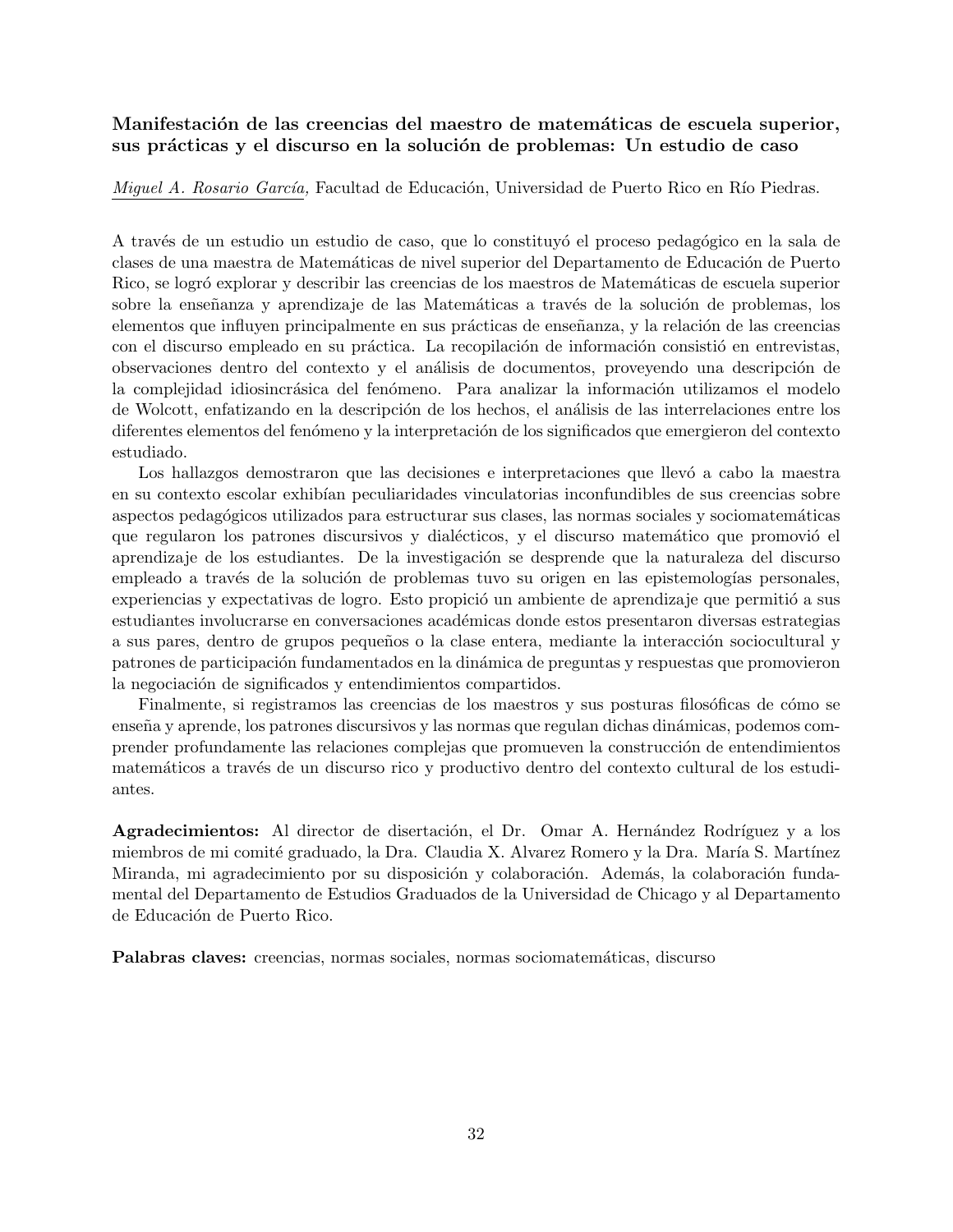## **Manifestación de las creencias del maestro de matemáticas de escuela superior,** sus prácticas y el discurso en la solución de problemas: Un estudio de caso

*Miguel A. Rosario García, Facultad de Educación, Universidad de Puerto Rico en Río Piedras.* 

A través de un estudio un estudio de caso, que lo constituyó el proceso pedagógico en la sala de clases de una maestra de Matemáticas de nivel superior del Departamento de Educación de Puerto Rico, se logró explorar y describir las creencias de los maestros de Matemáticas de escuela superior sobre la enseñanza y aprendizaje de las Matemáticas a través de la solución de problemas, los elementos que influyen principalmente en sus prácticas de enseñanza, y la relación de las creencias con el discurso empleado en su práctica. La recopilación de información consistió en entrevistas, observaciones dentro del contexto y el análisis de documentos, proveyendo una descripción de la complejidad idiosincrásica del fenómeno. Para analizar la información utilizamos el modelo de Wolcott, enfatizando en la descripción de los hechos, el análisis de las interrelaciones entre los diferentes elementos del fenómeno y la interpretación de los significados que emergieron del contexto estudiado.

Los hallazgos demostraron que las decisiones e interpretaciones que llevó a cabo la maestra en su contexto escolar exhibían peculiaridades vinculatorias inconfundibles de sus creencias sobre aspectos pedagógicos utilizados para estructurar sus clases, las normas sociales y sociomatemáticas que regularon los patrones discursivos y dialécticos, y el discurso matemático que promovió el aprendizaje de los estudiantes. De la investigación se desprende que la naturaleza del discurso empleado a través de la solución de problemas tuvo su origen en las epistemologías personales, experiencias y expectativas de logro. Esto propició un ambiente de aprendizaje que permitió a sus estudiantes involucrarse en conversaciones académicas donde estos presentaron diversas estrategias a sus pares, dentro de grupos pequeños o la clase entera, mediante la interacción sociocultural y patrones de participación fundamentados en la dinámica de preguntas y respuestas que promovieron la negociación de significados y entendimientos compartidos.

Finalmente, si registramos las creencias de los maestros y sus posturas filosóficas de cómo se enseña y aprende, los patrones discursivos y las normas que regulan dichas dinámicas, podemos comprender profundamente las relaciones complejas que promueven la construcción de entendimientos matemáticos a través de un discurso rico y productivo dentro del contexto cultural de los estudiantes.

**Agradecimientos:** Al director de disertación, el Dr. Omar A. Hernández Rodríguez y a los miembros de mi comité graduado, la Dra. Claudia X. Alvarez Romero y la Dra. María S. Martínez Miranda, mi agradecimiento por su disposición y colaboración. Además, la colaboración fundamental del Departamento de Estudios Graduados de la Universidad de Chicago y al Departamento de Educación de Puerto Rico.

Palabras claves: creencias, normas sociales, normas sociomatemáticas, discurso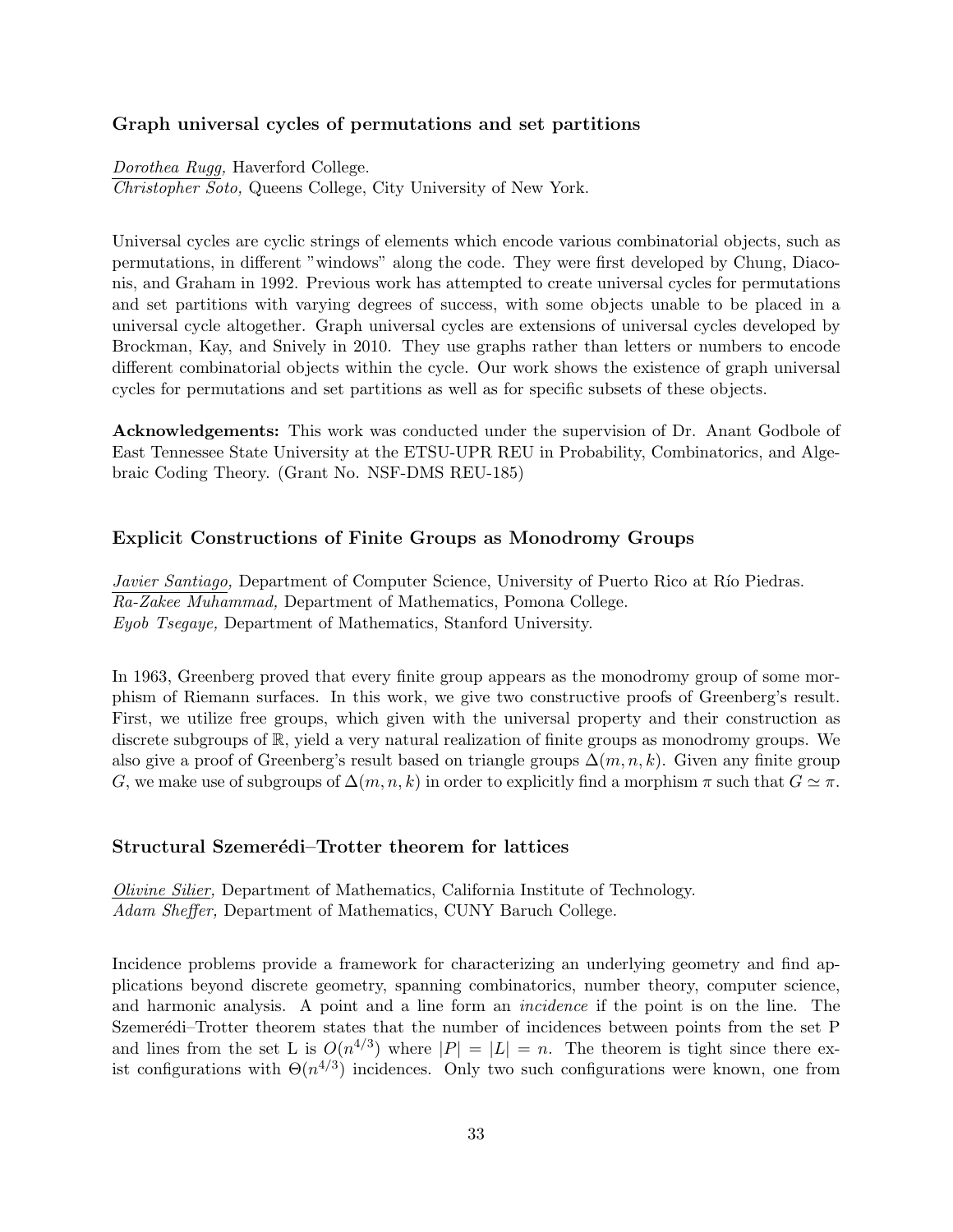#### **Graph universal cycles of permutations and set partitions**

*Dorothea Rugg,* Haverford College. *Christopher Soto,* Queens College, City University of New York.

Universal cycles are cyclic strings of elements which encode various combinatorial objects, such as permutations, in different "windows" along the code. They were first developed by Chung, Diaconis, and Graham in 1992. Previous work has attempted to create universal cycles for permutations and set partitions with varying degrees of success, with some objects unable to be placed in a universal cycle altogether. Graph universal cycles are extensions of universal cycles developed by Brockman, Kay, and Snively in 2010. They use graphs rather than letters or numbers to encode different combinatorial objects within the cycle. Our work shows the existence of graph universal cycles for permutations and set partitions as well as for specific subsets of these objects.

**Acknowledgements:** This work was conducted under the supervision of Dr. Anant Godbole of East Tennessee State University at the ETSU-UPR REU in Probability, Combinatorics, and Algebraic Coding Theory. (Grant No. NSF-DMS REU-185)

#### **Explicit Constructions of Finite Groups as Monodromy Groups**

*Javier Santiago,* Department of Computer Science, University of Puerto Rico at Río Piedras. *Ra-Zakee Muhammad,* Department of Mathematics, Pomona College. *Eyob Tsegaye,* Department of Mathematics, Stanford University.

In 1963, Greenberg proved that every finite group appears as the monodromy group of some morphism of Riemann surfaces. In this work, we give two constructive proofs of Greenberg's result. First, we utilize free groups, which given with the universal property and their construction as discrete subgroups of R, yield a very natural realization of finite groups as monodromy groups. We also give a proof of Greenberg's result based on triangle groups  $\Delta(m, n, k)$ . Given any finite group *G*, we make use of subgroups of  $\Delta(m, n, k)$  in order to explicitly find a morphism  $\pi$  such that  $G \simeq \pi$ .

#### **Structural Szemerédi–Trotter theorem for lattices**

*Olivine Silier,* Department of Mathematics, California Institute of Technology. *Adam Sheffer,* Department of Mathematics, CUNY Baruch College.

Incidence problems provide a framework for characterizing an underlying geometry and find applications beyond discrete geometry, spanning combinatorics, number theory, computer science, and harmonic analysis. A point and a line form an *incidence* if the point is on the line. The Szemerédi–Trotter theorem states that the number of incidences between points from the set P and lines from the set L is  $O(n^{4/3})$  where  $|P| = |L| = n$ . The theorem is tight since there exist configurations with  $\Theta(n^{4/3})$  incidences. Only two such configurations were known, one from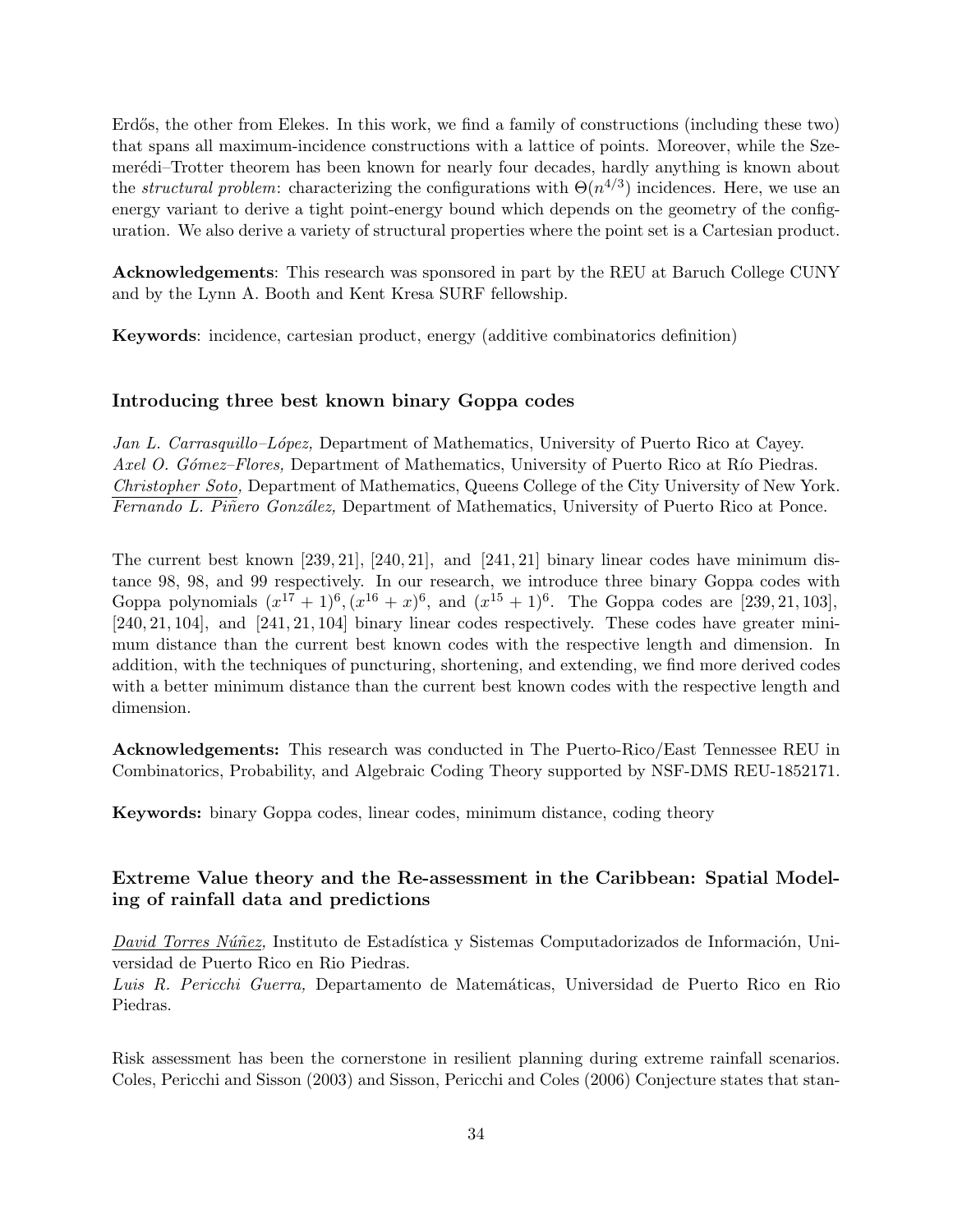Erdős, the other from Elekes. In this work, we find a family of constructions (including these two) that spans all maximum-incidence constructions with a lattice of points. Moreover, while the Szemerédi–Trotter theorem has been known for nearly four decades, hardly anything is known about the *structural problem*: characterizing the configurations with  $\Theta(n^{4/3})$  incidences. Here, we use an energy variant to derive a tight point-energy bound which depends on the geometry of the configuration. We also derive a variety of structural properties where the point set is a Cartesian product.

**Acknowledgements**: This research was sponsored in part by the REU at Baruch College CUNY and by the Lynn A. Booth and Kent Kresa SURF fellowship.

**Keywords**: incidence, cartesian product, energy (additive combinatorics definition)

#### **Introducing three best known binary Goppa codes**

*Jan L. Carrasquillo–L´opez,* Department of Mathematics, University of Puerto Rico at Cayey. *Axel O. Gómez–Flores,* Department of Mathematics, University of Puerto Rico at Río Piedras. *Christopher Soto,* Department of Mathematics, Queens College of the City University of New York. *Fernando L. Piñero González*, Department of Mathematics, University of Puerto Rico at Ponce.

The current best known [239*,* 21]*,* [240*,* 21]*,* and [241*,* 21] binary linear codes have minimum distance 98, 98, and 99 respectively. In our research, we introduce three binary Goppa codes with Goppa polynomials  $(x^{17} + 1)^6$ ,  $(x^{16} + x)^6$ , and  $(x^{15} + 1)^6$ . The Goppa codes are [239, 21, 103], [240*,* 21*,* 104]*,* and [241*,* 21*,* 104] binary linear codes respectively. These codes have greater minimum distance than the current best known codes with the respective length and dimension. In addition, with the techniques of puncturing, shortening, and extending, we find more derived codes with a better minimum distance than the current best known codes with the respective length and dimension.

**Acknowledgements:** This research was conducted in The Puerto-Rico/East Tennessee REU in Combinatorics, Probability, and Algebraic Coding Theory supported by NSF-DMS REU-1852171.

**Keywords:** binary Goppa codes, linear codes, minimum distance, coding theory

## **Extreme Value theory and the Re-assessment in the Caribbean: Spatial Modeling of rainfall data and predictions**

*David Torres Núñez*, Instituto de Estadística y Sistemas Computadorizados de Información, Universidad de Puerto Rico en Rio Piedras.

Luis R. Pericchi Guerra, Departamento de Matemáticas, Universidad de Puerto Rico en Rio Piedras.

Risk assessment has been the cornerstone in resilient planning during extreme rainfall scenarios. Coles, Pericchi and Sisson (2003) and Sisson, Pericchi and Coles (2006) Conjecture states that stan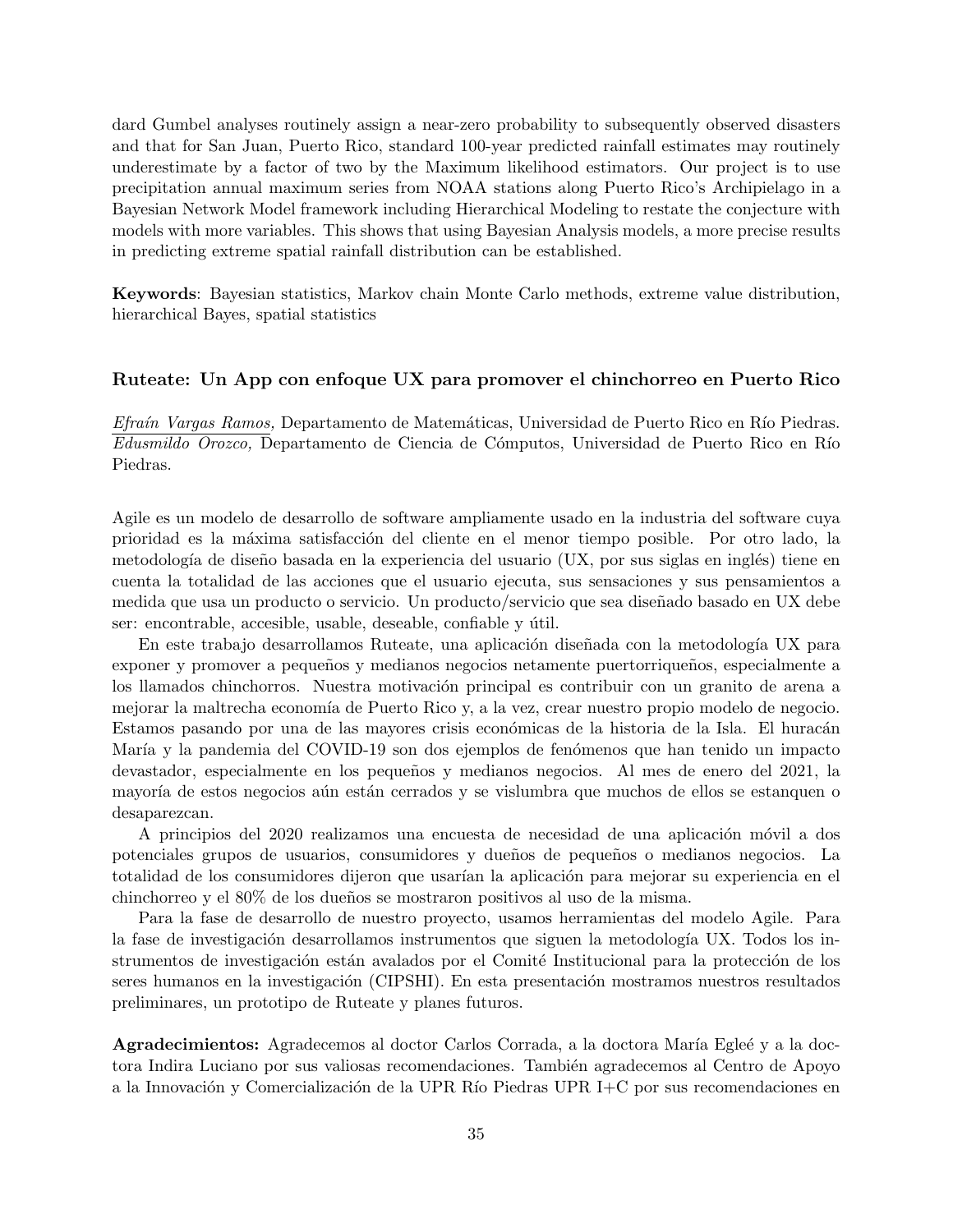dard Gumbel analyses routinely assign a near-zero probability to subsequently observed disasters and that for San Juan, Puerto Rico, standard 100-year predicted rainfall estimates may routinely underestimate by a factor of two by the Maximum likelihood estimators. Our project is to use precipitation annual maximum series from NOAA stations along Puerto Rico's Archipielago in a Bayesian Network Model framework including Hierarchical Modeling to restate the conjecture with models with more variables. This shows that using Bayesian Analysis models, a more precise results in predicting extreme spatial rainfall distribution can be established.

**Keywords**: Bayesian statistics, Markov chain Monte Carlo methods, extreme value distribution, hierarchical Bayes, spatial statistics

#### **Ruteate: Un App con enfoque UX para promover el chinchorreo en Puerto Rico**

*Efraín Vargas Ramos,* Departamento de Matemáticas, Universidad de Puerto Rico en Río Piedras. *Edusmildo Orozco*, Departamento de Ciencia de Cómputos, Universidad de Puerto Rico en Río Piedras.

Agile es un modelo de desarrollo de software ampliamente usado en la industria del software cuya prioridad es la máxima satisfacción del cliente en el menor tiempo posible. Por otro lado, la metodología de diseño basada en la experiencia del usuario (UX, por sus siglas en inglés) tiene en cuenta la totalidad de las acciones que el usuario ejecuta, sus sensaciones y sus pensamientos a medida que usa un producto o servicio. Un producto/servicio que sea dise˜nado basado en UX debe ser: encontrable, accesible, usable, deseable, confiable y útil.

En este trabajo desarrollamos Ruteate, una aplicación diseñada con la metodología UX para exponer y promover a pequeños y medianos negocios netamente puertorriqueños, especialmente a los llamados chinchorros. Nuestra motivación principal es contribuir con un granito de arena a mejorar la maltrecha economía de Puerto Rico y, a la vez, crear nuestro propio modelo de negocio. Estamos pasando por una de las mayores crisis económicas de la historia de la Isla. El huracán María y la pandemia del COVID-19 son dos ejemplos de fenómenos que han tenido un impacto devastador, especialmente en los pequeños y medianos negocios. Al mes de enero del 2021, la mayoría de estos negocios aún están cerrados y se vislumbra que muchos de ellos se estanquen o desaparezcan.

A principios del 2020 realizamos una encuesta de necesidad de una aplicación móvil a dos potenciales grupos de usuarios, consumidores y due˜nos de peque˜nos o medianos negocios. La totalidad de los consumidores dijeron que usarían la aplicación para mejorar su experiencia en el chinchorreo y el 80% de los due˜nos se mostraron positivos al uso de la misma.

Para la fase de desarrollo de nuestro proyecto, usamos herramientas del modelo Agile. Para la fase de investigación desarrollamos instrumentos que siguen la metodología UX. Todos los instrumentos de investigación están avalados por el Comité Institucional para la protección de los seres humanos en la investigación (CIPSHI). En esta presentación mostramos nuestros resultados preliminares, un prototipo de Ruteate y planes futuros.

Agradecimientos: Agradecemos al doctor Carlos Corrada, a la doctora María Egleé y a la doctora Indira Luciano por sus valiosas recomendaciones. También agradecemos al Centro de Apoyo a la Innovación y Comercialización de la UPR Río Piedras UPR I+C por sus recomendaciones en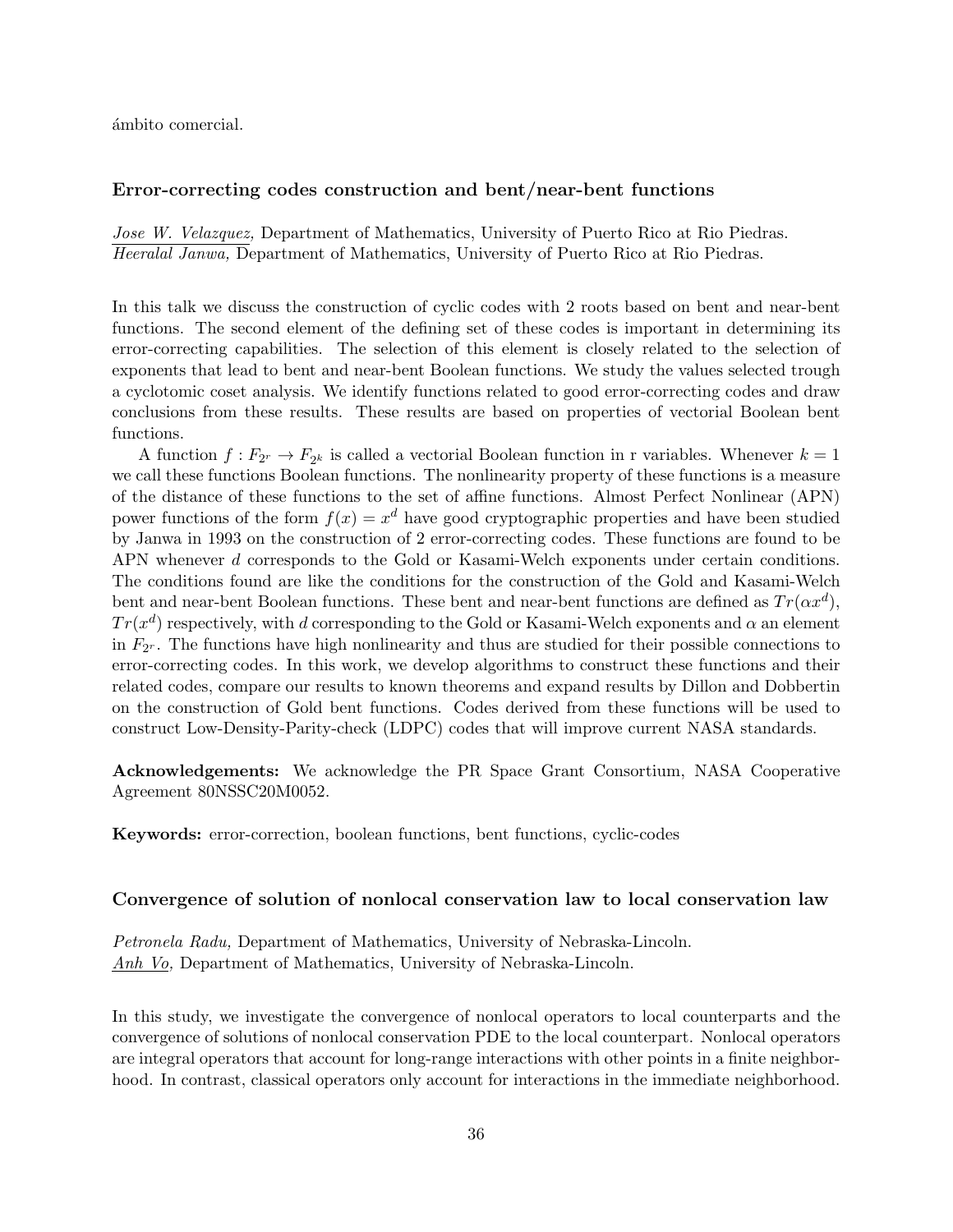ámbito comercial.

#### **Error-correcting codes construction and bent/near-bent functions**

*Jose W. Velazquez,* Department of Mathematics, University of Puerto Rico at Rio Piedras. *Heeralal Janwa,* Department of Mathematics, University of Puerto Rico at Rio Piedras.

In this talk we discuss the construction of cyclic codes with 2 roots based on bent and near-bent functions. The second element of the defining set of these codes is important in determining its error-correcting capabilities. The selection of this element is closely related to the selection of exponents that lead to bent and near-bent Boolean functions. We study the values selected trough a cyclotomic coset analysis. We identify functions related to good error-correcting codes and draw conclusions from these results. These results are based on properties of vectorial Boolean bent functions.

A function  $f: F_{2^r} \to F_{2^k}$  is called a vectorial Boolean function in r variables. Whenever  $k = 1$ we call these functions Boolean functions. The nonlinearity property of these functions is a measure of the distance of these functions to the set of affine functions. Almost Perfect Nonlinear (APN) power functions of the form  $f(x) = x^d$  have good cryptographic properties and have been studied by Janwa in 1993 on the construction of 2 error-correcting codes. These functions are found to be APN whenever *d* corresponds to the Gold or Kasami-Welch exponents under certain conditions. The conditions found are like the conditions for the construction of the Gold and Kasami-Welch bent and near-bent Boolean functions. These bent and near-bent functions are defined as  $Tr(\alpha x^d)$ ,  $Tr(x^d)$  respectively, with *d* corresponding to the Gold or Kasami-Welch exponents and  $\alpha$  an element in *F*<sup>2</sup> *<sup>r</sup>* . The functions have high nonlinearity and thus are studied for their possible connections to error-correcting codes. In this work, we develop algorithms to construct these functions and their related codes, compare our results to known theorems and expand results by Dillon and Dobbertin on the construction of Gold bent functions. Codes derived from these functions will be used to construct Low-Density-Parity-check (LDPC) codes that will improve current NASA standards.

**Acknowledgements:** We acknowledge the PR Space Grant Consortium, NASA Cooperative Agreement 80NSSC20M0052.

**Keywords:** error-correction, boolean functions, bent functions, cyclic-codes

#### **Convergence of solution of nonlocal conservation law to local conservation law**

*Petronela Radu,* Department of Mathematics, University of Nebraska-Lincoln. *Anh Vo,* Department of Mathematics, University of Nebraska-Lincoln.

In this study, we investigate the convergence of nonlocal operators to local counterparts and the convergence of solutions of nonlocal conservation PDE to the local counterpart. Nonlocal operators are integral operators that account for long-range interactions with other points in a finite neighborhood. In contrast, classical operators only account for interactions in the immediate neighborhood.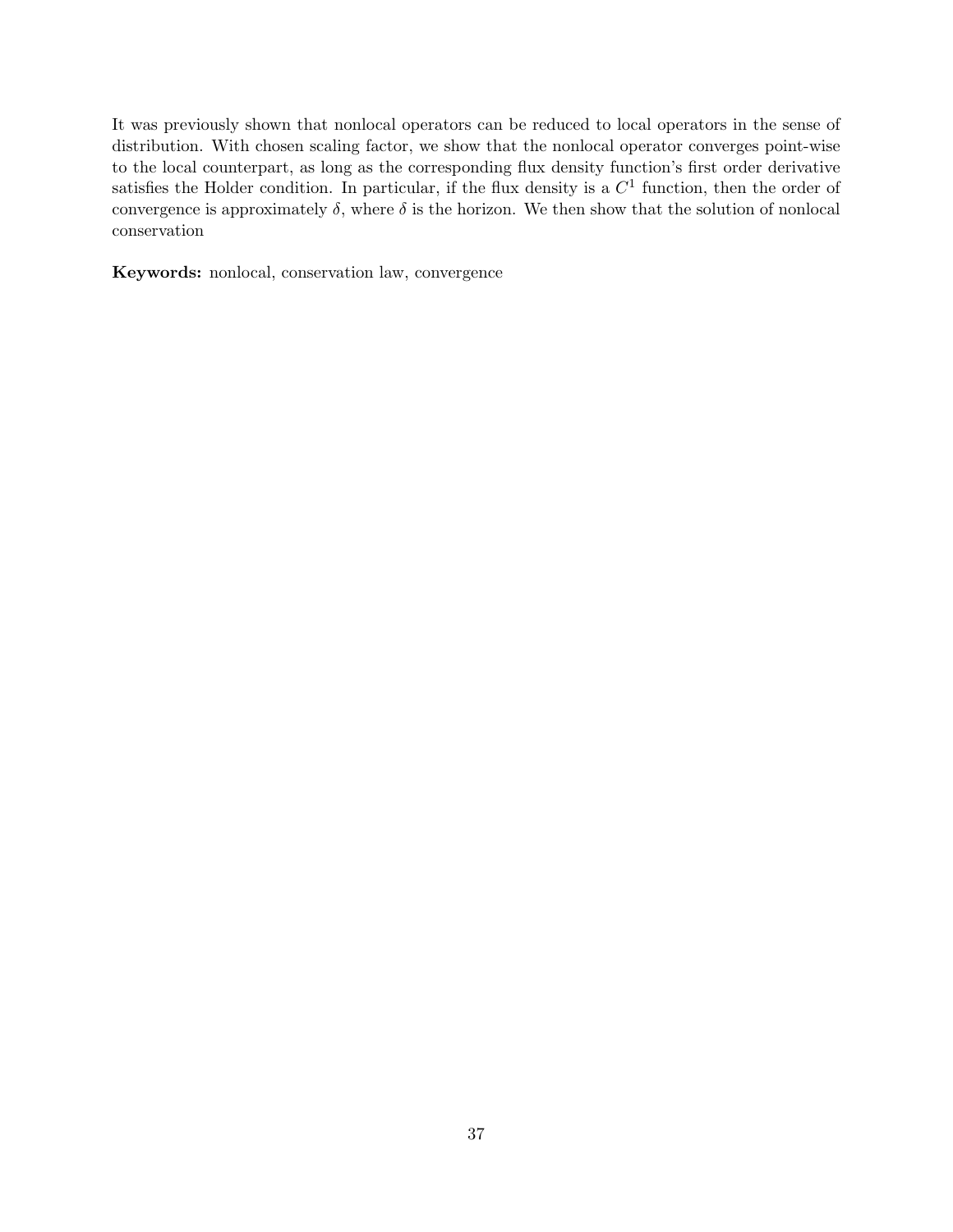It was previously shown that nonlocal operators can be reduced to local operators in the sense of distribution. With chosen scaling factor, we show that the nonlocal operator converges point-wise to the local counterpart, as long as the corresponding flux density function's first order derivative satisfies the Holder condition. In particular, if the flux density is a  $C<sup>1</sup>$  function, then the order of convergence is approximately  $\delta$ , where  $\delta$  is the horizon. We then show that the solution of nonlocal conservation

**Keywords:** nonlocal, conservation law, convergence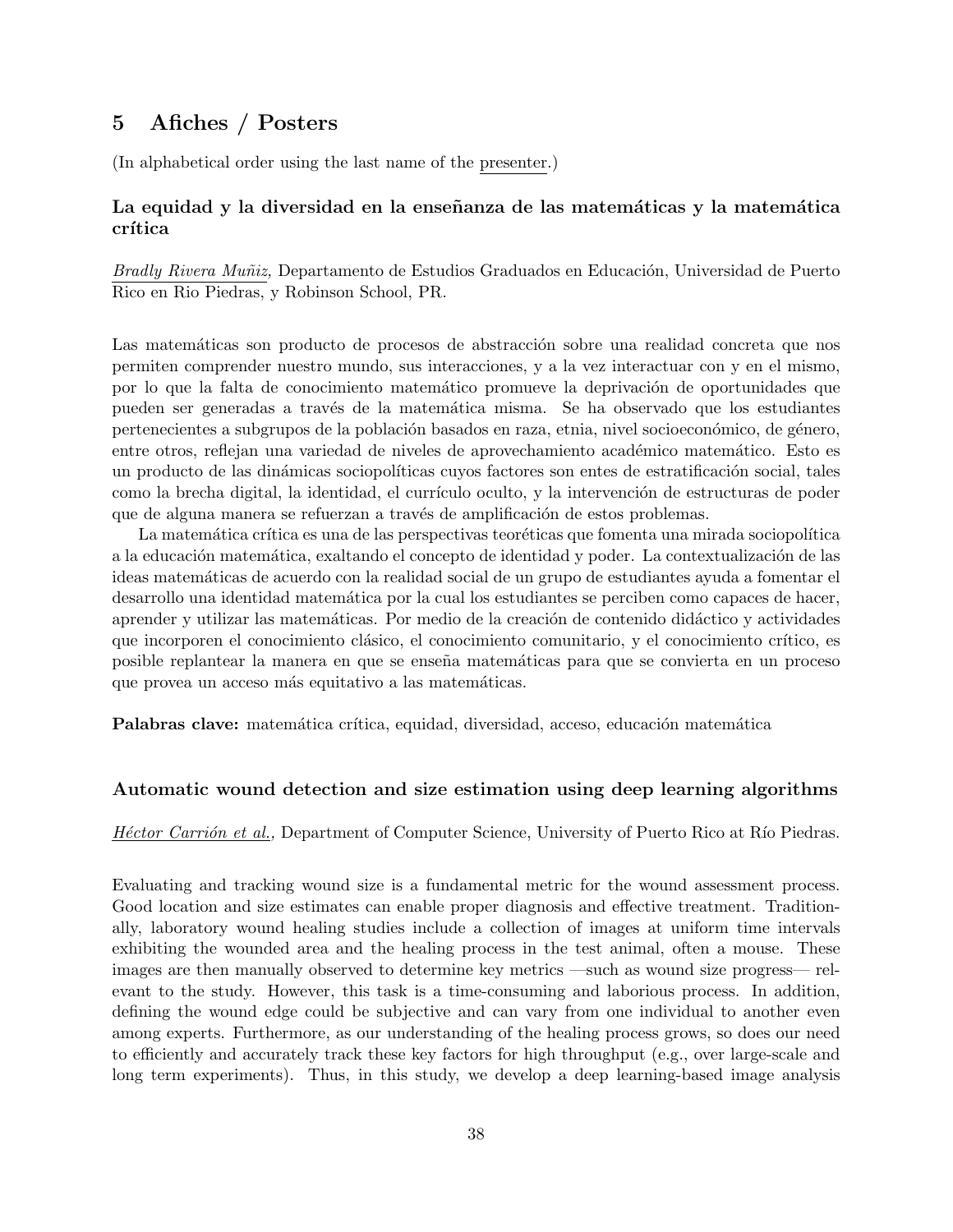# **5 Afiches / Posters**

(In alphabetical order using the last name of the presenter.)

## La equidad y la diversidad en la enseñanza de las matemáticas y la matemática **cr´ıtica**

*Bradly Rivera Muñiz*, Departamento de Estudios Graduados en Educación, Universidad de Puerto Rico en Rio Piedras, y Robinson School, PR.

Las matemáticas son producto de procesos de abstracción sobre una realidad concreta que nos permiten comprender nuestro mundo, sus interacciones, y a la vez interactuar con y en el mismo, por lo que la falta de conocimiento matemático promueve la deprivación de oportunidades que pueden ser generadas a trav´es de la matem´atica misma. Se ha observado que los estudiantes pertenecientes a subgrupos de la población basados en raza, etnia, nivel socioeconómico, de género, entre otros, reflejan una variedad de niveles de aprovechamiento académico matemático. Esto es un producto de las dinámicas sociopolíticas cuyos factores son entes de estratificación social, tales como la brecha digital, la identidad, el currículo oculto, y la intervención de estructuras de poder que de alguna manera se refuerzan a través de amplificación de estos problemas.

La matemática crítica es una de las perspectivas teoréticas que fomenta una mirada sociopolítica a la educación matemática, exaltando el concepto de identidad y poder. La contextualización de las ideas matem´aticas de acuerdo con la realidad social de un grupo de estudiantes ayuda a fomentar el desarrollo una identidad matemática por la cual los estudiantes se perciben como capaces de hacer, aprender y utilizar las matemáticas. Por medio de la creación de contenido didáctico y actividades que incorporen el conocimiento clásico, el conocimiento comunitario, y el conocimiento crítico, es posible replantear la manera en que se enseña matemáticas para que se convierta en un proceso que provea un acceso más equitativo a las matemáticas.

**Palabras clave:** matemática crítica, equidad, diversidad, acceso, educación matemática

#### **Automatic wound detection and size estimation using deep learning algorithms**

*Héctor Carrión et al.,* Department of Computer Science, University of Puerto Rico at Río Piedras.

Evaluating and tracking wound size is a fundamental metric for the wound assessment process. Good location and size estimates can enable proper diagnosis and effective treatment. Traditionally, laboratory wound healing studies include a collection of images at uniform time intervals exhibiting the wounded area and the healing process in the test animal, often a mouse. These images are then manually observed to determine key metrics —such as wound size progress— relevant to the study. However, this task is a time-consuming and laborious process. In addition, defining the wound edge could be subjective and can vary from one individual to another even among experts. Furthermore, as our understanding of the healing process grows, so does our need to efficiently and accurately track these key factors for high throughput (e.g., over large-scale and long term experiments). Thus, in this study, we develop a deep learning-based image analysis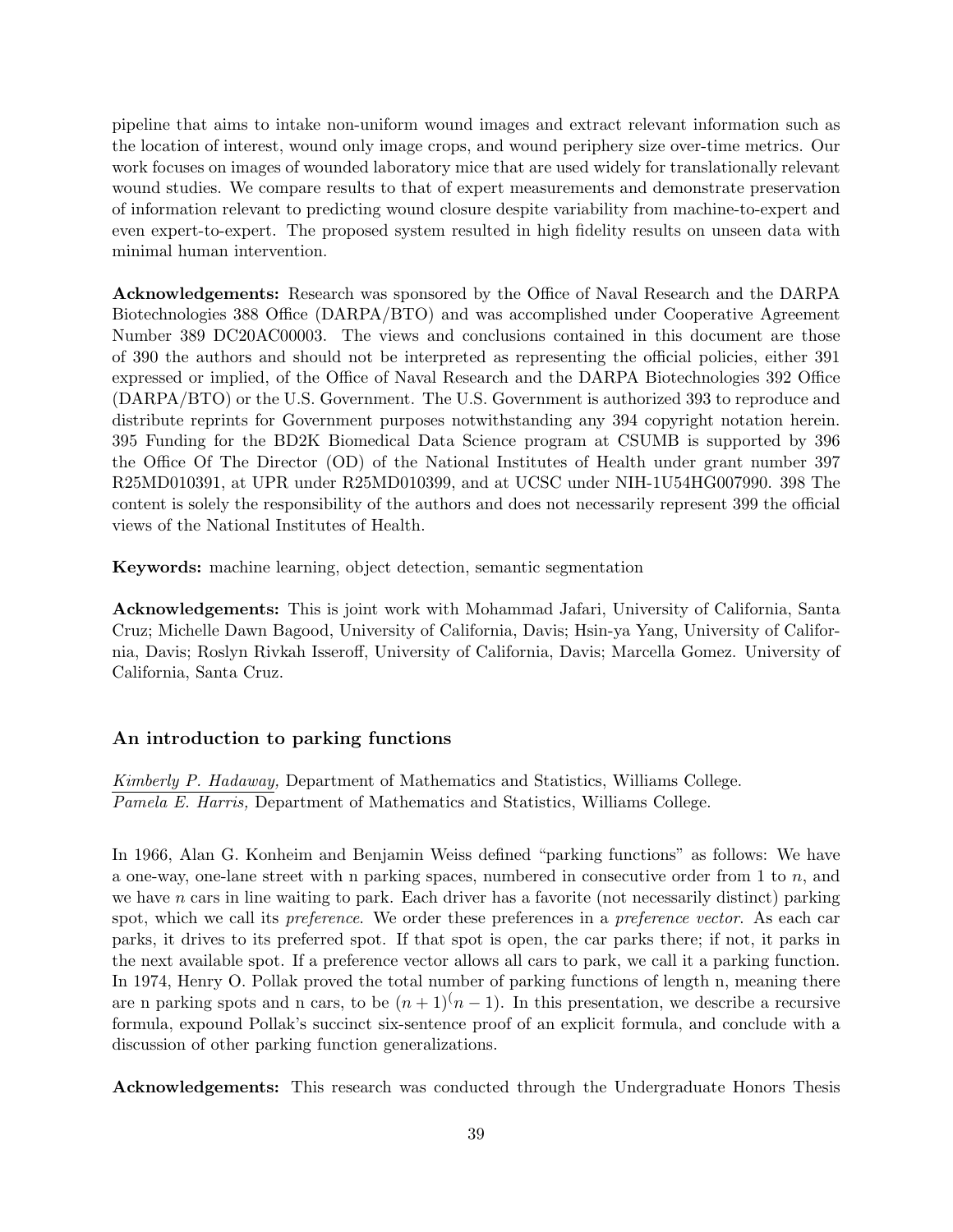pipeline that aims to intake non-uniform wound images and extract relevant information such as the location of interest, wound only image crops, and wound periphery size over-time metrics. Our work focuses on images of wounded laboratory mice that are used widely for translationally relevant wound studies. We compare results to that of expert measurements and demonstrate preservation of information relevant to predicting wound closure despite variability from machine-to-expert and even expert-to-expert. The proposed system resulted in high fidelity results on unseen data with minimal human intervention.

**Acknowledgements:** Research was sponsored by the Office of Naval Research and the DARPA Biotechnologies 388 Office (DARPA/BTO) and was accomplished under Cooperative Agreement Number 389 DC20AC00003. The views and conclusions contained in this document are those of 390 the authors and should not be interpreted as representing the official policies, either 391 expressed or implied, of the Office of Naval Research and the DARPA Biotechnologies 392 Office (DARPA/BTO) or the U.S. Government. The U.S. Government is authorized 393 to reproduce and distribute reprints for Government purposes notwithstanding any 394 copyright notation herein. 395 Funding for the BD2K Biomedical Data Science program at CSUMB is supported by 396 the Office Of The Director (OD) of the National Institutes of Health under grant number 397 R25MD010391, at UPR under R25MD010399, and at UCSC under NIH-1U54HG007990. 398 The content is solely the responsibility of the authors and does not necessarily represent 399 the official views of the National Institutes of Health.

**Keywords:** machine learning, object detection, semantic segmentation

**Acknowledgements:** This is joint work with Mohammad Jafari, University of California, Santa Cruz; Michelle Dawn Bagood, University of California, Davis; Hsin-ya Yang, University of California, Davis; Roslyn Rivkah Isseroff, University of California, Davis; Marcella Gomez. University of California, Santa Cruz.

#### **An introduction to parking functions**

*Kimberly P. Hadaway,* Department of Mathematics and Statistics, Williams College. *Pamela E. Harris,* Department of Mathematics and Statistics, Williams College.

In 1966, Alan G. Konheim and Benjamin Weiss defined "parking functions" as follows: We have a one-way, one-lane street with n parking spaces, numbered in consecutive order from 1 to *n*, and we have *n* cars in line waiting to park. Each driver has a favorite (not necessarily distinct) parking spot, which we call its *preference*. We order these preferences in a *preference vector*. As each car parks, it drives to its preferred spot. If that spot is open, the car parks there; if not, it parks in the next available spot. If a preference vector allows all cars to park, we call it a parking function. In 1974, Henry O. Pollak proved the total number of parking functions of length n, meaning there are n parking spots and n cars, to be  $(n+1)(n-1)$ . In this presentation, we describe a recursive formula, expound Pollak's succinct six-sentence proof of an explicit formula, and conclude with a discussion of other parking function generalizations.

**Acknowledgements:** This research was conducted through the Undergraduate Honors Thesis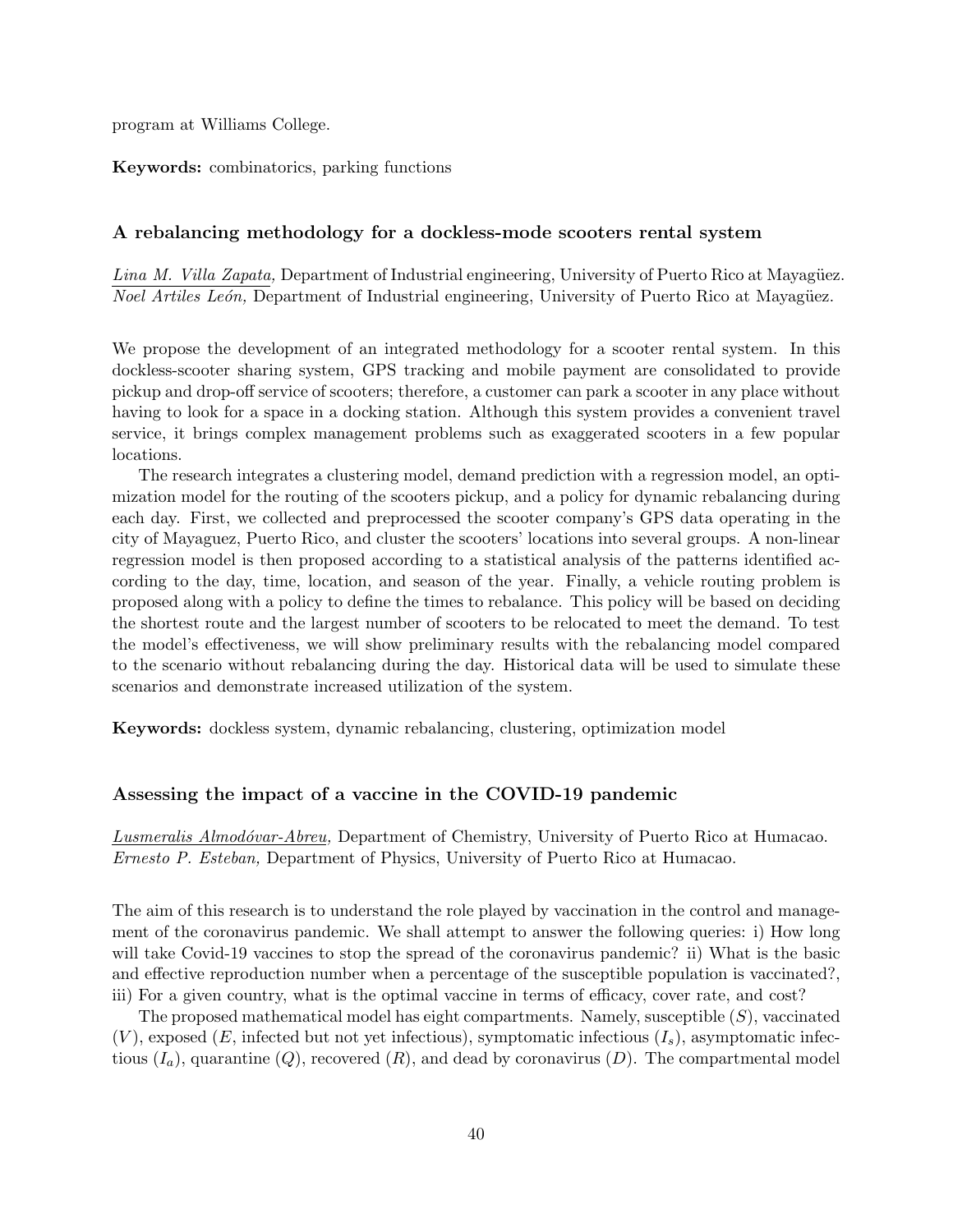program at Williams College.

**Keywords:** combinatorics, parking functions

#### **A rebalancing methodology for a dockless-mode scooters rental system**

*Lina M. Villa Zapata,* Department of Industrial engineering, University of Puerto Rico at Mayagüez. *Noel Artiles León,* Department of Industrial engineering, University of Puerto Rico at Mayagüez.

We propose the development of an integrated methodology for a scooter rental system. In this dockless-scooter sharing system, GPS tracking and mobile payment are consolidated to provide pickup and drop-off service of scooters; therefore, a customer can park a scooter in any place without having to look for a space in a docking station. Although this system provides a convenient travel service, it brings complex management problems such as exaggerated scooters in a few popular locations.

The research integrates a clustering model, demand prediction with a regression model, an optimization model for the routing of the scooters pickup, and a policy for dynamic rebalancing during each day. First, we collected and preprocessed the scooter company's GPS data operating in the city of Mayaguez, Puerto Rico, and cluster the scooters' locations into several groups. A non-linear regression model is then proposed according to a statistical analysis of the patterns identified according to the day, time, location, and season of the year. Finally, a vehicle routing problem is proposed along with a policy to define the times to rebalance. This policy will be based on deciding the shortest route and the largest number of scooters to be relocated to meet the demand. To test the model's effectiveness, we will show preliminary results with the rebalancing model compared to the scenario without rebalancing during the day. Historical data will be used to simulate these scenarios and demonstrate increased utilization of the system.

**Keywords:** dockless system, dynamic rebalancing, clustering, optimization model

#### **Assessing the impact of a vaccine in the COVID-19 pandemic**

*Lusmeralis Almod´ovar-Abreu,* Department of Chemistry, University of Puerto Rico at Humacao. *Ernesto P. Esteban,* Department of Physics, University of Puerto Rico at Humacao.

The aim of this research is to understand the role played by vaccination in the control and management of the coronavirus pandemic. We shall attempt to answer the following queries: i) How long will take Covid-19 vaccines to stop the spread of the coronavirus pandemic? ii) What is the basic and effective reproduction number when a percentage of the susceptible population is vaccinated?, iii) For a given country, what is the optimal vaccine in terms of efficacy, cover rate, and cost?

The proposed mathematical model has eight compartments. Namely, susceptible (*S*), vaccinated  $(V)$ , exposed  $(E)$ , infected but not yet infectious), symptomatic infectious  $(I<sub>s</sub>)$ , asymptomatic infectious  $(I_a)$ , quarantine  $(Q)$ , recovered  $(R)$ , and dead by coronavirus  $(D)$ . The compartmental model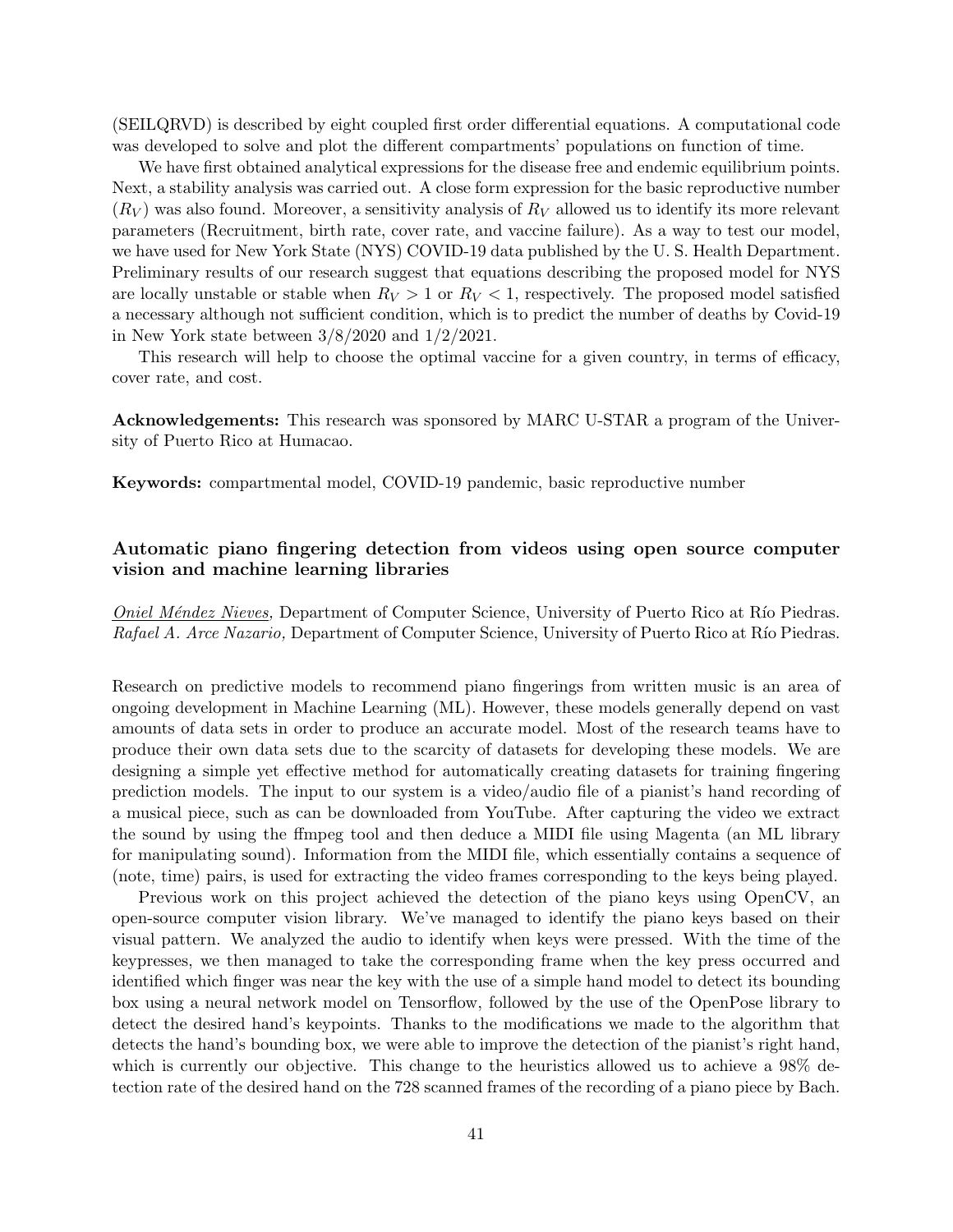(SEILQRVD) is described by eight coupled first order differential equations. A computational code was developed to solve and plot the different compartments' populations on function of time.

We have first obtained analytical expressions for the disease free and endemic equilibrium points. Next, a stability analysis was carried out. A close form expression for the basic reproductive number  $(R_V)$  was also found. Moreover, a sensitivity analysis of  $R_V$  allowed us to identify its more relevant parameters (Recruitment, birth rate, cover rate, and vaccine failure). As a way to test our model, we have used for New York State (NYS) COVID-19 data published by the U. S. Health Department. Preliminary results of our research suggest that equations describing the proposed model for NYS are locally unstable or stable when  $R_V > 1$  or  $R_V < 1$ , respectively. The proposed model satisfied a necessary although not sufficient condition, which is to predict the number of deaths by Covid-19 in New York state between 3/8/2020 and 1/2/2021.

This research will help to choose the optimal vaccine for a given country, in terms of efficacy, cover rate, and cost.

**Acknowledgements:** This research was sponsored by MARC U-STAR a program of the University of Puerto Rico at Humacao.

**Keywords:** compartmental model, COVID-19 pandemic, basic reproductive number

## **Automatic piano fingering detection from videos using open source computer vision and machine learning libraries**

*Oniel Méndez Nieves,* Department of Computer Science, University of Puerto Rico at Río Piedras. *Rafael A. Arce Nazario,* Department of Computer Science, University of Puerto Rico at Río Piedras.

Research on predictive models to recommend piano fingerings from written music is an area of ongoing development in Machine Learning (ML). However, these models generally depend on vast amounts of data sets in order to produce an accurate model. Most of the research teams have to produce their own data sets due to the scarcity of datasets for developing these models. We are designing a simple yet effective method for automatically creating datasets for training fingering prediction models. The input to our system is a video/audio file of a pianist's hand recording of a musical piece, such as can be downloaded from YouTube. After capturing the video we extract the sound by using the ffmpeg tool and then deduce a MIDI file using Magenta (an ML library for manipulating sound). Information from the MIDI file, which essentially contains a sequence of (note, time) pairs, is used for extracting the video frames corresponding to the keys being played.

Previous work on this project achieved the detection of the piano keys using OpenCV, an open-source computer vision library. We've managed to identify the piano keys based on their visual pattern. We analyzed the audio to identify when keys were pressed. With the time of the keypresses, we then managed to take the corresponding frame when the key press occurred and identified which finger was near the key with the use of a simple hand model to detect its bounding box using a neural network model on Tensorflow, followed by the use of the OpenPose library to detect the desired hand's keypoints. Thanks to the modifications we made to the algorithm that detects the hand's bounding box, we were able to improve the detection of the pianist's right hand, which is currently our objective. This change to the heuristics allowed us to achieve a 98% detection rate of the desired hand on the 728 scanned frames of the recording of a piano piece by Bach.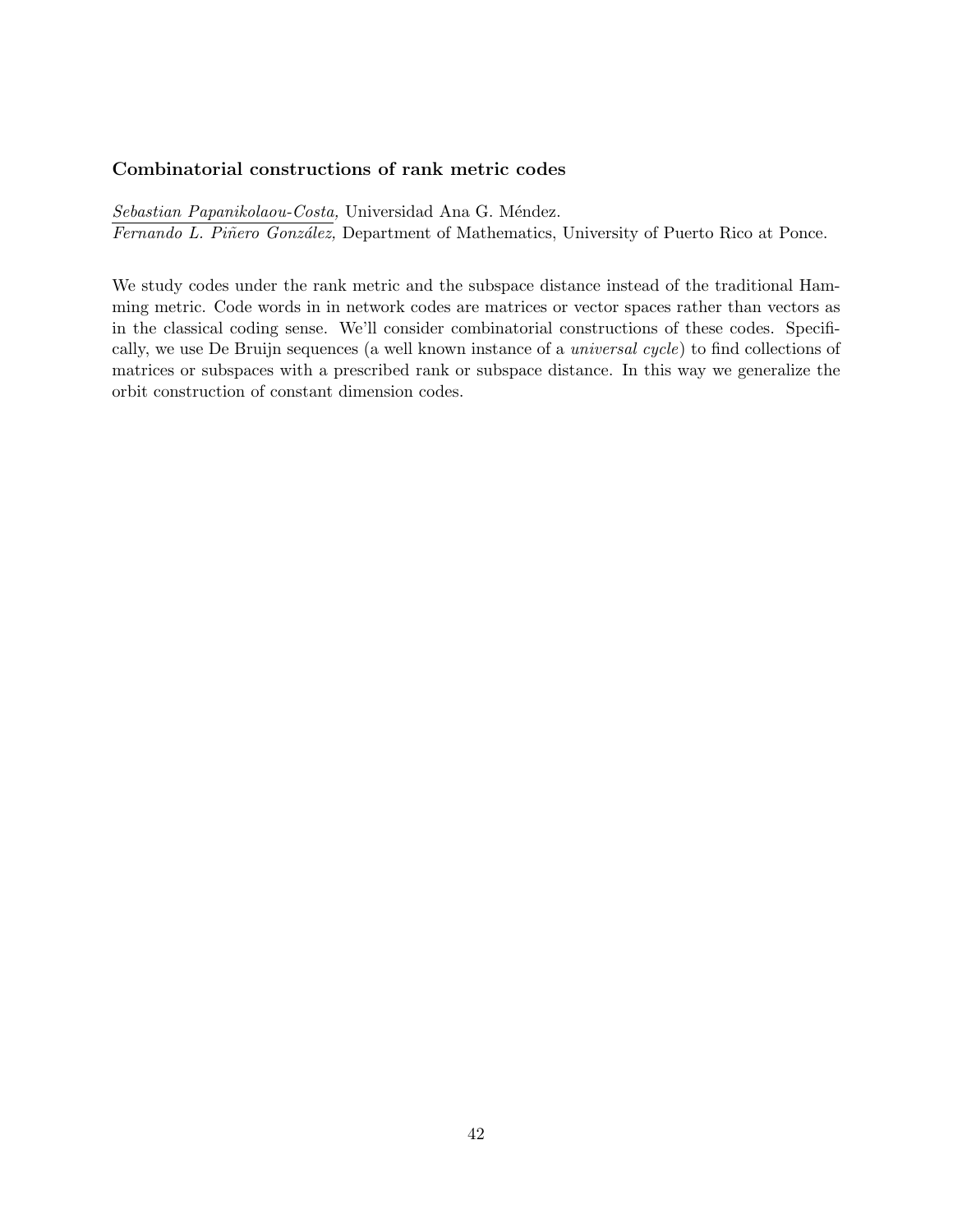## **Combinatorial constructions of rank metric codes**

 $Sebastian$  Papanikolaou-Costa, Universidad Ana G. Méndez. *Fernando L. Piñero González*, Department of Mathematics, University of Puerto Rico at Ponce.

We study codes under the rank metric and the subspace distance instead of the traditional Hamming metric. Code words in in network codes are matrices or vector spaces rather than vectors as in the classical coding sense. We'll consider combinatorial constructions of these codes. Specifically, we use De Bruijn sequences (a well known instance of a *universal cycle*) to find collections of matrices or subspaces with a prescribed rank or subspace distance. In this way we generalize the orbit construction of constant dimension codes.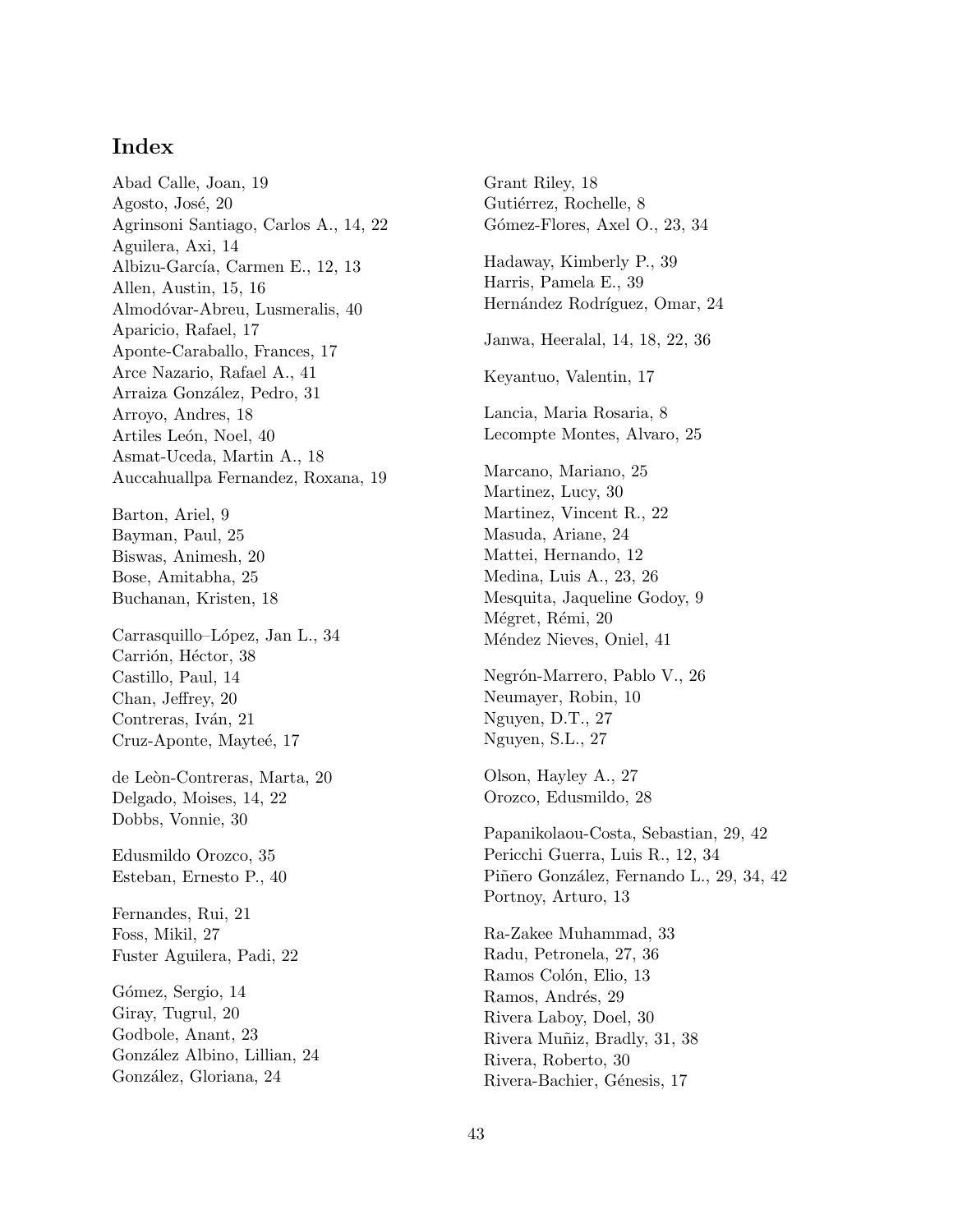# **Index**

Abad Calle, Joan, 19 Agosto, José, 20 Agrinsoni Santiago, Carlos A., 14, 22 Aguilera, Axi, 14 Albizu-García, Carmen E., 12, 13 Allen, Austin, 15, 16 Almodóvar-Abreu, Lusmeralis, 40 Aparicio, Rafael, 17 Aponte-Caraballo, Frances, 17 Arce Nazario, Rafael A., 41 Arraiza González, Pedro, 31 Arroyo, Andres, 18 Artiles León, Noel, 40 Asmat-Uceda, Martin A., 18 Auccahuallpa Fernandez, Roxana, 19 Barton, Ariel, 9 Bayman, Paul, 25 Biswas, Animesh, 20 Bose, Amitabha, 25 Buchanan, Kristen, 18 Carrasquillo–López, Jan L., 34 Carrión, Héctor, 38 Castillo, Paul, 14 Chan, Jeffrey, 20 Contreras, Iván, 21 Cruz-Aponte, Mayteé, 17 de Leòn-Contreras, Marta, 20 Delgado, Moises, 14, 22 Dobbs, Vonnie, 30 Edusmildo Orozco, 35 Esteban, Ernesto P., 40 Fernandes, Rui, 21 Foss, Mikil, 27 Fuster Aguilera, Padi, 22 Gómez, Sergio, 14 Giray, Tugrul, 20 Godbole, Anant, 23 González Albino, Lillian, 24

González, Gloriana, 24

Grant Riley, 18 Gutiérrez, Rochelle, 8 Gómez-Flores, Axel O., 23, 34 Hadaway, Kimberly P., 39 Harris, Pamela E., 39 Hernández Rodríguez, Omar, 24 Janwa, Heeralal, 14, 18, 22, 36 Keyantuo, Valentin, 17 Lancia, Maria Rosaria, 8 Lecompte Montes, Alvaro, 25 Marcano, Mariano, 25 Martinez, Lucy, 30 Martinez, Vincent R., 22 Masuda, Ariane, 24 Mattei, Hernando, 12 Medina, Luis A., 23, 26 Mesquita, Jaqueline Godoy, 9 Mégret, Rémi, 20 Méndez Nieves, Oniel, 41 Negrón-Marrero, Pablo V., 26 Neumayer, Robin, 10 Nguyen, D.T., 27 Nguyen, S.L., 27 Olson, Hayley A., 27 Orozco, Edusmildo, 28 Papanikolaou-Costa, Sebastian, 29, 42 Pericchi Guerra, Luis R., 12, 34 Piñero González, Fernando L., 29, 34, 42 Portnoy, Arturo, 13 Ra-Zakee Muhammad, 33 Radu, Petronela, 27, 36 Ramos Colón, Elio, 13 Ramos, Andrés, 29 Rivera Laboy, Doel, 30 Rivera Muñiz, Bradly, 31, 38 Rivera, Roberto, 30 Rivera-Bachier, Génesis, 17